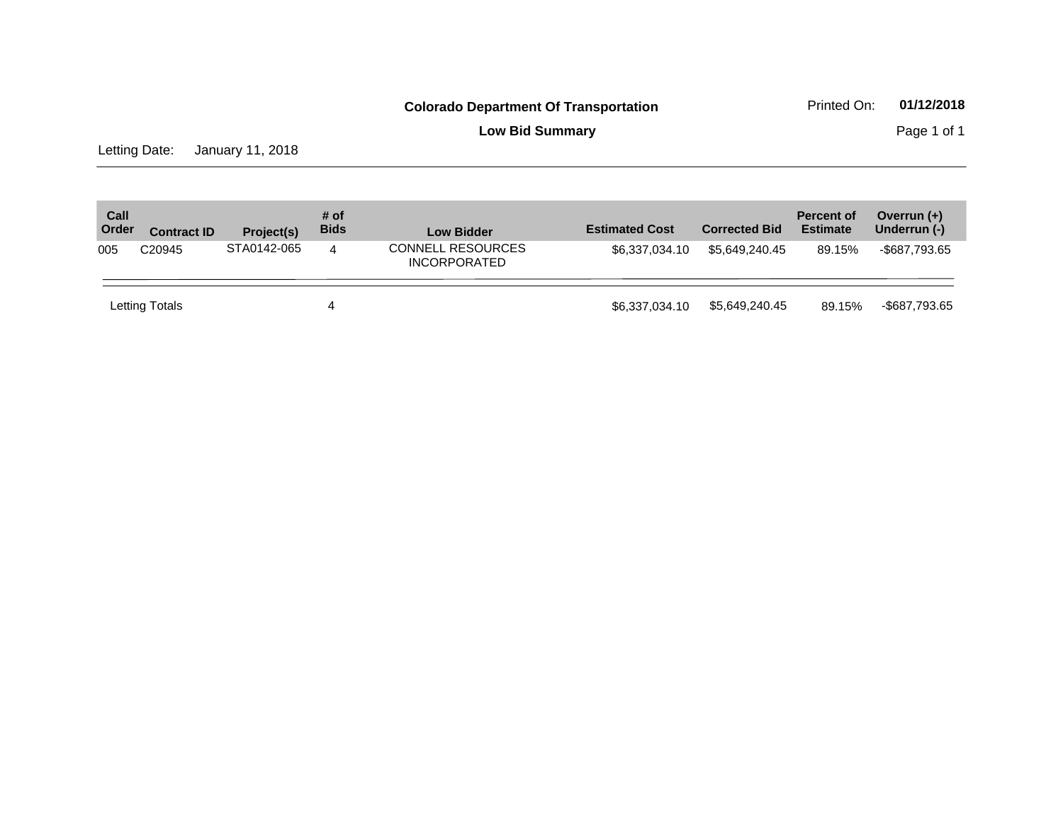**Low Bid Summary Page 1 of 1** 

Letting Date: January 11, 2018

| Call<br>Order | <b>Contract ID</b> | Project(s)  | # of<br><b>Bids</b> | <b>Low Bidder</b>                               | <b>Estimated Cost</b> | <b>Corrected Bid</b> | <b>Percent of</b><br><b>Estimate</b> | Overrun $(+)$<br>Underrun (-) |
|---------------|--------------------|-------------|---------------------|-------------------------------------------------|-----------------------|----------------------|--------------------------------------|-------------------------------|
| 005           | C <sub>20945</sub> | STA0142-065 | 4                   | <b>CONNELL RESOURCES</b><br><b>INCORPORATED</b> | \$6.337.034.10        | \$5,649,240.45       | 89.15%                               | -\$687,793.65                 |
|               | Letting Totals     |             | 4                   |                                                 | \$6,337,034.10        | \$5.649.240.45       | 89.15%                               | -\$687,793.65                 |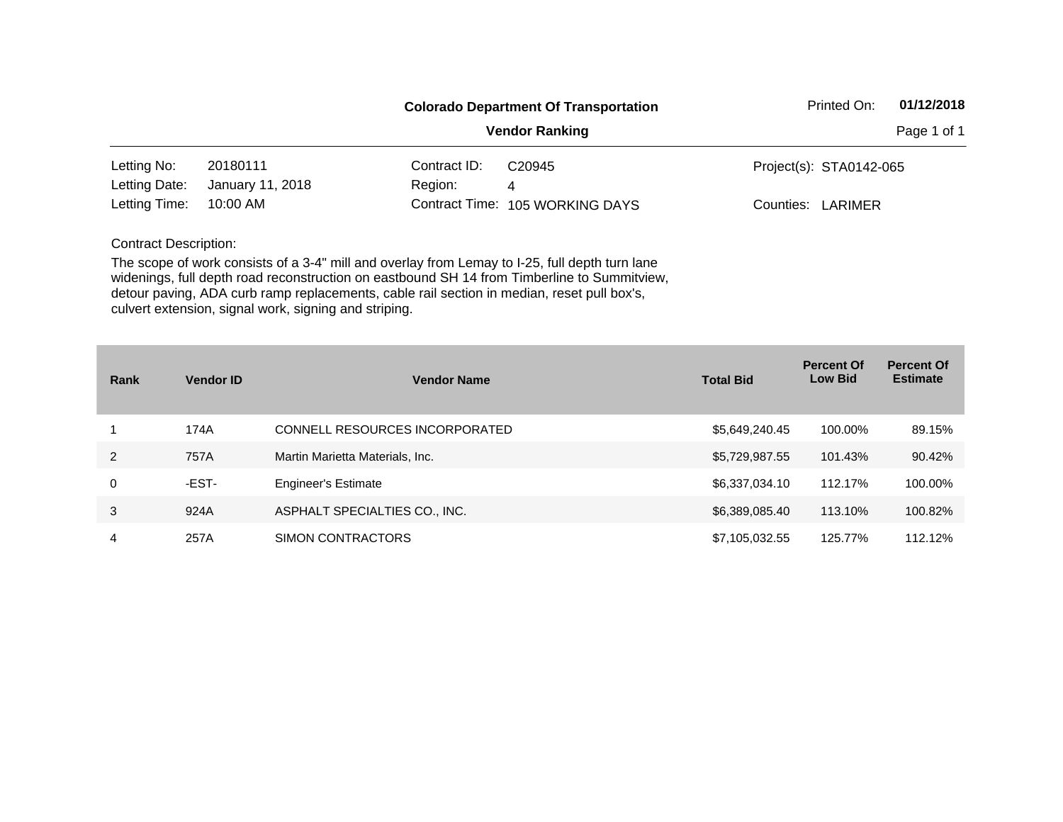|                              |                  |              | <b>Colorado Department Of Transportation</b> | Printed On:             | 01/12/2018  |
|------------------------------|------------------|--------------|----------------------------------------------|-------------------------|-------------|
|                              |                  |              | <b>Vendor Ranking</b>                        |                         | Page 1 of 1 |
| Letting No:                  | 20180111         | Contract ID: | C <sub>20945</sub>                           | Project(s): STA0142-065 |             |
| Letting Date:                | January 11, 2018 | Region:      | 4                                            |                         |             |
| Letting Time:                | 10:00 AM         |              | Contract Time: 105 WORKING DAYS              | Counties:<br>LARIMER    |             |
| <b>Contract Description:</b> |                  |              |                                              |                         |             |

| Rank | <b>Vendor ID</b> | <b>Vendor Name</b>              | <b>Total Bid</b> | <b>Percent Of</b><br><b>Low Bid</b> | <b>Percent Of</b><br><b>Estimate</b> |
|------|------------------|---------------------------------|------------------|-------------------------------------|--------------------------------------|
|      | 174A             | CONNELL RESOURCES INCORPORATED  | \$5,649,240.45   | 100.00%                             | 89.15%                               |
| 2    | 757A             | Martin Marietta Materials, Inc. | \$5,729,987.55   | 101.43%                             | 90.42%                               |
| 0    | -EST-            | <b>Engineer's Estimate</b>      | \$6,337,034.10   | 112.17%                             | 100.00%                              |
| 3    | 924A             | ASPHALT SPECIALTIES CO., INC.   | \$6,389,085.40   | 113.10%                             | 100.82%                              |
| 4    | 257A             | SIMON CONTRACTORS               | \$7,105,032.55   | 125.77%                             | 112.12%                              |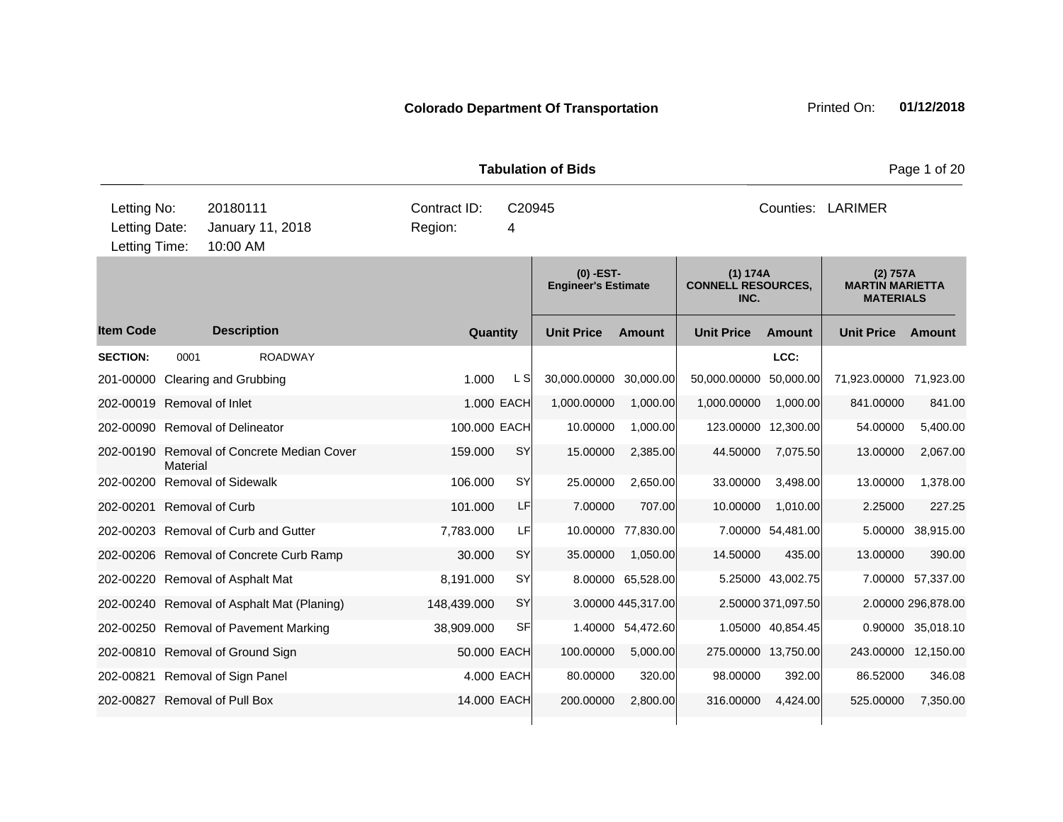|                                               |                                            |                         |             | <b>Tabulation of Bids</b>                 |                    | Page 1 of 20                                  |                    |                                                        |                    |  |
|-----------------------------------------------|--------------------------------------------|-------------------------|-------------|-------------------------------------------|--------------------|-----------------------------------------------|--------------------|--------------------------------------------------------|--------------------|--|
| Letting No:<br>Letting Date:<br>Letting Time: | 20180111<br>January 11, 2018<br>10:00 AM   | Contract ID:<br>Region: | C20945<br>4 |                                           |                    |                                               |                    | Counties: LARIMER                                      |                    |  |
|                                               |                                            |                         |             | $(0)$ -EST-<br><b>Engineer's Estimate</b> |                    | (1) 174A<br><b>CONNELL RESOURCES,</b><br>INC. |                    | (2) 757A<br><b>MARTIN MARIETTA</b><br><b>MATERIALS</b> |                    |  |
| <b>Item Code</b>                              | <b>Description</b>                         | Quantity                |             | <b>Unit Price</b>                         | <b>Amount</b>      | <b>Unit Price</b>                             | <b>Amount</b>      | <b>Unit Price</b>                                      | <b>Amount</b>      |  |
| <b>SECTION:</b><br>0001                       | <b>ROADWAY</b>                             |                         |             |                                           |                    |                                               | LCC:               |                                                        |                    |  |
| 201-00000 Clearing and Grubbing               |                                            | 1.000                   | L S         | 30,000.00000 30,000.00                    |                    | 50,000.00000                                  | 50,000.00          | 71,923.00000                                           | 71,923.00          |  |
| 202-00019 Removal of Inlet                    |                                            |                         | 1.000 EACH  | 1,000.00000                               | 1,000.00           | 1,000.00000                                   | 1,000.00           | 841.00000                                              | 841.00             |  |
| 202-00090 Removal of Delineator               |                                            | 100.000 EACH            |             | 10.00000                                  | 1,000.00           | 123.00000 12,300.00                           |                    | 54.00000                                               | 5,400.00           |  |
| <b>Material</b>                               | 202-00190 Removal of Concrete Median Cover | 159.000                 | <b>SY</b>   | 15.00000                                  | 2,385.00           | 44.50000                                      | 7,075.50           | 13.00000                                               | 2,067.00           |  |
| 202-00200 Removal of Sidewalk                 |                                            | 106.000                 | <b>SY</b>   | 25.00000                                  | 2,650.00           | 33.00000                                      | 3,498.00           | 13.00000                                               | 1,378.00           |  |
| 202-00201 Removal of Curb                     |                                            | 101.000                 | LF          | 7.00000                                   | 707.00             | 10.00000                                      | 1,010.00           | 2.25000                                                | 227.25             |  |
|                                               | 202-00203 Removal of Curb and Gutter       | 7,783.000               | LF          |                                           | 10.00000 77,830.00 |                                               | 7.00000 54,481.00  | 5.00000                                                | 38,915.00          |  |
|                                               | 202-00206 Removal of Concrete Curb Ramp    | 30.000                  | <b>SY</b>   | 35.00000                                  | 1,050.00           | 14.50000                                      | 435.00             | 13.00000                                               | 390.00             |  |
|                                               | 202-00220 Removal of Asphalt Mat           | 8,191.000               | <b>SY</b>   |                                           | 8.00000 65,528.00  |                                               | 5.25000 43,002.75  |                                                        | 7.00000 57,337.00  |  |
|                                               | 202-00240 Removal of Asphalt Mat (Planing) | 148,439.000             | SY          |                                           | 3.00000 445,317.00 |                                               | 2.50000 371,097.50 |                                                        | 2.00000 296,878.00 |  |
|                                               | 202-00250 Removal of Pavement Marking      | 38,909.000              | SF          |                                           | 1.40000 54,472.60  |                                               | 1.05000 40,854.45  |                                                        | 0.90000 35,018.10  |  |
|                                               | 202-00810 Removal of Ground Sign           | 50,000 EACH             |             | 100.00000                                 | 5,000.00           | 275.00000 13,750.00                           |                    | 243.00000 12,150.00                                    |                    |  |
| 202-00821 Removal of Sign Panel               |                                            |                         | 4.000 EACH  | 80.00000                                  | 320.00             | 98.00000                                      | 392.00             | 86.52000                                               | 346.08             |  |
| 202-00827 Removal of Pull Box                 |                                            | 14.000 EACH             |             | 200.00000                                 | 2,800.00           | 316.00000                                     | 4,424.00           | 525.00000                                              | 7,350.00           |  |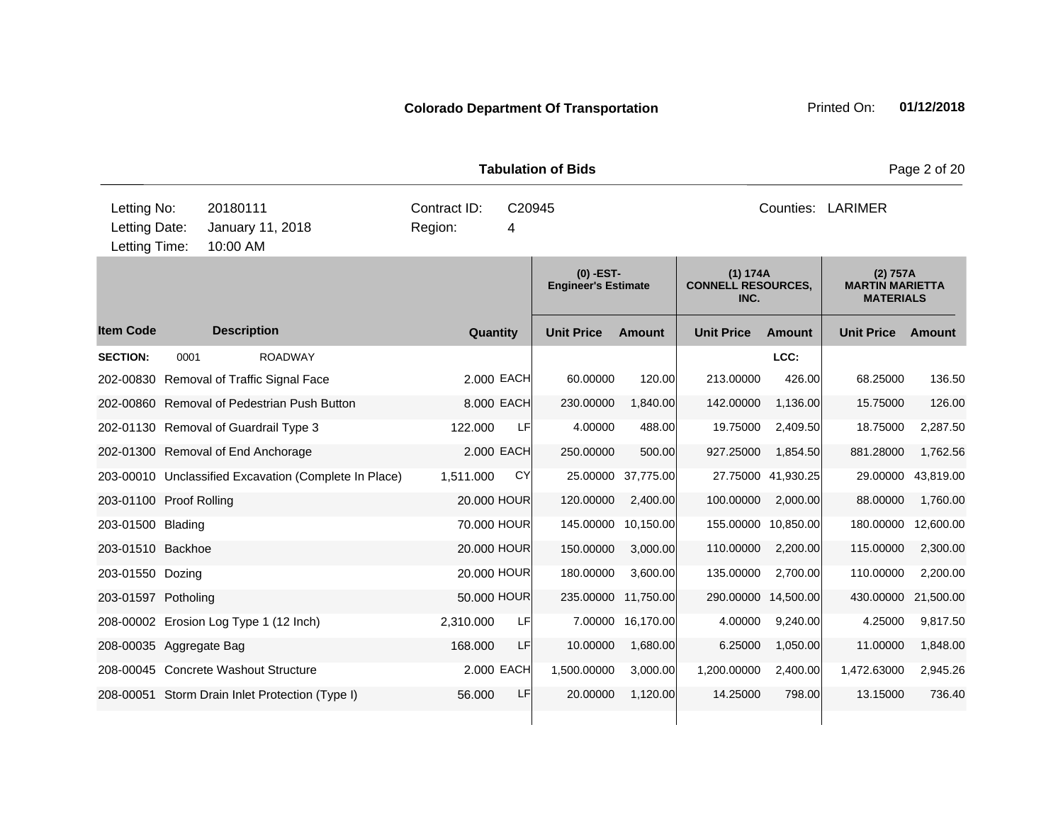|                                               |      |                      |                                                       | <b>Tabulation of Bids</b>              | Page 2 of 20 |             |                                           |                    |                                               |                     |                                                        |           |  |
|-----------------------------------------------|------|----------------------|-------------------------------------------------------|----------------------------------------|--------------|-------------|-------------------------------------------|--------------------|-----------------------------------------------|---------------------|--------------------------------------------------------|-----------|--|
| Letting No:<br>Letting Date:<br>Letting Time: |      | 20180111<br>10:00 AM | January 11, 2018                                      | Contract ID:<br>C20945<br>Region:<br>4 |              |             |                                           |                    | Counties: LARIMER                             |                     |                                                        |           |  |
|                                               |      |                      |                                                       |                                        |              |             | $(0)$ -EST-<br><b>Engineer's Estimate</b> |                    | (1) 174A<br><b>CONNELL RESOURCES,</b><br>INC. |                     | (2) 757A<br><b>MARTIN MARIETTA</b><br><b>MATERIALS</b> |           |  |
| <b>Item Code</b>                              |      | <b>Description</b>   |                                                       |                                        | Quantity     |             | <b>Unit Price</b>                         | <b>Amount</b>      | <b>Unit Price</b>                             | <b>Amount</b>       | <b>Unit Price</b>                                      | Amount    |  |
| <b>SECTION:</b>                               | 0001 |                      | <b>ROADWAY</b>                                        |                                        |              |             |                                           |                    |                                               | LCC:                |                                                        |           |  |
|                                               |      |                      | 202-00830 Removal of Traffic Signal Face              |                                        |              | 2.000 EACH  | 60.00000                                  | 120.00             | 213.00000                                     | 426.00              | 68.25000                                               | 136.50    |  |
|                                               |      |                      | 202-00860 Removal of Pedestrian Push Button           |                                        |              | 8.000 EACH  | 230.00000                                 | 1,840.00           | 142.00000                                     | 1,136.00            | 15.75000                                               | 126.00    |  |
|                                               |      |                      | 202-01130 Removal of Guardrail Type 3                 |                                        | 122,000      | <b>LF</b>   | 4.00000                                   | 488.00             | 19.75000                                      | 2,409.50            | 18.75000                                               | 2,287.50  |  |
| 202-01300 Removal of End Anchorage            |      |                      |                                                       |                                        |              | 2.000 EACH  | 250.00000                                 | 500.00             | 927.25000                                     | 1,854.50            | 881.28000                                              | 1,762.56  |  |
|                                               |      |                      | 203-00010 Unclassified Excavation (Complete In Place) | 1,511.000                              |              | CY          |                                           | 25.00000 37,775.00 |                                               | 27.75000 41,930.25  | 29.00000                                               | 43,819.00 |  |
| 203-01100 Proof Rolling                       |      |                      |                                                       |                                        |              | 20.000 HOUR | 120.00000                                 | 2,400.00           | 100.00000                                     | 2,000.00            | 88.00000                                               | 1,760.00  |  |
| 203-01500 Blading                             |      |                      |                                                       |                                        |              | 70.000 HOUR | 145.00000                                 | 10,150.00          |                                               | 155.00000 10,850.00 | 180.00000                                              | 12,600.00 |  |
| 203-01510 Backhoe                             |      |                      |                                                       |                                        |              | 20.000 HOUR | 150.00000                                 | 3,000.00           | 110.00000                                     | 2,200.00            | 115.00000                                              | 2,300.00  |  |
| 203-01550 Dozing                              |      |                      |                                                       |                                        |              | 20.000 HOUR | 180.00000                                 | 3,600.00           | 135.00000                                     | 2,700.00            | 110.00000                                              | 2,200.00  |  |
| 203-01597 Potholing                           |      |                      |                                                       |                                        |              | 50.000 HOUR | 235.00000                                 | 11,750.00          |                                               | 290.00000 14,500.00 | 430.00000                                              | 21,500.00 |  |
|                                               |      |                      | 208-00002 Erosion Log Type 1 (12 Inch)                | 2,310.000                              |              | LFI         |                                           | 7.00000 16,170.00  | 4.00000                                       | 9,240.00            | 4.25000                                                | 9,817.50  |  |
| 208-00035 Aggregate Bag                       |      |                      |                                                       |                                        | 168.000      | LF          | 10.00000                                  | 1,680.00           | 6.25000                                       | 1,050.00            | 11.00000                                               | 1,848.00  |  |
|                                               |      |                      | 208-00045 Concrete Washout Structure                  |                                        |              | 2.000 EACH  | 1,500.00000                               | 3,000.00           | 1,200.00000                                   | 2,400.00            | 1,472.63000                                            | 2,945.26  |  |
|                                               |      |                      | 208-00051 Storm Drain Inlet Protection (Type I)       |                                        | 56.000       | LF          | 20.00000                                  | 1,120.00           | 14.25000                                      | 798.00              | 13.15000                                               | 736.40    |  |
|                                               |      |                      |                                                       |                                        |              |             |                                           |                    |                                               |                     |                                                        |           |  |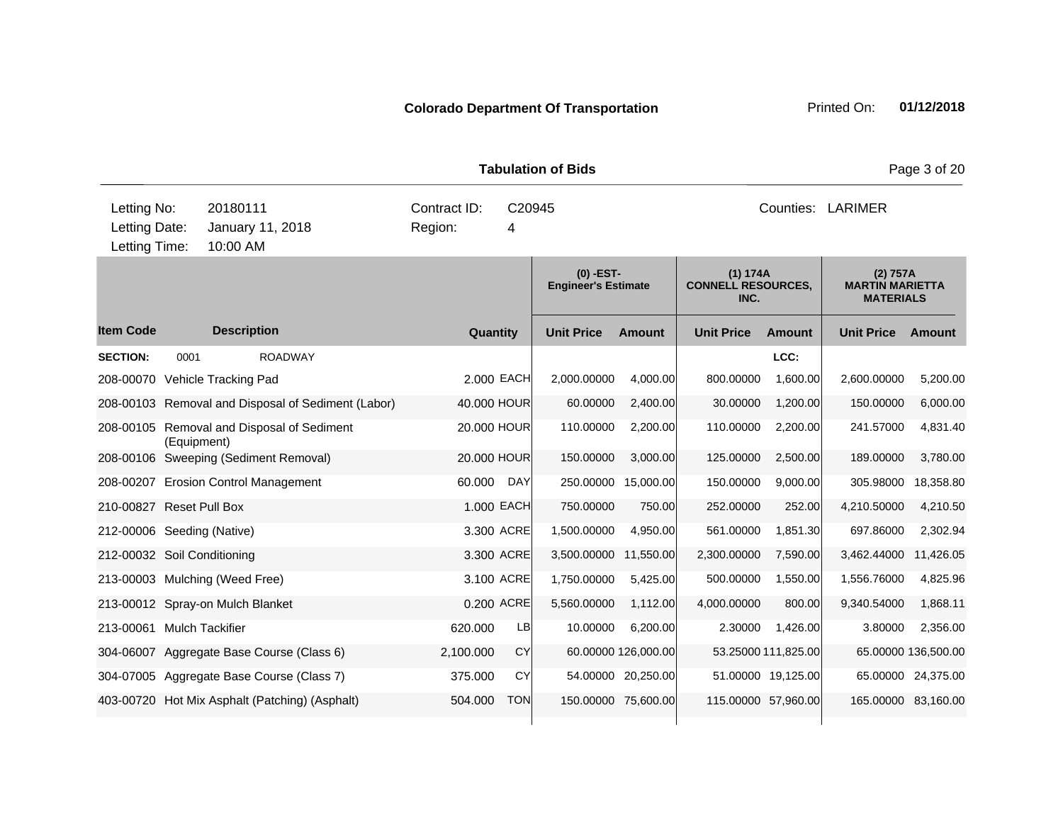|                                               |                                                           |                         |             |             | <b>Tabulation of Bids</b>                 |                     | Page 3 of 20                                  |                     |                                                        |               |
|-----------------------------------------------|-----------------------------------------------------------|-------------------------|-------------|-------------|-------------------------------------------|---------------------|-----------------------------------------------|---------------------|--------------------------------------------------------|---------------|
| Letting No:<br>Letting Date:<br>Letting Time: | 20180111<br>January 11, 2018<br>10:00 AM                  | Contract ID:<br>Region: |             | C20945<br>4 |                                           |                     |                                               |                     | Counties: LARIMER                                      |               |
|                                               |                                                           |                         |             |             | $(0)$ -EST-<br><b>Engineer's Estimate</b> |                     | (1) 174A<br><b>CONNELL RESOURCES,</b><br>INC. |                     | (2) 757A<br><b>MARTIN MARIETTA</b><br><b>MATERIALS</b> |               |
| <b>Item Code</b>                              | <b>Description</b>                                        |                         | Quantity    |             | <b>Unit Price</b>                         | <b>Amount</b>       | <b>Unit Price</b>                             | <b>Amount</b>       | <b>Unit Price</b>                                      | <b>Amount</b> |
| <b>SECTION:</b>                               | <b>ROADWAY</b><br>0001                                    |                         |             |             |                                           |                     |                                               | LCC:                |                                                        |               |
|                                               | 208-00070 Vehicle Tracking Pad                            |                         | 2.000 EACH  |             | 2,000.00000                               | 4,000.00            | 800.00000                                     | 1,600.00            | 2,600.00000                                            | 5,200.00      |
|                                               | 208-00103 Removal and Disposal of Sediment (Labor)        |                         | 40.000 HOUR |             | 60.00000                                  | 2,400.00            | 30.00000                                      | 1,200.00            | 150.00000                                              | 6,000.00      |
|                                               | 208-00105 Removal and Disposal of Sediment<br>(Equipment) |                         | 20.000 HOUR |             | 110.00000                                 | 2,200.00            | 110.00000                                     | 2,200.00            | 241.57000                                              | 4,831.40      |
|                                               | 208-00106 Sweeping (Sediment Removal)                     |                         | 20.000 HOUR |             | 150.00000                                 | 3,000.00            | 125.00000                                     | 2,500.00            | 189.00000                                              | 3,780.00      |
|                                               | 208-00207 Erosion Control Management                      |                         | 60.000      | DAY         |                                           | 250.00000 15,000.00 | 150.00000                                     | 9,000.00            | 305.98000                                              | 18,358.80     |
|                                               | 210-00827 Reset Pull Box                                  |                         | 1.000 EACH  |             | 750.00000                                 | 750.00              | 252.00000                                     | 252.00              | 4,210.50000                                            | 4,210.50      |
|                                               | 212-00006 Seeding (Native)                                |                         | 3.300 ACRE  |             | 1,500.00000                               | 4,950.00            | 561.00000                                     | 1,851.30            | 697.86000                                              | 2,302.94      |
|                                               | 212-00032 Soil Conditioning                               |                         | 3.300 ACRE  |             | 3,500.00000                               | 11,550.00           | 2,300.00000                                   | 7,590.00            | 3,462.44000                                            | 11,426.05     |
|                                               | 213-00003 Mulching (Weed Free)                            |                         | 3.100 ACRE  |             | 1,750.00000                               | 5,425.00            | 500.00000                                     | 1,550.00            | 1,556.76000                                            | 4,825.96      |
|                                               | 213-00012 Spray-on Mulch Blanket                          |                         | 0.200 ACRE  |             | 5,560.00000                               | 1,112.00            | 4,000.00000                                   | 800.00              | 9,340.54000                                            | 1,868.11      |
|                                               | 213-00061 Mulch Tackifier                                 |                         | 620.000     | LB          | 10.00000                                  | 6,200.00            | 2.30000                                       | 1,426.00            | 3.80000                                                | 2,356.00      |
|                                               | 304-06007 Aggregate Base Course (Class 6)                 |                         | 2,100.000   | <b>CY</b>   |                                           | 60.00000 126,000.00 |                                               | 53.25000 111,825.00 | 65.00000 136,500.00                                    |               |
|                                               | 304-07005 Aggregate Base Course (Class 7)                 |                         | 375.000     | CY          |                                           | 54.00000 20,250.00  |                                               | 51.00000 19,125.00  | 65.00000 24,375.00                                     |               |
|                                               | 403-00720 Hot Mix Asphalt (Patching) (Asphalt)            |                         | 504.000     | <b>TON</b>  |                                           | 150.00000 75,600.00 | 115.00000 57,960.00                           |                     | 165.00000 83,160.00                                    |               |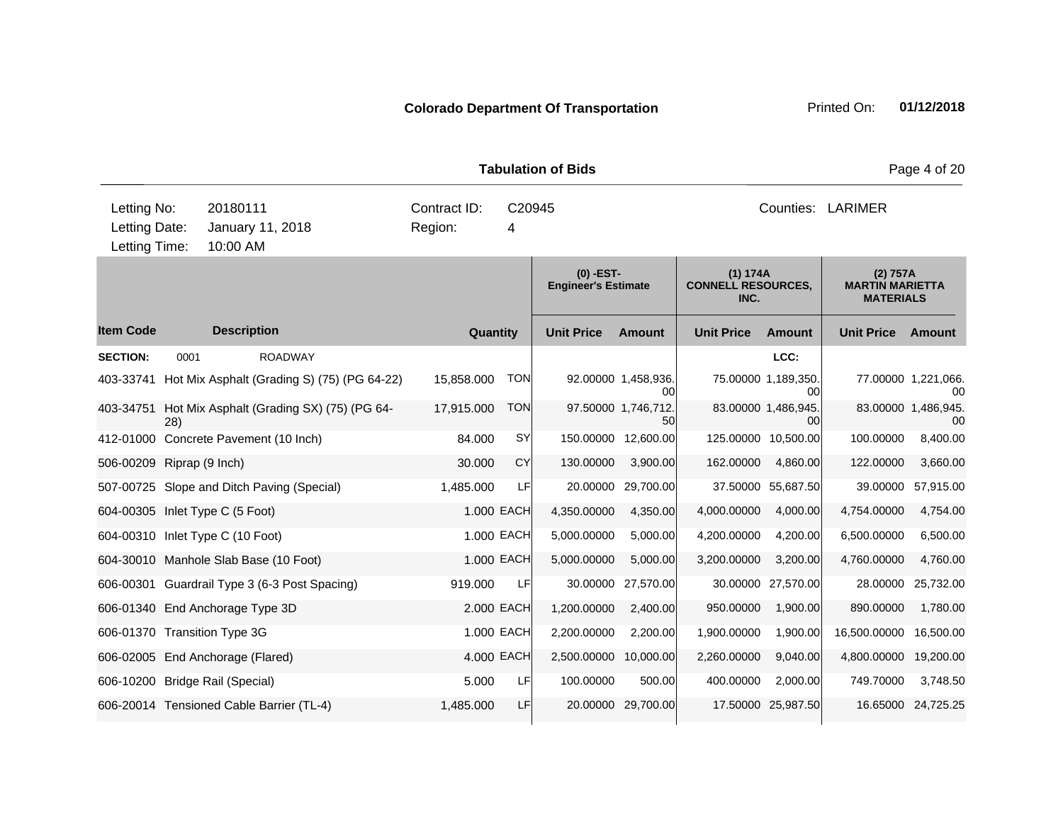|                           |      |                                                       |              |            | <b>Tabulation of Bids</b>               |                           | Page 4 of 20                                  |                           |                                                        |                           |  |
|---------------------------|------|-------------------------------------------------------|--------------|------------|-----------------------------------------|---------------------------|-----------------------------------------------|---------------------------|--------------------------------------------------------|---------------------------|--|
| Letting No:               |      | 20180111                                              | Contract ID: | C20945     |                                         |                           |                                               |                           | Counties: LARIMER                                      |                           |  |
| Letting Date:             |      | January 11, 2018                                      | Region:      | 4          |                                         |                           |                                               |                           |                                                        |                           |  |
| Letting Time:             |      | 10:00 AM                                              |              |            |                                         |                           |                                               |                           |                                                        |                           |  |
|                           |      |                                                       |              |            | (0) -EST-<br><b>Engineer's Estimate</b> |                           | (1) 174A<br><b>CONNELL RESOURCES,</b><br>INC. |                           | (2) 757A<br><b>MARTIN MARIETTA</b><br><b>MATERIALS</b> |                           |  |
| <b>Item Code</b>          |      | <b>Description</b>                                    | Quantity     |            | <b>Unit Price</b>                       | <b>Amount</b>             | <b>Unit Price</b>                             | <b>Amount</b>             | <b>Unit Price</b>                                      | <b>Amount</b>             |  |
| <b>SECTION:</b>           | 0001 | <b>ROADWAY</b>                                        |              |            |                                         |                           |                                               | LCC:                      |                                                        |                           |  |
|                           |      | 403-33741 Hot Mix Asphalt (Grading S) (75) (PG 64-22) | 15,858.000   | <b>TON</b> |                                         | 92.00000 1,458,936.<br>00 |                                               | 75.00000 1.189,350.<br>00 |                                                        | 77.00000 1,221,066.<br>00 |  |
|                           | 28)  | 403-34751 Hot Mix Asphalt (Grading SX) (75) (PG 64-   | 17,915.000   | <b>TON</b> |                                         | 97.50000 1,746,712.<br>50 |                                               | 83.00000 1,486,945.<br>00 |                                                        | 83.00000 1,486,945.<br>00 |  |
|                           |      | 412-01000 Concrete Pavement (10 Inch)                 | 84.000       | <b>SY</b>  |                                         | 150.00000 12,600.00       |                                               | 125.00000 10,500.00       | 100.00000                                              | 8,400.00                  |  |
| 506-00209 Riprap (9 Inch) |      |                                                       | 30.000       | <b>CY</b>  | 130.00000                               | 3,900.00                  | 162.00000                                     | 4,860.00                  | 122.00000                                              | 3,660.00                  |  |
|                           |      | 507-00725 Slope and Ditch Paving (Special)            | 1,485.000    | LF         | 20.00000                                | 29,700.00                 |                                               | 37.50000 55,687.50        | 39.00000                                               | 57,915.00                 |  |
|                           |      | 604-00305 Inlet Type C (5 Foot)                       |              | 1.000 EACH | 4,350.00000                             | 4,350.00                  | 4,000.00000                                   | 4,000.00                  | 4,754.00000                                            | 4,754.00                  |  |
|                           |      | 604-00310 Inlet Type C (10 Foot)                      |              | 1.000 EACH | 5,000.00000                             | 5,000.00                  | 4,200.00000                                   | 4,200.00                  | 6,500.00000                                            | 6,500.00                  |  |
|                           |      | 604-30010 Manhole Slab Base (10 Foot)                 |              | 1.000 EACH | 5,000.00000                             | 5,000.00                  | 3,200.00000                                   | 3,200.00                  | 4,760.00000                                            | 4,760.00                  |  |
|                           |      | 606-00301 Guardrail Type 3 (6-3 Post Spacing)         | 919.000      | LF         |                                         | 30.00000 27,570.00        |                                               | 30.00000 27,570.00        | 28.00000                                               | 25,732.00                 |  |
|                           |      | 606-01340 End Anchorage Type 3D                       |              | 2.000 EACH | 1,200.00000                             | 2,400.00                  | 950.00000                                     | 1,900.00                  | 890.00000                                              | 1,780.00                  |  |
|                           |      | 606-01370 Transition Type 3G                          |              | 1.000 EACH | 2,200.00000                             | 2,200.00                  | 1,900.00000                                   | 1,900.00                  | 16,500.00000                                           | 16,500.00                 |  |
|                           |      | 606-02005 End Anchorage (Flared)                      |              | 4.000 EACH | 2,500.00000 10,000.00                   |                           | 2,260.00000                                   | 9,040.00                  | 4,800.00000                                            | 19,200.00                 |  |
|                           |      | 606-10200 Bridge Rail (Special)                       | 5.000        | LF         | 100.00000                               | 500.00                    | 400.00000                                     | 2,000.00                  | 749.70000                                              | 3,748.50                  |  |
|                           |      | 606-20014 Tensioned Cable Barrier (TL-4)              | 1,485.000    | LF         |                                         | 20.00000 29,700.00        |                                               | 17.50000 25,987.50        |                                                        | 16.65000 24,725.25        |  |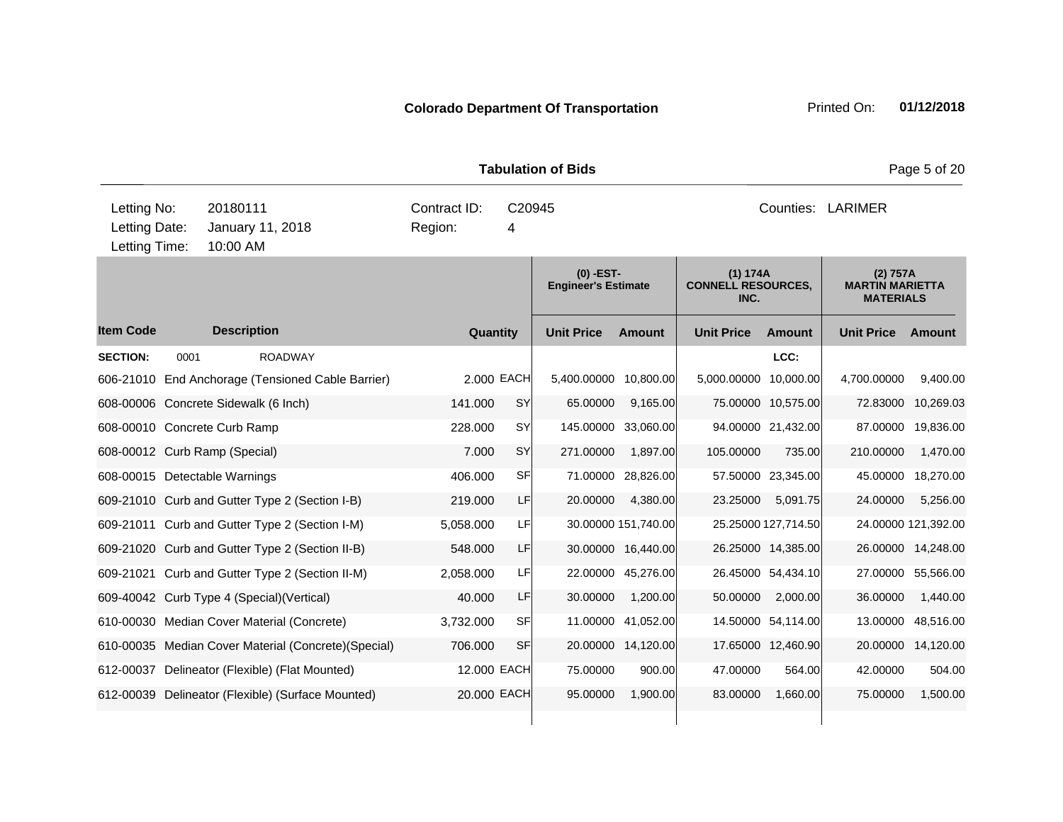|                                               |      |                      |                                                      |                         |          |             | <b>Tabulation of Bids</b>                 |                     |                                               |                     |                                                        | Page 5 of 20        |  |
|-----------------------------------------------|------|----------------------|------------------------------------------------------|-------------------------|----------|-------------|-------------------------------------------|---------------------|-----------------------------------------------|---------------------|--------------------------------------------------------|---------------------|--|
| Letting No:<br>Letting Date:<br>Letting Time: |      | 20180111<br>10:00 AM | January 11, 2018                                     | Contract ID:<br>Region: |          | C20945<br>4 |                                           |                     | Counties: LARIMER                             |                     |                                                        |                     |  |
|                                               |      |                      |                                                      |                         |          |             | $(0)$ -EST-<br><b>Engineer's Estimate</b> |                     | (1) 174A<br><b>CONNELL RESOURCES,</b><br>INC. |                     | (2) 757A<br><b>MARTIN MARIETTA</b><br><b>MATERIALS</b> |                     |  |
| <b>Item Code</b>                              |      | <b>Description</b>   |                                                      |                         | Quantity |             | <b>Unit Price</b>                         | <b>Amount</b>       | <b>Unit Price</b>                             | Amount              | <b>Unit Price</b>                                      | Amount              |  |
| <b>SECTION:</b>                               | 0001 |                      | <b>ROADWAY</b>                                       |                         |          |             |                                           |                     |                                               | LCC:                |                                                        |                     |  |
|                                               |      |                      | 606-21010 End Anchorage (Tensioned Cable Barrier)    |                         |          | 2.000 EACH  | 5,400.00000 10,800.00                     |                     | 5,000.00000 10,000.00                         |                     | 4,700.00000                                            | 9,400.00            |  |
| 608-00006 Concrete Sidewalk (6 Inch)          |      |                      |                                                      | 141.000                 |          | <b>SY</b>   | 65.00000                                  | 9,165.00            |                                               | 75.00000 10,575.00  | 72.83000                                               | 10,269.03           |  |
| 608-00010 Concrete Curb Ramp                  |      |                      |                                                      | 228.000                 |          | SY          |                                           | 145.00000 33,060.00 |                                               | 94.00000 21,432.00  | 87.00000                                               | 19,836.00           |  |
| 608-00012 Curb Ramp (Special)                 |      |                      |                                                      | 7.000                   |          | SY          | 271.00000                                 | 1,897.00            | 105.00000                                     | 735.00              | 210.00000                                              | 1,470.00            |  |
| 608-00015 Detectable Warnings                 |      |                      |                                                      | 406.000                 |          | <b>SF</b>   | 71.00000                                  | 28,826.00           |                                               | 57.50000 23,345.00  | 45.00000                                               | 18,270.00           |  |
|                                               |      |                      | 609-21010 Curb and Gutter Type 2 (Section I-B)       | 219.000                 |          | LF          | 20.00000                                  | 4,380.00            | 23.25000                                      | 5,091.75            | 24.00000                                               | 5,256.00            |  |
|                                               |      |                      | 609-21011 Curb and Gutter Type 2 (Section I-M)       | 5,058.000               |          | LF          |                                           | 30.00000 151,740.00 |                                               | 25.25000 127,714.50 |                                                        | 24.00000 121,392.00 |  |
|                                               |      |                      | 609-21020 Curb and Gutter Type 2 (Section II-B)      | 548.000                 |          | LF.         |                                           | 30.00000 16,440.00  |                                               | 26.25000 14,385.00  |                                                        | 26.00000 14,248.00  |  |
|                                               |      |                      | 609-21021 Curb and Gutter Type 2 (Section II-M)      | 2,058.000               |          | LF          |                                           | 22.00000 45,276.00  |                                               | 26.45000 54,434.10  | 27.00000                                               | 55,566.00           |  |
|                                               |      |                      | 609-40042 Curb Type 4 (Special) (Vertical)           | 40.000                  |          | LF          | 30.00000                                  | 1,200.00            | 50.00000                                      | 2,000.00            | 36.00000                                               | 1,440.00            |  |
|                                               |      |                      | 610-00030 Median Cover Material (Concrete)           | 3,732.000               |          | SF          |                                           | 11.00000 41,052.00  |                                               | 14.50000 54,114.00  | 13.00000                                               | 48,516.00           |  |
|                                               |      |                      | 610-00035 Median Cover Material (Concrete) (Special) | 706.000                 |          | <b>SF</b>   |                                           | 20.00000 14,120.00  |                                               | 17.65000 12,460.90  | 20.00000                                               | 14,120.00           |  |
|                                               |      |                      | 612-00037 Delineator (Flexible) (Flat Mounted)       |                         |          | 12.000 EACH | 75.00000                                  | 900.00              | 47.00000                                      | 564.00              | 42.00000                                               | 504.00              |  |
|                                               |      |                      | 612-00039 Delineator (Flexible) (Surface Mounted)    |                         |          | 20,000 EACH | 95.00000                                  | 1,900.00            | 83.00000                                      | 1,660.00            | 75.00000                                               | 1,500.00            |  |
|                                               |      |                      |                                                      |                         |          |             |                                           |                     |                                               |                     |                                                        |                     |  |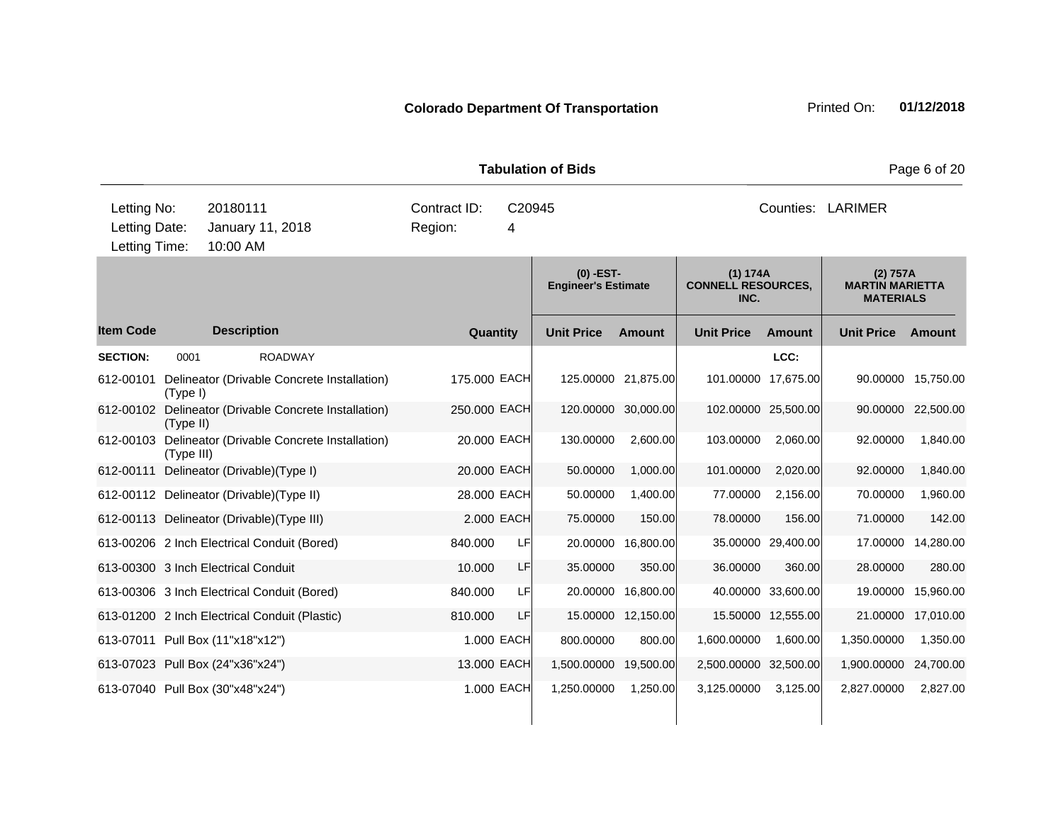|                                               |            |                                               |                                        |            | <b>Tabulation of Bids</b>                 |                     |                                               |                    |                                                        | Page 6 of 20 |
|-----------------------------------------------|------------|-----------------------------------------------|----------------------------------------|------------|-------------------------------------------|---------------------|-----------------------------------------------|--------------------|--------------------------------------------------------|--------------|
| Letting No:<br>Letting Date:<br>Letting Time: |            | 20180111<br>January 11, 2018<br>10:00 AM      | Contract ID:<br>C20945<br>Region:<br>4 |            |                                           |                     | Counties: LARIMER                             |                    |                                                        |              |
|                                               |            |                                               |                                        |            | $(0)$ -EST-<br><b>Engineer's Estimate</b> |                     | (1) 174A<br><b>CONNELL RESOURCES,</b><br>INC. |                    | (2) 757A<br><b>MARTIN MARIETTA</b><br><b>MATERIALS</b> |              |
| <b>Item Code</b>                              |            | <b>Description</b>                            | Quantity                               |            | <b>Unit Price</b>                         | <b>Amount</b>       | <b>Unit Price</b>                             | <b>Amount</b>      | <b>Unit Price</b>                                      | Amount       |
| <b>SECTION:</b>                               | 0001       | <b>ROADWAY</b>                                |                                        |            |                                           |                     |                                               | LCC:               |                                                        |              |
| 612-00101                                     | (Type I)   | Delineator (Drivable Concrete Installation)   | 175.000 EACH                           |            |                                           | 125.00000 21,875.00 | 101.00000 17,675.00                           |                    | 90.00000                                               | 15,750.00    |
| 612-00102                                     | (Type II)  | Delineator (Drivable Concrete Installation)   | 250.000 EACH                           |            |                                           | 120.00000 30,000.00 | 102.00000 25,500.00                           |                    | 90.00000                                               | 22,500.00    |
| 612-00103                                     | (Type III) | Delineator (Drivable Concrete Installation)   | 20.000 EACH                            |            | 130.00000                                 | 2,600.00            | 103.00000                                     | 2,060.00           | 92.00000                                               | 1,840.00     |
| 612-00111                                     |            | Delineator (Drivable) (Type I)                | 20,000 EACH                            |            | 50.00000                                  | 1,000.00            | 101.00000                                     | 2,020.00           | 92.00000                                               | 1,840.00     |
|                                               |            | 612-00112 Delineator (Drivable) (Type II)     | 28.000 EACH                            |            | 50.00000                                  | 1,400.00            | 77.00000                                      | 2,156.00           | 70.00000                                               | 1,960.00     |
|                                               |            | 612-00113 Delineator (Drivable) (Type III)    |                                        | 2.000 EACH | 75.00000                                  | 150.00              | 78.00000                                      | 156.00             | 71.00000                                               | 142.00       |
|                                               |            | 613-00206 2 Inch Electrical Conduit (Bored)   | 840.000                                | LF         |                                           | 20.00000 16,800.00  |                                               | 35.00000 29,400.00 | 17.00000                                               | 14,280.00    |
|                                               |            | 613-00300 3 Inch Electrical Conduit           | 10.000                                 | LF         | 35.00000                                  | 350.00              | 36.00000                                      | 360.00             | 28.00000                                               | 280.00       |
|                                               |            | 613-00306 3 Inch Electrical Conduit (Bored)   | 840.000                                | LF         | 20.00000                                  | 16,800.00           |                                               | 40.00000 33,600.00 | 19.00000                                               | 15,960.00    |
|                                               |            | 613-01200 2 Inch Electrical Conduit (Plastic) | 810.000                                | LF         |                                           | 15.00000 12,150.00  |                                               | 15.50000 12,555.00 | 21.00000                                               | 17,010.00    |
|                                               |            | 613-07011 Pull Box (11"x18"x12")              |                                        | 1.000 EACH | 800.00000                                 | 800.00              | 1,600.00000                                   | 1,600.00           | 1,350.00000                                            | 1,350.00     |
|                                               |            | 613-07023 Pull Box (24"x36"x24")              | 13.000 EACH                            |            | 1,500.00000                               | 19,500.00           | 2,500.00000 32,500.00                         |                    | 1,900.00000                                            | 24,700.00    |
|                                               |            | 613-07040 Pull Box (30"x48"x24")              |                                        | 1.000 EACH | 1,250.00000                               | 1,250.00            | 3.125.00000                                   | 3,125.00           | 2.827.00000                                            | 2,827.00     |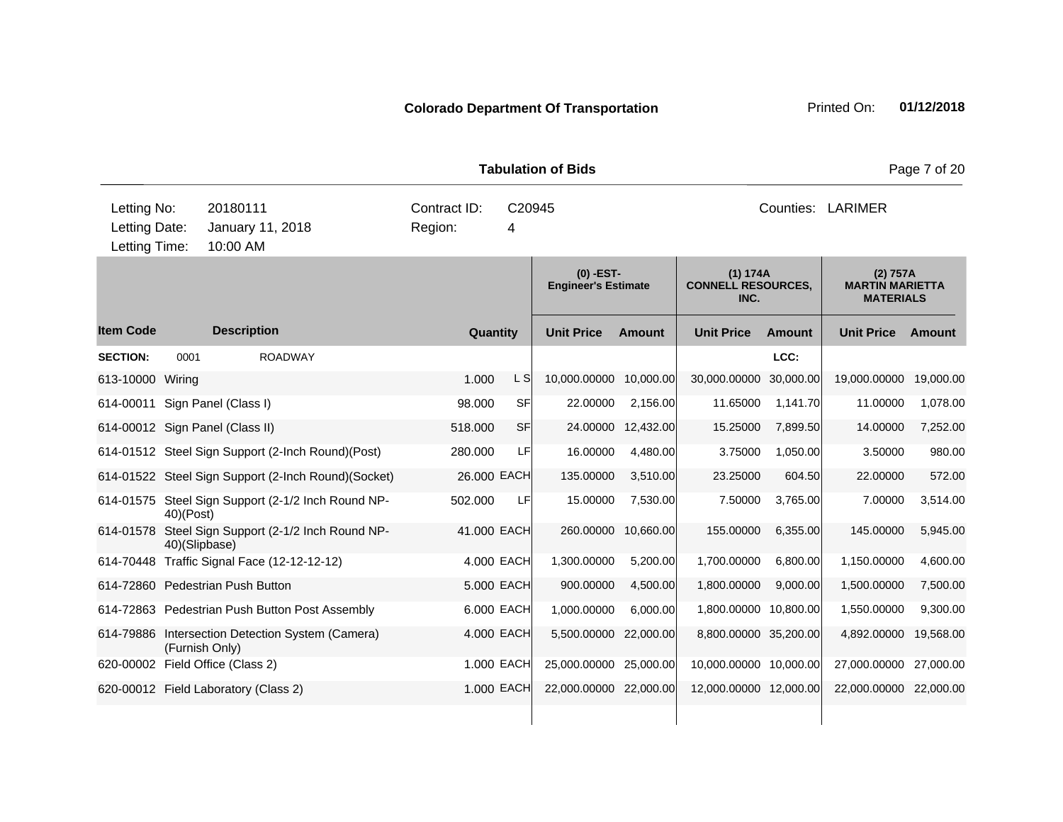|                                               |                |                                                     |  | Page 7 of 20<br><b>Tabulation of Bids</b> |             |                        |                     |                                               |               |                                                        |           |  |
|-----------------------------------------------|----------------|-----------------------------------------------------|--|-------------------------------------------|-------------|------------------------|---------------------|-----------------------------------------------|---------------|--------------------------------------------------------|-----------|--|
| Letting No:<br>Letting Date:<br>Letting Time: |                | 20180111<br>January 11, 2018<br>10:00 AM            |  | Contract ID:<br>Region:                   | C20945<br>4 |                        |                     | Counties: LARIMER                             |               |                                                        |           |  |
|                                               |                |                                                     |  | (0) -EST-<br><b>Engineer's Estimate</b>   |             |                        |                     | (1) 174A<br><b>CONNELL RESOURCES,</b><br>INC. |               | (2) 757A<br><b>MARTIN MARIETTA</b><br><b>MATERIALS</b> |           |  |
| <b>Item Code</b>                              |                | <b>Description</b>                                  |  | Quantity                                  |             | <b>Unit Price</b>      | <b>Amount</b>       | <b>Unit Price</b>                             | <b>Amount</b> | <b>Unit Price</b>                                      | Amount    |  |
| <b>SECTION:</b>                               | 0001           | <b>ROADWAY</b>                                      |  |                                           |             |                        |                     |                                               | LCC:          |                                                        |           |  |
| 613-10000 Wiring                              |                |                                                     |  | 1.000                                     | L SI        | 10,000.00000           | 10,000.00           | 30,000.00000                                  | 30,000.00     | 19,000.00000                                           | 19,000.00 |  |
|                                               |                | 614-00011 Sign Panel (Class I)                      |  | 98.000                                    | SF          | 22.00000               | 2,156.00            | 11.65000                                      | 1,141.70      | 11.00000                                               | 1,078.00  |  |
|                                               |                | 614-00012 Sign Panel (Class II)                     |  | 518,000                                   | SFI         |                        | 24.00000 12,432.00  | 15.25000                                      | 7,899.50      | 14.00000                                               | 7,252.00  |  |
|                                               |                | 614-01512 Steel Sign Support (2-Inch Round)(Post)   |  | 280.000                                   | LF          | 16.00000               | 4,480.00            | 3.75000                                       | 1,050.00      | 3.50000                                                | 980.00    |  |
|                                               |                | 614-01522 Steel Sign Support (2-Inch Round)(Socket) |  | 26.000 EACH                               |             | 135.00000              | 3,510.00            | 23.25000                                      | 604.50        | 22.00000                                               | 572.00    |  |
|                                               | 40)(Post)      | 614-01575 Steel Sign Support (2-1/2 Inch Round NP-  |  | 502.000                                   | LFI         | 15.00000               | 7,530.00            | 7.50000                                       | 3,765.00      | 7.00000                                                | 3,514.00  |  |
|                                               | 40)(Slipbase)  | 614-01578 Steel Sign Support (2-1/2 Inch Round NP-  |  | 41.000 EACH                               |             |                        | 260.00000 10,660.00 | 155.00000                                     | 6,355.00      | 145.00000                                              | 5,945.00  |  |
|                                               |                | 614-70448 Traffic Signal Face (12-12-12-12)         |  |                                           | 4.000 EACH  | 1,300.00000            | 5,200.00            | 1,700.00000                                   | 6,800.00      | 1,150.00000                                            | 4,600.00  |  |
|                                               |                | 614-72860 Pedestrian Push Button                    |  |                                           | 5.000 EACH  | 900.00000              | 4,500.00            | 1,800.00000                                   | 9,000.00      | 1,500.00000                                            | 7,500.00  |  |
|                                               |                | 614-72863 Pedestrian Push Button Post Assembly      |  |                                           | 6.000 EACH  | 1,000.00000            | 6,000.00            | 1,800.00000 10,800.00                         |               | 1,550.00000                                            | 9,300.00  |  |
|                                               | (Furnish Only) | 614-79886 Intersection Detection System (Camera)    |  |                                           | 4.000 EACH  | 5,500.00000 22,000.00  |                     | 8,800.00000 35,200.00                         |               | 4,892.00000                                            | 19,568.00 |  |
|                                               |                | 620-00002 Field Office (Class 2)                    |  |                                           | 1.000 EACH  | 25,000.00000 25,000.00 |                     | 10,000.00000 10,000.00                        |               | 27,000.00000                                           | 27,000.00 |  |
|                                               |                | 620-00012 Field Laboratory (Class 2)                |  |                                           | 1.000 EACH  | 22,000.00000 22,000.00 |                     | 12,000.00000 12,000.00                        |               | 22,000.00000 22,000.00                                 |           |  |
|                                               |                |                                                     |  |                                           |             |                        |                     |                                               |               |                                                        |           |  |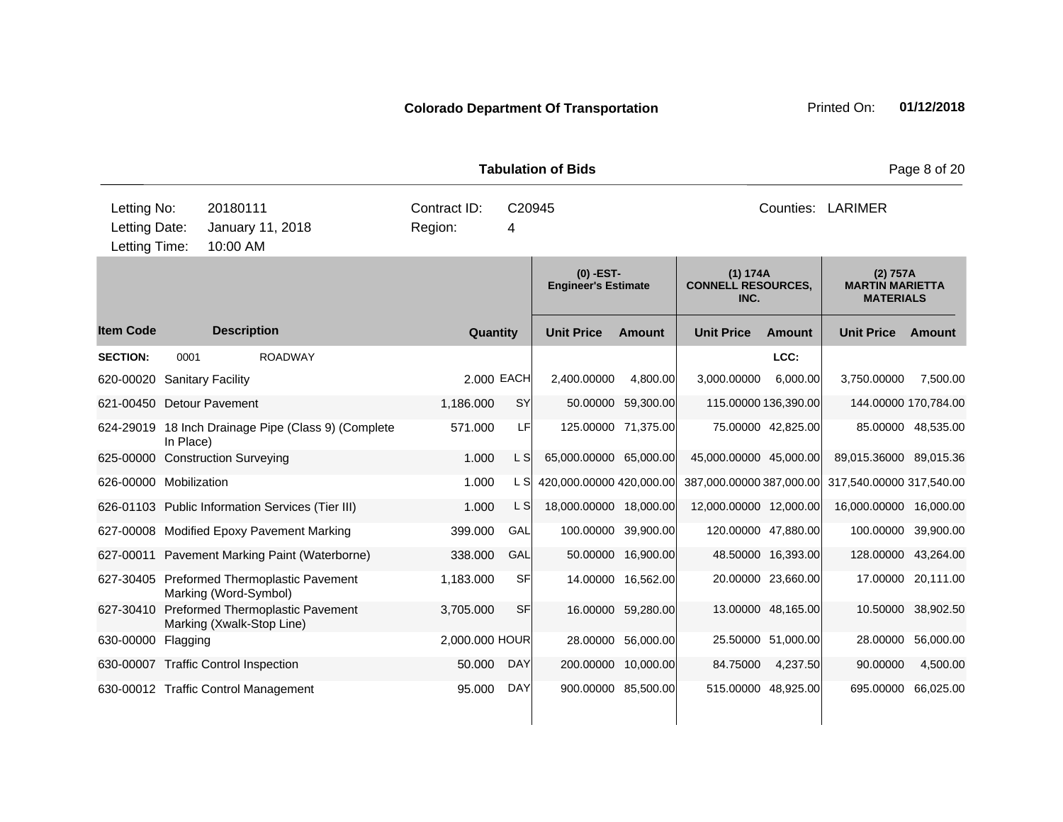|                                               |           |                                                                     |                         |                    | <b>Tabulation of Bids</b>                 |                     |                                               |                    |                                                        | Page 8 of 20        |
|-----------------------------------------------|-----------|---------------------------------------------------------------------|-------------------------|--------------------|-------------------------------------------|---------------------|-----------------------------------------------|--------------------|--------------------------------------------------------|---------------------|
| Letting No:<br>Letting Date:<br>Letting Time: |           | 20180111<br>January 11, 2018<br>10:00 AM                            | Contract ID:<br>Region: | C <sub>20945</sub> |                                           | Counties: LARIMER   |                                               |                    |                                                        |                     |
|                                               |           |                                                                     |                         |                    | $(0)$ -EST-<br><b>Engineer's Estimate</b> |                     | (1) 174A<br><b>CONNELL RESOURCES,</b><br>INC. |                    | (2) 757A<br><b>MARTIN MARIETTA</b><br><b>MATERIALS</b> |                     |
| <b>Item Code</b>                              |           | <b>Description</b>                                                  | Quantity                |                    | <b>Unit Price</b>                         | Amount              | <b>Unit Price</b>                             | Amount             | <b>Unit Price</b>                                      | Amount              |
| <b>SECTION:</b>                               | 0001      | <b>ROADWAY</b>                                                      |                         |                    |                                           |                     |                                               | LCC:               |                                                        |                     |
| 620-00020                                     |           | <b>Sanitary Facility</b>                                            | 2.000 EACH              |                    | 2,400.00000                               | 4,800.00            | 3,000.00000                                   | 6,000.00           | 3,750.00000                                            | 7,500.00            |
| 621-00450                                     |           | <b>Detour Pavement</b>                                              | 1,186.000               | SY                 | 50.00000                                  | 59,300.00           | 115.00000 136,390.00                          |                    | 144.00000 170,784.00                                   |                     |
|                                               | In Place) | 624-29019 18 Inch Drainage Pipe (Class 9) (Complete                 | 571.000                 | LF                 |                                           | 125.00000 71,375.00 |                                               | 75.00000 42,825.00 |                                                        | 85.00000 48,535.00  |
|                                               |           | 625-00000 Construction Surveying                                    | 1.000                   | L SI               | 65,000.00000 65,000.00                    |                     | 45,000.00000 45,000.00                        |                    | 89,015.36000 89,015.36                                 |                     |
| 626-00000 Mobilization                        |           |                                                                     | 1.000                   | L SI               | 420,000.00000 420,000.00                  |                     | 387,000.00000 387,000.00                      |                    | 317,540.00000 317,540.00                               |                     |
|                                               |           | 626-01103 Public Information Services (Tier III)                    | 1.000                   | L S                | 18,000.00000 18,000.00                    |                     | 12,000.00000 12,000.00                        |                    | 16,000.00000 16,000.00                                 |                     |
|                                               |           | 627-00008 Modified Epoxy Pavement Marking                           | 399.000                 | GAL                |                                           | 100.00000 39,900.00 | 120.00000 47,880.00                           |                    |                                                        | 100.00000 39,900.00 |
|                                               |           | 627-00011 Pavement Marking Paint (Waterborne)                       | 338,000                 | GAL                |                                           | 50.00000 16,900.00  |                                               | 48.50000 16,393.00 | 128.00000 43,264.00                                    |                     |
|                                               |           | 627-30405 Preformed Thermoplastic Pavement<br>Marking (Word-Symbol) | 1,183.000               | <b>SF</b>          |                                           | 14.00000 16,562.00  |                                               | 20.00000 23,660.00 |                                                        | 17.00000 20,111.00  |
| 627-30410                                     |           | Preformed Thermoplastic Pavement<br>Marking (Xwalk-Stop Line)       | 3,705.000               | <b>SF</b>          |                                           | 16.00000 59,280.00  |                                               | 13.00000 48,165.00 |                                                        | 10.50000 38,902.50  |
| 630-00000 Flagging                            |           |                                                                     | 2,000.000 HOUR          |                    | 28.00000                                  | 56,000.00           |                                               | 25.50000 51,000.00 | 28.00000                                               | 56,000.00           |
|                                               |           | 630-00007 Traffic Control Inspection                                | 50.000                  | <b>DAY</b>         |                                           | 200.00000 10,000.00 | 84.75000                                      | 4,237.50           | 90.00000                                               | 4,500.00            |
|                                               |           | 630-00012 Traffic Control Management                                | 95.000                  | <b>DAY</b>         |                                           | 900.00000 85,500.00 | 515.00000 48,925.00                           |                    | 695.00000 66,025.00                                    |                     |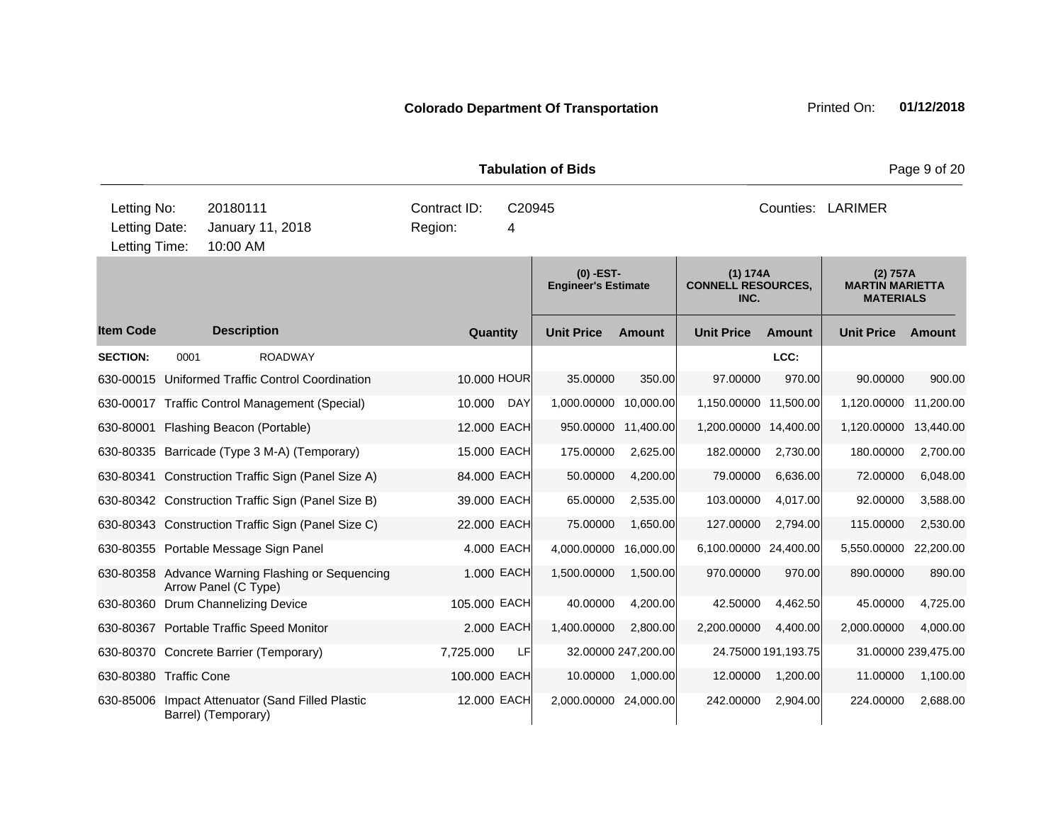|                                               |      |                      |                                                    | <b>Tabulation of Bids</b>              | Page 9 of 20 |                                           |                     |                                               |                     |                                                        |                     |  |
|-----------------------------------------------|------|----------------------|----------------------------------------------------|----------------------------------------|--------------|-------------------------------------------|---------------------|-----------------------------------------------|---------------------|--------------------------------------------------------|---------------------|--|
| Letting No:<br>Letting Date:<br>Letting Time: |      | 20180111<br>10:00 AM | January 11, 2018                                   | Contract ID:<br>C20945<br>Region:<br>4 |              |                                           |                     | Counties: LARIMER                             |                     |                                                        |                     |  |
|                                               |      |                      |                                                    |                                        |              | $(0)$ -EST-<br><b>Engineer's Estimate</b> |                     | (1) 174A<br><b>CONNELL RESOURCES,</b><br>INC. |                     | (2) 757A<br><b>MARTIN MARIETTA</b><br><b>MATERIALS</b> |                     |  |
| <b>Item Code</b>                              |      | <b>Description</b>   |                                                    |                                        | Quantity     | <b>Unit Price</b>                         | <b>Amount</b>       | <b>Unit Price</b>                             | <b>Amount</b>       | <b>Unit Price</b>                                      | Amount              |  |
| <b>SECTION:</b>                               | 0001 |                      | <b>ROADWAY</b>                                     |                                        |              |                                           |                     |                                               | LCC:                |                                                        |                     |  |
|                                               |      |                      | 630-00015 Uniformed Traffic Control Coordination   |                                        | 10,000 HOUR  | 35.00000                                  | 350.00              | 97,00000                                      | 970.00              | 90.00000                                               | 900.00              |  |
|                                               |      |                      | 630-00017 Traffic Control Management (Special)     | 10.000                                 | <b>DAY</b>   | 1,000.00000 10,000.00                     |                     | 1,150.00000 11,500.00                         |                     | 1,120.00000                                            | 11,200.00           |  |
| 630-80001 Flashing Beacon (Portable)          |      |                      |                                                    |                                        | 12.000 EACH  |                                           | 950.00000 11,400.00 | 1,200.00000 14,400.00                         |                     | 1,120.00000                                            | 13,440.00           |  |
|                                               |      |                      | 630-80335 Barricade (Type 3 M-A) (Temporary)       |                                        | 15.000 EACH  | 175.00000                                 | 2,625.00            | 182.00000                                     | 2,730.00            | 180.00000                                              | 2,700.00            |  |
|                                               |      |                      | 630-80341 Construction Traffic Sign (Panel Size A) |                                        | 84.000 EACH  | 50.00000                                  | 4,200.00            | 79.00000                                      | 6,636.00            | 72.00000                                               | 6,048.00            |  |
|                                               |      |                      | 630-80342 Construction Traffic Sign (Panel Size B) |                                        | 39.000 EACH  | 65.00000                                  | 2,535.00            | 103.00000                                     | 4,017.00            | 92.00000                                               | 3,588.00            |  |
|                                               |      |                      | 630-80343 Construction Traffic Sign (Panel Size C) |                                        | 22.000 EACH  | 75.00000                                  | 1,650.00            | 127.00000                                     | 2,794.00            | 115.00000                                              | 2,530.00            |  |
|                                               |      |                      | 630-80355 Portable Message Sign Panel              |                                        | 4.000 EACH   | 4,000.00000                               | 16,000.00           | 6,100.00000 24,400.00                         |                     | 5,550.00000                                            | 22,200.00           |  |
|                                               |      | Arrow Panel (C Type) | 630-80358 Advance Warning Flashing or Sequencing   |                                        | 1.000 EACH   | 1,500.00000                               | 1,500.00            | 970.00000                                     | 970.00              | 890.00000                                              | 890.00              |  |
| 630-80360 Drum Channelizing Device            |      |                      |                                                    |                                        | 105.000 EACH | 40.00000                                  | 4,200.00            | 42.50000                                      | 4,462.50            | 45.00000                                               | 4,725.00            |  |
|                                               |      |                      | 630-80367 Portable Traffic Speed Monitor           |                                        | 2.000 EACH   | 1,400.00000                               | 2,800.00            | 2,200.00000                                   | 4,400.00            | 2,000.00000                                            | 4,000.00            |  |
|                                               |      |                      | 630-80370 Concrete Barrier (Temporary)             | 7,725.000                              | LF           |                                           | 32.00000 247,200.00 |                                               | 24.75000 191,193.75 |                                                        | 31.00000 239,475.00 |  |
| 630-80380 Traffic Cone                        |      |                      |                                                    |                                        | 100.000 EACH | 10.00000                                  | 1,000.00            | 12.00000                                      | 1,200.00            | 11.00000                                               | 1,100.00            |  |
| 630-85006                                     |      | Barrel) (Temporary)  | Impact Attenuator (Sand Filled Plastic             |                                        | 12.000 EACH  | 2,000.00000 24,000.00                     |                     | 242.00000                                     | 2,904.00            | 224.00000                                              | 2,688.00            |  |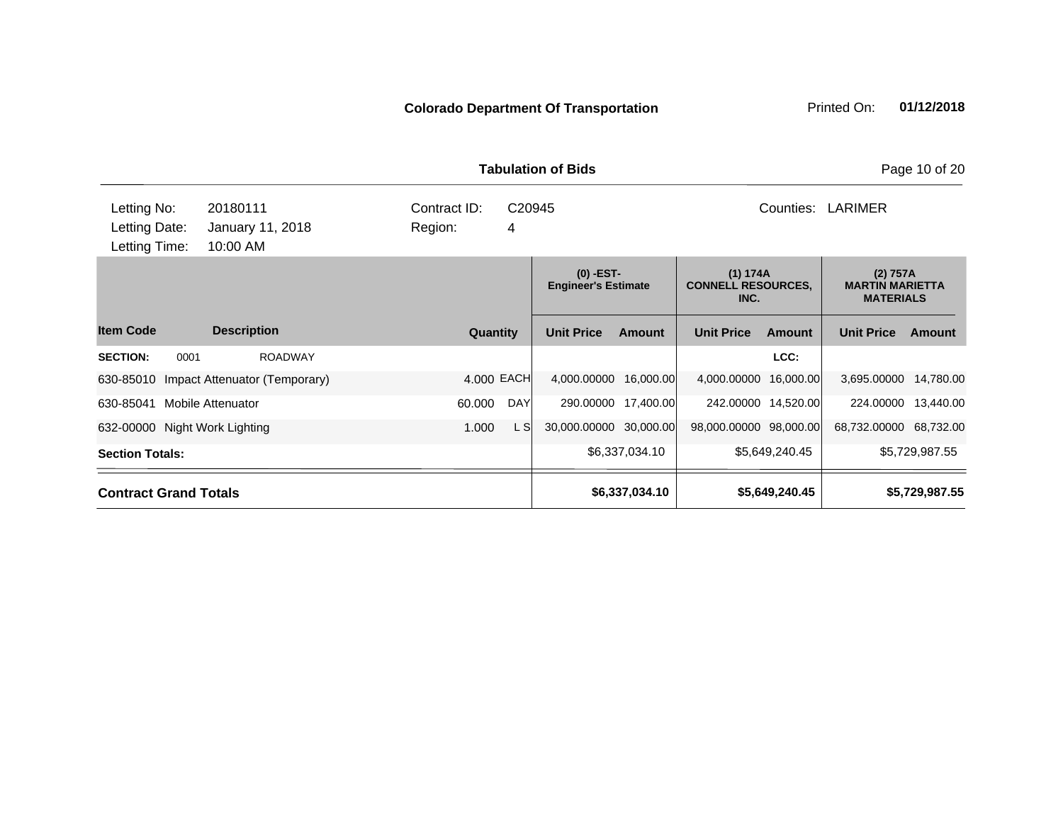| <b>Tabulation of Bids</b>     |                                                         |                 |            |                                           |                |                                               |                |                                                        | Page 10 of 20  |  |
|-------------------------------|---------------------------------------------------------|-----------------|------------|-------------------------------------------|----------------|-----------------------------------------------|----------------|--------------------------------------------------------|----------------|--|
| Letting No:<br>Letting Date:  | 20180111<br>Contract ID:<br>January 11, 2018<br>Region: |                 |            |                                           |                |                                               | Counties:      | LARIMER                                                |                |  |
| Letting Time:                 | 10:00 AM                                                |                 |            |                                           |                |                                               |                |                                                        |                |  |
|                               |                                                         |                 |            | $(0)$ -EST-<br><b>Engineer's Estimate</b> |                | (1) 174A<br><b>CONNELL RESOURCES,</b><br>INC. |                | (2) 757A<br><b>MARTIN MARIETTA</b><br><b>MATERIALS</b> |                |  |
| <b>Item Code</b>              | <b>Description</b>                                      | <b>Quantity</b> |            | <b>Unit Price</b>                         | <b>Amount</b>  | <b>Unit Price</b>                             | <b>Amount</b>  | <b>Unit Price</b>                                      | Amount         |  |
| <b>SECTION:</b><br>0001       | <b>ROADWAY</b>                                          |                 |            |                                           |                |                                               | LCC:           |                                                        |                |  |
|                               | 630-85010 Impact Attenuator (Temporary)                 | 4.000 EACH      |            | 4,000.00000 16,000.00                     |                | 4,000.00000                                   | 16,000.00      | 3,695.00000                                            | 14,780.00      |  |
| 630-85041                     | <b>Mobile Attenuator</b>                                | 60.000          | <b>DAY</b> | 290.00000                                 | 17,400.00      | 242.00000 14,520.00                           |                | 224.00000                                              | 13,440.00      |  |
| 632-00000 Night Work Lighting |                                                         | 1.000           | L SI       | 30,000.00000 30,000.00                    |                | 98,000.00000 98,000.00                        |                | 68,732.00000 68,732.00                                 |                |  |
| <b>Section Totals:</b>        |                                                         |                 |            |                                           | \$6,337,034.10 |                                               | \$5,649,240.45 |                                                        | \$5,729,987.55 |  |
|                               | <b>Contract Grand Totals</b>                            |                 |            |                                           | \$6,337,034.10 |                                               | \$5,649,240.45 |                                                        | \$5,729,987.55 |  |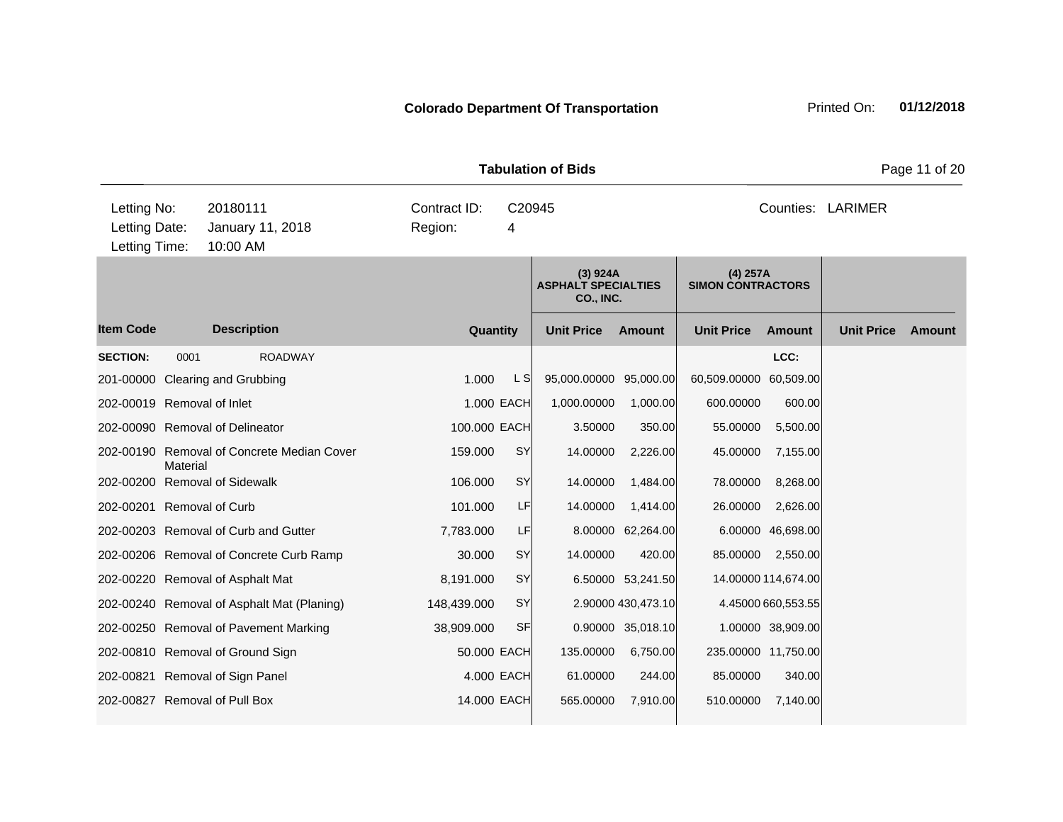| <b>Tabulation of Bids</b><br>Page 11 of 20    |          |                                            |                         |              |                                                     |                    |                                      |                     |                   |        |
|-----------------------------------------------|----------|--------------------------------------------|-------------------------|--------------|-----------------------------------------------------|--------------------|--------------------------------------|---------------------|-------------------|--------|
| Letting No:<br>Letting Date:<br>Letting Time: |          | 20180111<br>January 11, 2018<br>10:00 AM   | Contract ID:<br>Region: | 4            | C20945                                              |                    |                                      |                     | Counties: LARIMER |        |
|                                               |          |                                            |                         |              | (3) 924A<br><b>ASPHALT SPECIALTIES</b><br>CO., INC. |                    | (4) 257A<br><b>SIMON CONTRACTORS</b> |                     |                   |        |
| <b>Item Code</b>                              |          | <b>Description</b>                         |                         | Quantity     | <b>Unit Price</b>                                   | <b>Amount</b>      | <b>Unit Price</b>                    | <b>Amount</b>       | <b>Unit Price</b> | Amount |
| <b>SECTION:</b>                               | 0001     | <b>ROADWAY</b>                             |                         |              |                                                     |                    |                                      | LCC:                |                   |        |
|                                               |          | 201-00000 Clearing and Grubbing            | 1.000                   | L S          | 95,000.00000 95,000.00                              |                    | 60,509.00000 60,509.00               |                     |                   |        |
| 202-00019 Removal of Inlet                    |          |                                            |                         | 1.000 EACH   | 1,000.00000                                         | 1,000.00           | 600.00000                            | 600.00              |                   |        |
|                                               |          | 202-00090 Removal of Delineator            |                         | 100.000 EACH | 3.50000                                             | 350.00             | 55.00000                             | 5,500.00            |                   |        |
|                                               | Material | 202-00190 Removal of Concrete Median Cover | 159.000                 | SY           | 14.00000                                            | 2,226.00           | 45.00000                             | 7,155.00            |                   |        |
|                                               |          | 202-00200 Removal of Sidewalk              | 106.000                 | SY           | 14.00000                                            | 1,484.00           | 78.00000                             | 8,268.00            |                   |        |
| 202-00201 Removal of Curb                     |          |                                            | 101.000                 | LF           | 14.00000                                            | 1,414.00           | 26.00000                             | 2,626.00            |                   |        |
|                                               |          | 202-00203 Removal of Curb and Gutter       | 7,783.000               | LF           |                                                     | 8.00000 62,264.00  |                                      | 6.00000 46,698.00   |                   |        |
|                                               |          | 202-00206 Removal of Concrete Curb Ramp    | 30.000                  | SY           | 14.00000                                            | 420.00             | 85.00000                             | 2,550.00            |                   |        |
|                                               |          | 202-00220 Removal of Asphalt Mat           | 8,191.000               | <b>SY</b>    |                                                     | 6.50000 53,241.50  |                                      | 14.00000 114,674.00 |                   |        |
|                                               |          | 202-00240 Removal of Asphalt Mat (Planing) | 148,439.000             | SY           |                                                     | 2.90000 430,473.10 |                                      | 4.45000 660,553.55  |                   |        |
|                                               |          | 202-00250 Removal of Pavement Marking      | 38,909.000              | <b>SF</b>    |                                                     | 0.90000 35,018.10  |                                      | 1.00000 38,909.00   |                   |        |
|                                               |          | 202-00810 Removal of Ground Sign           |                         | 50.000 EACH  | 135.00000                                           | 6,750.00           |                                      | 235.00000 11,750.00 |                   |        |
|                                               |          | 202-00821 Removal of Sign Panel            |                         | 4.000 EACH   | 61.00000                                            | 244.00             | 85.00000                             | 340.00              |                   |        |
|                                               |          | 202-00827 Removal of Pull Box              |                         | 14.000 EACH  | 565.00000                                           | 7,910.00           | 510.00000                            | 7,140.00            |                   |        |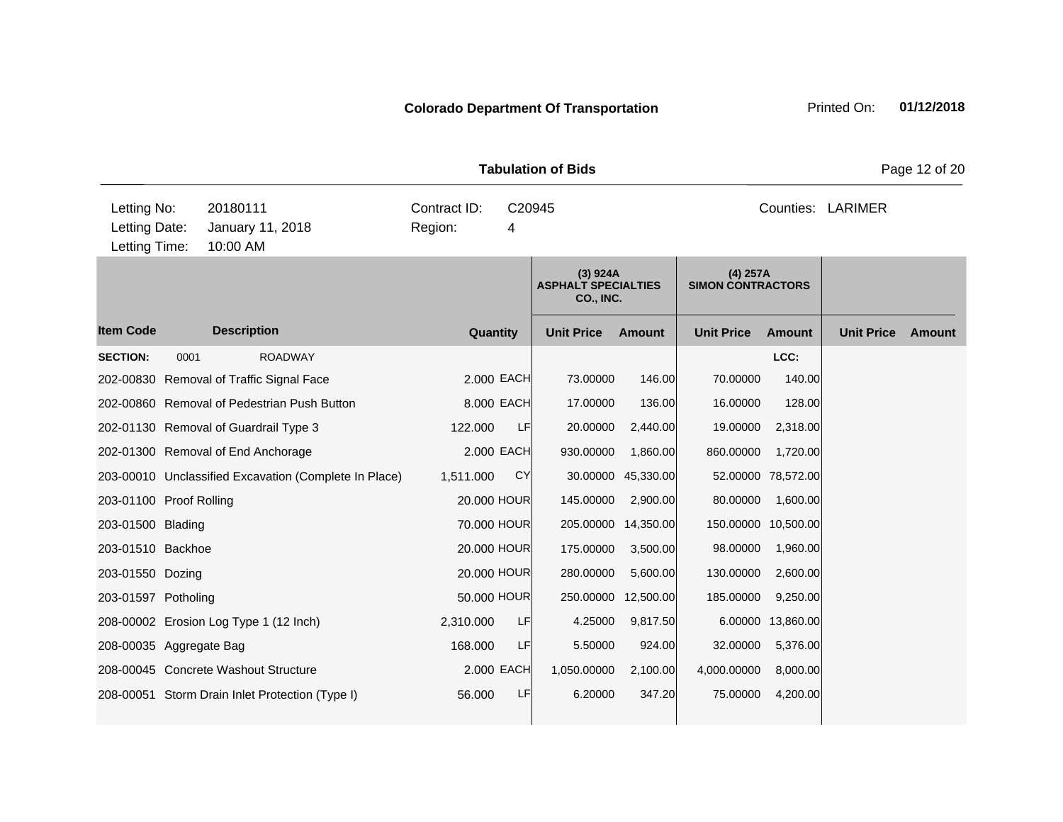| <b>Tabulation of Bids</b>                     |      |                                                       |                                        |             |                                                     |                   |                                        |                     |                   | Page 12 of 20 |
|-----------------------------------------------|------|-------------------------------------------------------|----------------------------------------|-------------|-----------------------------------------------------|-------------------|----------------------------------------|---------------------|-------------------|---------------|
| Letting No:<br>Letting Date:<br>Letting Time: |      | 20180111<br>January 11, 2018<br>10:00 AM              | Contract ID:<br>C20945<br>Region:<br>4 |             |                                                     | Counties: LARIMER |                                        |                     |                   |               |
|                                               |      |                                                       |                                        |             | (3) 924A<br><b>ASPHALT SPECIALTIES</b><br>CO., INC. |                   | $(4)$ 257A<br><b>SIMON CONTRACTORS</b> |                     |                   |               |
| <b>Item Code</b>                              |      | <b>Description</b>                                    |                                        | Quantity    | <b>Unit Price</b>                                   | <b>Amount</b>     | <b>Unit Price</b>                      | <b>Amount</b>       | <b>Unit Price</b> | <b>Amount</b> |
| <b>SECTION:</b>                               | 0001 | <b>ROADWAY</b>                                        |                                        |             |                                                     |                   |                                        | LCC:                |                   |               |
|                                               |      | 202-00830 Removal of Traffic Signal Face              |                                        | 2.000 EACH  | 73.00000                                            | 146.00            | 70.00000                               | 140.00              |                   |               |
|                                               |      | 202-00860 Removal of Pedestrian Push Button           |                                        | 8.000 EACH  | 17.00000                                            | 136.00            | 16.00000                               | 128.00              |                   |               |
|                                               |      | 202-01130 Removal of Guardrail Type 3                 | 122.000                                | LF          | 20.00000                                            | 2,440.00          | 19.00000                               | 2,318.00            |                   |               |
|                                               |      | 202-01300 Removal of End Anchorage                    |                                        | 2,000 EACH  | 930.00000                                           | 1.860.00          | 860.00000                              | 1,720.00            |                   |               |
|                                               |      | 203-00010 Unclassified Excavation (Complete In Place) | 1,511.000                              | <b>CY</b>   | 30.00000                                            | 45,330.00         |                                        | 52.00000 78,572.00  |                   |               |
| 203-01100 Proof Rolling                       |      |                                                       | 20.000 HOUR                            |             | 145.00000                                           | 2,900.00          | 80.00000                               | 1,600.00            |                   |               |
| 203-01500 Blading                             |      |                                                       | 70,000 HOUR                            |             | 205.00000                                           | 14,350.00         |                                        | 150.00000 10,500.00 |                   |               |
| 203-01510 Backhoe                             |      |                                                       | 20.000 HOUR                            |             | 175.00000                                           | 3,500.00          | 98.00000                               | 1,960.00            |                   |               |
| 203-01550 Dozing                              |      |                                                       | 20.000 HOUR                            |             | 280.00000                                           | 5,600.00          | 130.00000                              | 2,600.00            |                   |               |
| 203-01597 Potholing                           |      |                                                       |                                        | 50.000 HOUR | 250.00000                                           | 12,500.00         | 185.00000                              | 9,250.00            |                   |               |
|                                               |      | 208-00002 Erosion Log Type 1 (12 Inch)                | 2,310.000                              | LF          | 4.25000                                             | 9,817.50          |                                        | 6.00000 13,860.00   |                   |               |
| 208-00035 Aggregate Bag                       |      |                                                       | 168.000                                | LF          | 5.50000                                             | 924.00            | 32.00000                               | 5,376.00            |                   |               |
|                                               |      | 208-00045 Concrete Washout Structure                  |                                        | 2.000 EACH  | 1,050.00000                                         | 2,100.00          | 4,000.00000                            | 8,000.00            |                   |               |
|                                               |      | 208-00051 Storm Drain Inlet Protection (Type I)       | 56.000                                 | LF          | 6.20000                                             | 347.20            | 75.00000                               | 4,200.00            |                   |               |
|                                               |      |                                                       |                                        |             |                                                     |                   |                                        |                     |                   |               |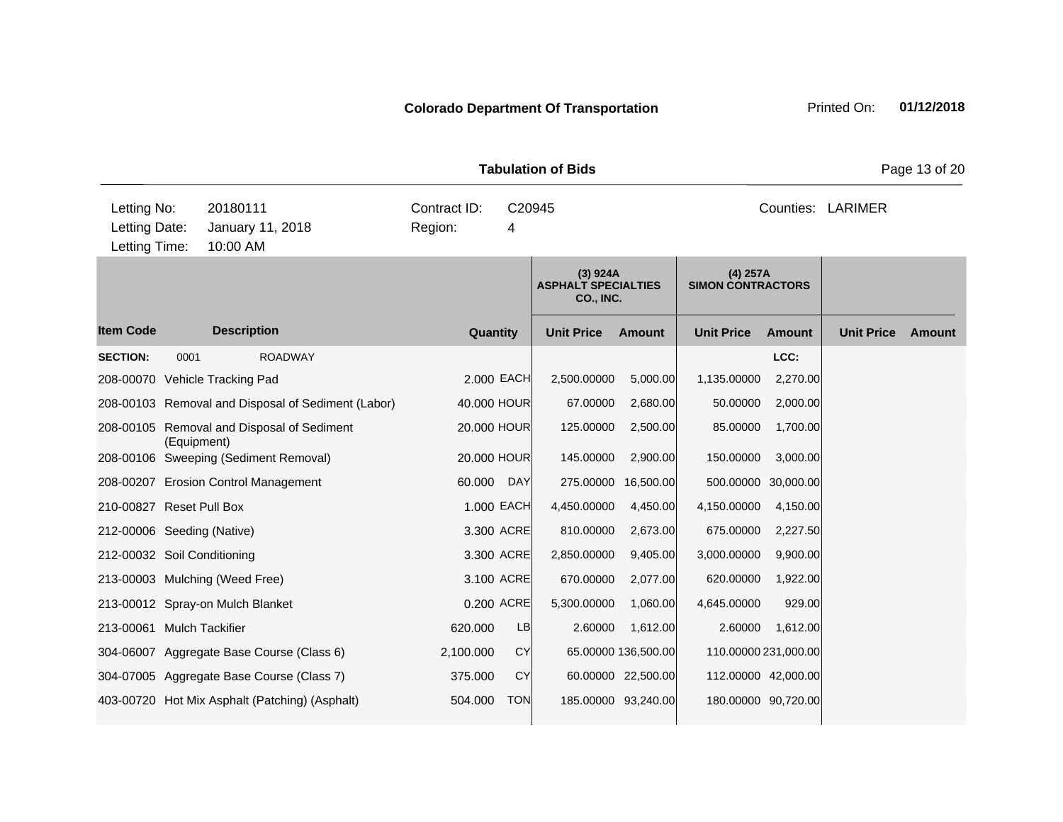|                                               |             |                                                    |                                        |            | <b>Tabulation of Bids</b>                                  |                     | Page 13 of 20                          |                     |                   |               |  |
|-----------------------------------------------|-------------|----------------------------------------------------|----------------------------------------|------------|------------------------------------------------------------|---------------------|----------------------------------------|---------------------|-------------------|---------------|--|
| Letting No:<br>Letting Date:<br>Letting Time: |             | 20180111<br>January 11, 2018<br>10:00 AM           | Contract ID:<br>C20945<br>Region:<br>4 |            |                                                            | Counties: LARIMER   |                                        |                     |                   |               |  |
|                                               |             |                                                    |                                        |            | (3) 924A<br><b>ASPHALT SPECIALTIES</b><br><b>CO., INC.</b> |                     | $(4)$ 257A<br><b>SIMON CONTRACTORS</b> |                     |                   |               |  |
| <b>Item Code</b>                              |             | <b>Description</b>                                 | Quantity                               |            | <b>Unit Price</b>                                          | <b>Amount</b>       | <b>Unit Price</b>                      | <b>Amount</b>       | <b>Unit Price</b> | <b>Amount</b> |  |
| <b>SECTION:</b>                               | 0001        | <b>ROADWAY</b>                                     |                                        |            |                                                            |                     |                                        | LCC:                |                   |               |  |
|                                               |             | 208-00070 Vehicle Tracking Pad                     |                                        | 2.000 EACH | 2,500.00000                                                | 5,000.00            | 1,135.00000                            | 2,270.00            |                   |               |  |
|                                               |             | 208-00103 Removal and Disposal of Sediment (Labor) | 40.000 HOUR                            |            | 67.00000                                                   | 2,680.00            | 50.00000                               | 2,000.00            |                   |               |  |
|                                               | (Equipment) | 208-00105 Removal and Disposal of Sediment         | 20.000 HOUR                            |            | 125.00000                                                  | 2,500.00            | 85.00000                               | 1,700.00            |                   |               |  |
|                                               |             | 208-00106 Sweeping (Sediment Removal)              | 20.000 HOUR                            |            | 145.00000                                                  | 2,900.00            | 150.00000                              | 3,000.00            |                   |               |  |
|                                               |             | 208-00207 Erosion Control Management               | 60.000                                 | DAY        | 275.00000                                                  | 16,500.00           | 500.00000 30,000.00                    |                     |                   |               |  |
| 210-00827 Reset Pull Box                      |             |                                                    |                                        | 1.000 EACH | 4,450.00000                                                | 4,450.00            | 4,150.00000                            | 4,150.00            |                   |               |  |
| 212-00006 Seeding (Native)                    |             |                                                    |                                        | 3.300 ACRE | 810.00000                                                  | 2,673.00            | 675.00000                              | 2,227.50            |                   |               |  |
| 212-00032 Soil Conditioning                   |             |                                                    |                                        | 3.300 ACRE | 2,850.00000                                                | 9,405.00            | 3,000.00000                            | 9,900.00            |                   |               |  |
|                                               |             | 213-00003 Mulching (Weed Free)                     |                                        | 3.100 ACRE | 670.00000                                                  | 2,077.00            | 620.00000                              | 1,922.00            |                   |               |  |
|                                               |             | 213-00012 Spray-on Mulch Blanket                   |                                        | 0.200 ACRE | 5,300.00000                                                | 1,060.00            | 4,645.00000                            | 929.00              |                   |               |  |
| 213-00061 Mulch Tackifier                     |             |                                                    | 620.000                                | <b>LB</b>  | 2.60000                                                    | 1,612.00            | 2.60000                                | 1,612.00            |                   |               |  |
|                                               |             | 304-06007 Aggregate Base Course (Class 6)          | 2,100.000                              | <b>CY</b>  |                                                            | 65.00000 136,500.00 | 110.00000 231,000.00                   |                     |                   |               |  |
|                                               |             | 304-07005 Aggregate Base Course (Class 7)          | 375.000                                | CY         |                                                            | 60.00000 22,500.00  | 112.00000 42,000.00                    |                     |                   |               |  |
|                                               |             | 403-00720 Hot Mix Asphalt (Patching) (Asphalt)     | 504.000                                | <b>TON</b> |                                                            | 185.00000 93,240.00 |                                        | 180.00000 90,720.00 |                   |               |  |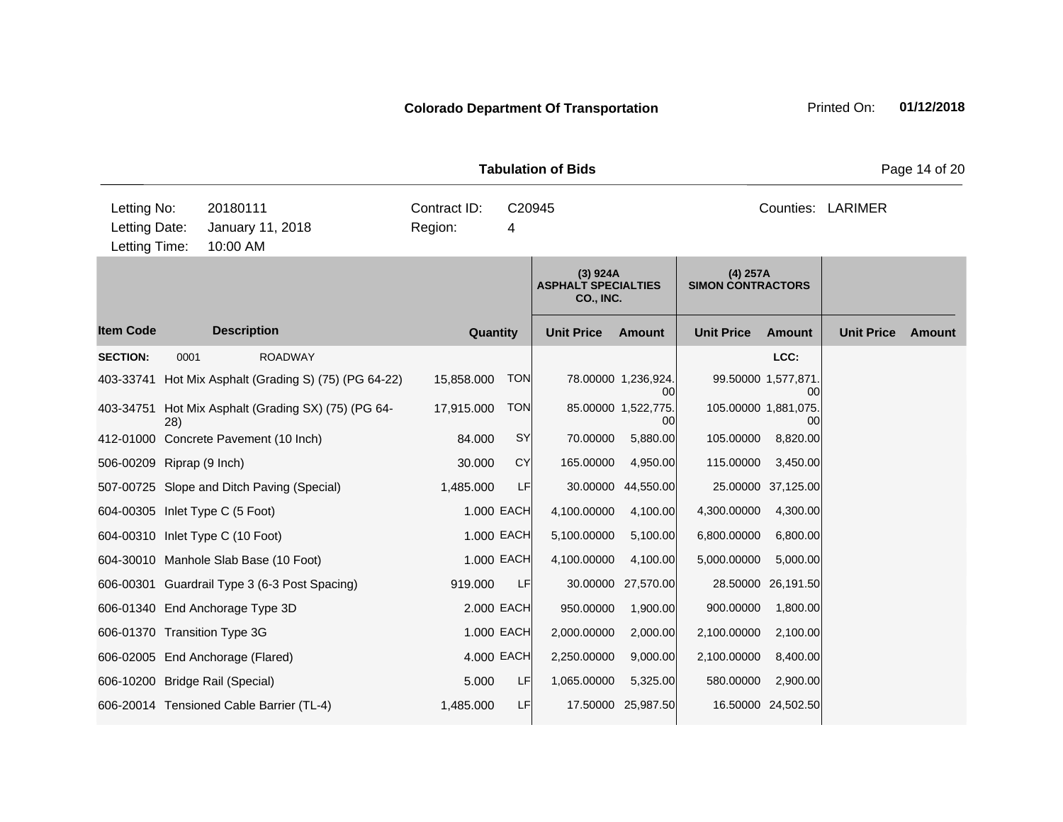|                           |                                                                                           |                                                       |                                        |            | <b>Tabulation of Bids</b>                           |                          |                                        |                            |                   | Page 14 of 20 |
|---------------------------|-------------------------------------------------------------------------------------------|-------------------------------------------------------|----------------------------------------|------------|-----------------------------------------------------|--------------------------|----------------------------------------|----------------------------|-------------------|---------------|
|                           | Letting No:<br>20180111<br>Letting Date:<br>January 11, 2018<br>Letting Time:<br>10:00 AM |                                                       | Contract ID:<br>C20945<br>Region:<br>4 |            |                                                     |                          |                                        | Counties: LARIMER          |                   |               |
|                           |                                                                                           |                                                       |                                        |            | (3) 924A<br><b>ASPHALT SPECIALTIES</b><br>CO., INC. |                          | $(4)$ 257A<br><b>SIMON CONTRACTORS</b> |                            |                   |               |
| <b>Item Code</b>          |                                                                                           | <b>Description</b>                                    | Quantity                               |            | <b>Unit Price</b>                                   | <b>Amount</b>            | <b>Unit Price</b>                      | <b>Amount</b>              | <b>Unit Price</b> | <b>Amount</b> |
| <b>SECTION:</b>           | 0001                                                                                      | <b>ROADWAY</b>                                        |                                        |            |                                                     |                          |                                        | LCC:                       |                   |               |
|                           |                                                                                           | 403-33741 Hot Mix Asphalt (Grading S) (75) (PG 64-22) | 15,858.000                             | <b>TON</b> |                                                     | 78.00000 1,236,924<br>00 |                                        | 99.50000 1,577,871<br>00   |                   |               |
|                           | 28)                                                                                       | 403-34751 Hot Mix Asphalt (Grading SX) (75) (PG 64-   | 17,915.000                             | <b>TON</b> |                                                     | 85.00000 1,522,775<br>00 |                                        | 105.00000 1,881,075.<br>00 |                   |               |
|                           |                                                                                           | 412-01000 Concrete Pavement (10 Inch)                 | 84.000                                 | <b>SY</b>  | 70.00000                                            | 5,880.00                 | 105.00000                              | 8,820.00                   |                   |               |
| 506-00209 Riprap (9 Inch) |                                                                                           |                                                       | 30.000                                 | <b>CY</b>  | 165.00000                                           | 4,950.00                 | 115.00000                              | 3,450.00                   |                   |               |
|                           |                                                                                           | 507-00725 Slope and Ditch Paving (Special)            | 1,485.000                              | LF         | 30.00000                                            | 44,550.00                |                                        | 25.00000 37,125.00         |                   |               |
|                           |                                                                                           | 604-00305 Inlet Type C (5 Foot)                       |                                        | 1.000 EACH | 4,100.00000                                         | 4,100.00                 | 4,300.00000                            | 4,300.00                   |                   |               |
|                           |                                                                                           | 604-00310 Inlet Type C (10 Foot)                      |                                        | 1.000 EACH | 5,100.00000                                         | 5,100.00                 | 6,800.00000                            | 6,800.00                   |                   |               |
|                           |                                                                                           | 604-30010 Manhole Slab Base (10 Foot)                 | 1.000 EACH                             |            | 4,100.00000                                         | 4,100.00                 | 5,000.00000                            | 5,000.00                   |                   |               |
|                           |                                                                                           | 606-00301 Guardrail Type 3 (6-3 Post Spacing)         | 919.000                                | <b>LF</b>  |                                                     | 30.00000 27,570.00       |                                        | 28.50000 26,191.50         |                   |               |
|                           |                                                                                           | 606-01340 End Anchorage Type 3D                       | 2.000 EACH                             |            | 950.00000                                           | 1,900.00                 | 900.00000                              | 1,800.00                   |                   |               |
|                           |                                                                                           | 606-01370 Transition Type 3G                          |                                        | 1.000 EACH | 2,000.00000                                         | 2,000.00                 | 2,100.00000                            | 2,100.00                   |                   |               |
|                           |                                                                                           | 606-02005 End Anchorage (Flared)                      | 4.000 EACH                             |            | 2,250.00000                                         | 9,000.00                 | 2,100.00000                            | 8,400.00                   |                   |               |
|                           |                                                                                           | 606-10200 Bridge Rail (Special)                       | 5.000                                  | LF         | 1,065.00000                                         | 5,325.00                 | 580.00000                              | 2,900.00                   |                   |               |
|                           |                                                                                           | 606-20014 Tensioned Cable Barrier (TL-4)              | 1,485.000                              | LF         |                                                     | 17.50000 25,987.50       |                                        | 16.50000 24,502.50         |                   |               |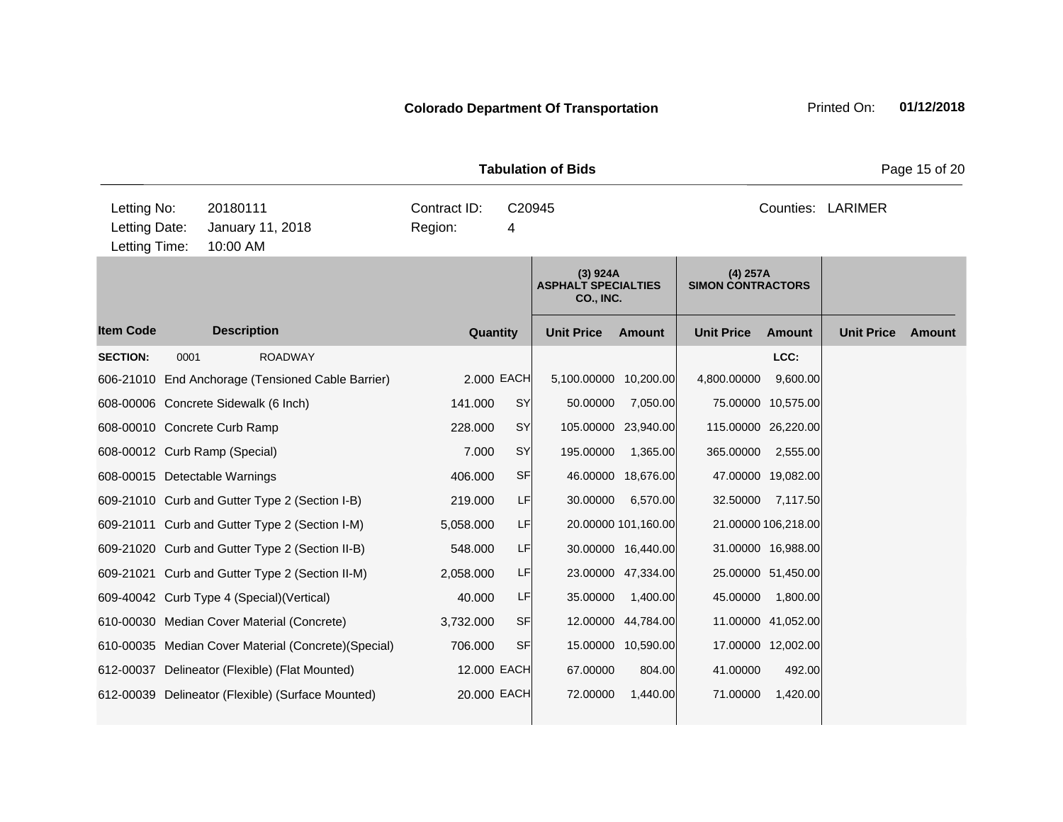| <b>Tabulation of Bids</b>                     |      |                                                      |                         |             |                                                            |                     |                                        |                     |                   | Page 15 of 20 |
|-----------------------------------------------|------|------------------------------------------------------|-------------------------|-------------|------------------------------------------------------------|---------------------|----------------------------------------|---------------------|-------------------|---------------|
| Letting No:<br>Letting Date:<br>Letting Time: |      | 20180111<br>January 11, 2018<br>10:00 AM             | Contract ID:<br>Region: | C20945<br>4 |                                                            |                     |                                        |                     | Counties: LARIMER |               |
|                                               |      |                                                      |                         |             | (3) 924A<br><b>ASPHALT SPECIALTIES</b><br><b>CO., INC.</b> |                     | $(4)$ 257A<br><b>SIMON CONTRACTORS</b> |                     |                   |               |
| <b>Item Code</b>                              |      | <b>Description</b>                                   | Quantity                |             | <b>Unit Price</b>                                          | <b>Amount</b>       | <b>Unit Price</b>                      | <b>Amount</b>       | <b>Unit Price</b> | Amount        |
| <b>SECTION:</b>                               | 0001 | <b>ROADWAY</b>                                       |                         |             |                                                            |                     |                                        | LCC:                |                   |               |
|                                               |      | 606-21010 End Anchorage (Tensioned Cable Barrier)    |                         | 2.000 EACH  | 5,100.00000 10,200.00                                      |                     | 4,800.00000                            | 9,600.00            |                   |               |
|                                               |      | 608-00006 Concrete Sidewalk (6 Inch)                 | 141.000                 | SY          | 50.00000                                                   | 7,050.00            |                                        | 75.00000 10,575.00  |                   |               |
|                                               |      | 608-00010 Concrete Curb Ramp                         | 228.000                 | SY          |                                                            | 105.00000 23,940.00 |                                        | 115.00000 26,220.00 |                   |               |
|                                               |      | 608-00012 Curb Ramp (Special)                        | 7.000                   | SY          | 195.00000                                                  | 1,365.00            | 365.00000                              | 2,555.00            |                   |               |
|                                               |      | 608-00015 Detectable Warnings                        | 406.000                 | <b>SF</b>   | 46.00000                                                   | 18,676.00           |                                        | 47.00000 19,082.00  |                   |               |
|                                               |      | 609-21010 Curb and Gutter Type 2 (Section I-B)       | 219.000                 | LF          | 30.00000                                                   | 6,570.00            | 32.50000                               | 7,117.50            |                   |               |
|                                               |      | 609-21011 Curb and Gutter Type 2 (Section I-M)       | 5,058.000               | LF          |                                                            | 20.00000 101,160.00 |                                        | 21.00000 106,218.00 |                   |               |
|                                               |      | 609-21020 Curb and Gutter Type 2 (Section II-B)      | 548.000                 | LF          |                                                            | 30.00000 16,440.00  |                                        | 31.00000 16,988.00  |                   |               |
|                                               |      | 609-21021 Curb and Gutter Type 2 (Section II-M)      | 2,058.000               | LF          |                                                            | 23.00000 47,334.00  |                                        | 25.00000 51,450.00  |                   |               |
|                                               |      | 609-40042 Curb Type 4 (Special) (Vertical)           | 40.000                  | LF          | 35.00000                                                   | 1,400.00            | 45.00000                               | 1,800.00            |                   |               |
|                                               |      | 610-00030 Median Cover Material (Concrete)           | 3,732.000               | <b>SF</b>   |                                                            | 12.00000 44,784.00  |                                        | 11.00000 41,052.00  |                   |               |
|                                               |      | 610-00035 Median Cover Material (Concrete) (Special) | 706.000                 | <b>SF</b>   |                                                            | 15.00000 10,590.00  |                                        | 17.00000 12,002.00  |                   |               |
|                                               |      | 612-00037 Delineator (Flexible) (Flat Mounted)       | 12.000 EACH             |             | 67.00000                                                   | 804.00              | 41.00000                               | 492.00              |                   |               |
|                                               |      | 612-00039 Delineator (Flexible) (Surface Mounted)    | 20.000 EACH             |             | 72.00000                                                   | 1,440.00            | 71.00000                               | 1,420.00            |                   |               |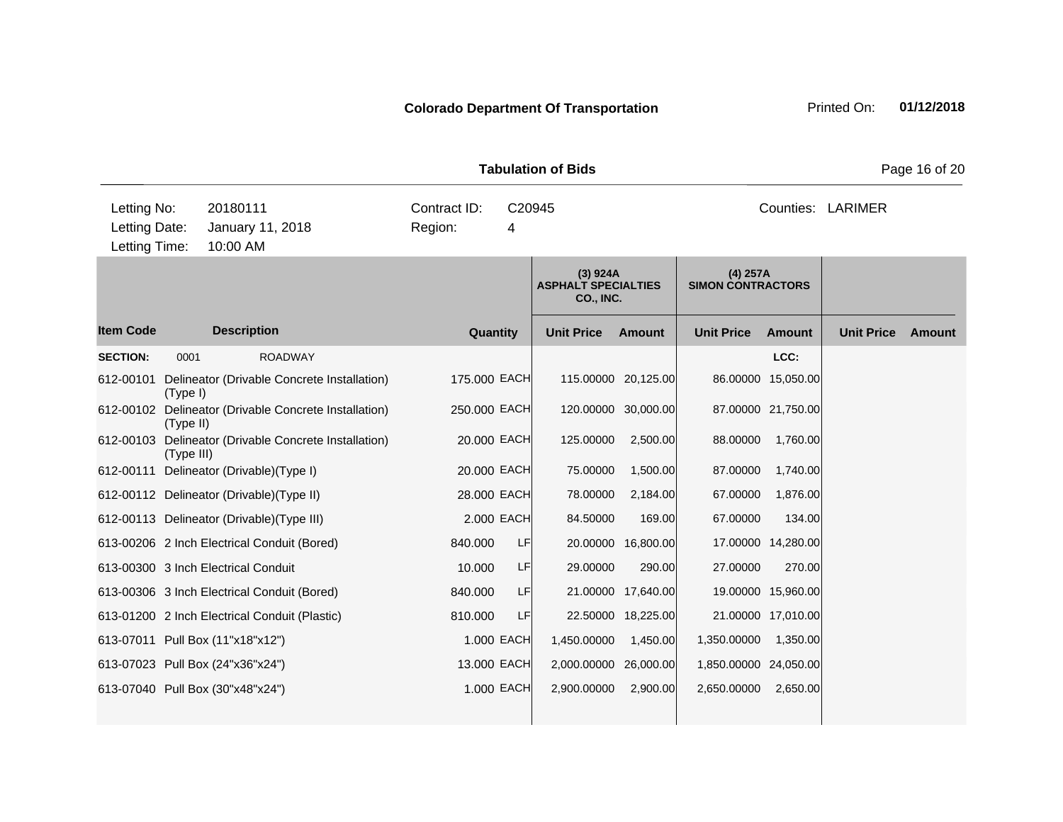| <b>Tabulation of Bids</b><br>Page 16 of 20    |            |                                                       |                                        |            |                                                     |                     |                                        |                    |                   |        |
|-----------------------------------------------|------------|-------------------------------------------------------|----------------------------------------|------------|-----------------------------------------------------|---------------------|----------------------------------------|--------------------|-------------------|--------|
| Letting No:<br>Letting Date:<br>Letting Time: |            | 20180111<br>January 11, 2018<br>10:00 AM              | Contract ID:<br>C20945<br>Region:<br>4 |            |                                                     | Counties: LARIMER   |                                        |                    |                   |        |
|                                               |            |                                                       |                                        |            | (3) 924A<br><b>ASPHALT SPECIALTIES</b><br>CO., INC. |                     | $(4)$ 257A<br><b>SIMON CONTRACTORS</b> |                    |                   |        |
| <b>Item Code</b>                              |            | <b>Description</b>                                    | Quantity                               |            | <b>Unit Price</b>                                   | Amount              | <b>Unit Price</b>                      | <b>Amount</b>      | <b>Unit Price</b> | Amount |
| <b>SECTION:</b>                               | 0001       | <b>ROADWAY</b>                                        |                                        |            |                                                     |                     |                                        | LCC:               |                   |        |
| 612-00101                                     | (Type I)   | Delineator (Drivable Concrete Installation)           | 175.000 EACH                           |            |                                                     | 115.00000 20,125.00 |                                        | 86.00000 15,050.00 |                   |        |
|                                               | (Type II)  | 612-00102 Delineator (Drivable Concrete Installation) | 250.000 EACH                           |            |                                                     | 120.00000 30,000.00 |                                        | 87.00000 21,750.00 |                   |        |
|                                               | (Type III) | 612-00103 Delineator (Drivable Concrete Installation) | 20.000 EACH                            |            | 125.00000                                           | 2,500.00            | 88.00000                               | 1,760.00           |                   |        |
|                                               |            | 612-00111 Delineator (Drivable) (Type I)              | 20.000 EACH                            |            | 75.00000                                            | 1,500.00            | 87.00000                               | 1,740.00           |                   |        |
|                                               |            | 612-00112 Delineator (Drivable) (Type II)             | 28.000 EACH                            |            | 78.00000                                            | 2,184.00            | 67.00000                               | 1,876.00           |                   |        |
|                                               |            | 612-00113 Delineator (Drivable) (Type III)            | 2.000 EACH                             |            | 84.50000                                            | 169.00              | 67.00000                               | 134.00             |                   |        |
|                                               |            | 613-00206 2 Inch Electrical Conduit (Bored)           | 840.000                                | <b>LF</b>  |                                                     | 20.00000 16,800.00  |                                        | 17.00000 14,280.00 |                   |        |
|                                               |            | 613-00300 3 Inch Electrical Conduit                   | 10.000                                 | <b>LF</b>  | 29.00000                                            | 290.00              | 27.00000                               | 270.00             |                   |        |
|                                               |            | 613-00306 3 Inch Electrical Conduit (Bored)           | 840.000                                | LF         |                                                     | 21.00000 17,640.00  |                                        | 19.00000 15,960.00 |                   |        |
|                                               |            | 613-01200 2 Inch Electrical Conduit (Plastic)         | 810.000                                | LF         |                                                     | 22.50000 18,225.00  |                                        | 21.00000 17,010.00 |                   |        |
|                                               |            | 613-07011 Pull Box (11"x18"x12")                      |                                        | 1.000 EACH | 1,450.00000                                         | 1,450.00            | 1,350.00000                            | 1,350.00           |                   |        |
|                                               |            | 613-07023 Pull Box (24"x36"x24")                      | 13.000 EACH                            |            | 2,000.00000 26,000.00                               |                     | 1,850.00000 24,050.00                  |                    |                   |        |
|                                               |            | 613-07040 Pull Box (30"x48"x24")                      |                                        | 1.000 EACH | 2,900.00000                                         | 2,900.00            | 2,650.00000                            | 2,650.00           |                   |        |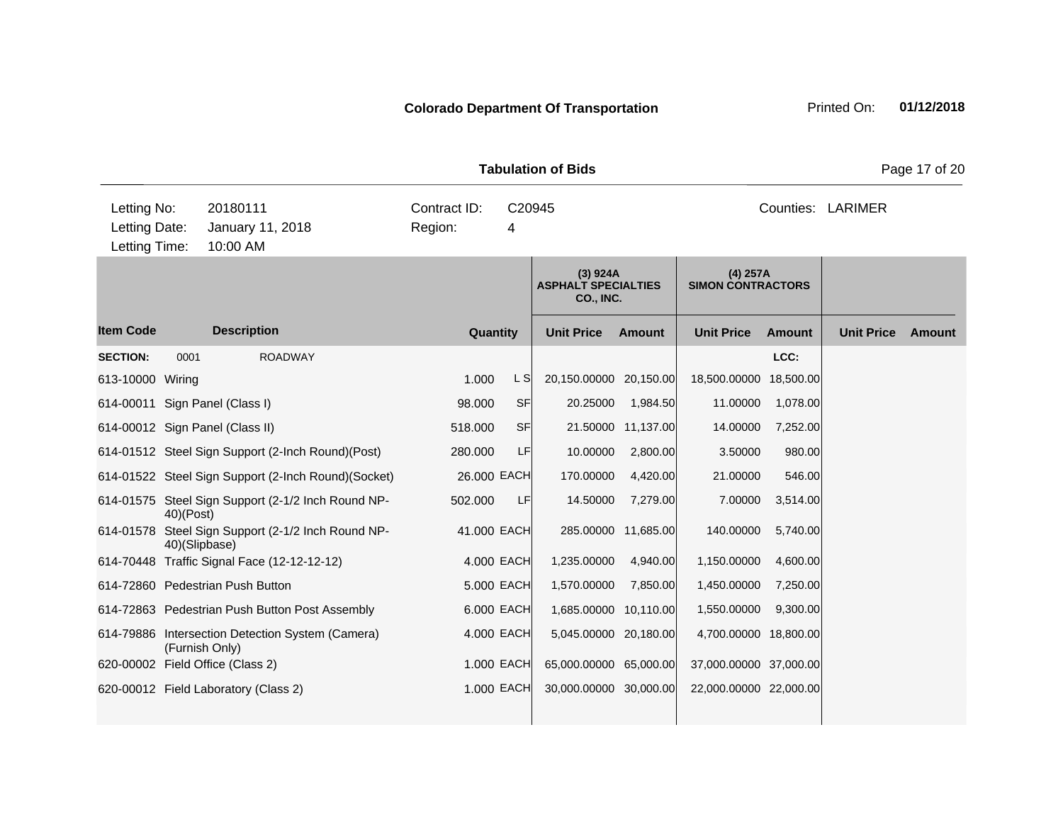| <b>Tabulation of Bids</b>                     |               |                                                                    |                         |             |                                                     |                     |                                        |               |                   | Page 17 of 20 |  |  |
|-----------------------------------------------|---------------|--------------------------------------------------------------------|-------------------------|-------------|-----------------------------------------------------|---------------------|----------------------------------------|---------------|-------------------|---------------|--|--|
| Letting No:<br>Letting Date:<br>Letting Time: |               | 20180111<br>January 11, 2018<br>10:00 AM                           | Contract ID:<br>Region: | C20945<br>4 |                                                     |                     | Counties: LARIMER                      |               |                   |               |  |  |
|                                               |               |                                                                    |                         |             | (3) 924A<br><b>ASPHALT SPECIALTIES</b><br>CO., INC. |                     | $(4)$ 257A<br><b>SIMON CONTRACTORS</b> |               |                   |               |  |  |
| <b>Item Code</b>                              |               | <b>Description</b>                                                 | Quantity                |             | <b>Unit Price</b>                                   | <b>Amount</b>       | <b>Unit Price</b>                      | <b>Amount</b> | <b>Unit Price</b> | Amount        |  |  |
| <b>SECTION:</b>                               | 0001          | <b>ROADWAY</b>                                                     |                         |             |                                                     |                     |                                        | LCC:          |                   |               |  |  |
| 613-10000 Wiring                              |               |                                                                    | 1.000                   | L S         | 20,150.00000 20,150.00                              |                     | 18,500.00000 18,500.00                 |               |                   |               |  |  |
|                                               |               | 614-00011 Sign Panel (Class I)                                     | 98.000                  | <b>SF</b>   | 20.25000                                            | 1,984.50            | 11.00000                               | 1,078.00      |                   |               |  |  |
|                                               |               | 614-00012 Sign Panel (Class II)                                    | 518.000                 | <b>SF</b>   |                                                     | 21.50000 11,137.00  | 14.00000                               | 7,252.00      |                   |               |  |  |
|                                               |               | 614-01512 Steel Sign Support (2-Inch Round)(Post)                  | 280.000                 | LF          | 10.00000                                            | 2,800.00            | 3.50000                                | 980.00        |                   |               |  |  |
|                                               |               | 614-01522 Steel Sign Support (2-Inch Round)(Socket)                | 26.000 EACH             |             | 170.00000                                           | 4,420.00            | 21.00000                               | 546.00        |                   |               |  |  |
|                                               | 40)(Post)     | 614-01575 Steel Sign Support (2-1/2 Inch Round NP-                 | 502.000                 | LF          | 14.50000                                            | 7,279.00            | 7.00000                                | 3,514.00      |                   |               |  |  |
|                                               | 40)(Slipbase) | 614-01578 Steel Sign Support (2-1/2 Inch Round NP-                 | 41.000 EACH             |             |                                                     | 285.00000 11,685.00 | 140.00000                              | 5,740.00      |                   |               |  |  |
|                                               |               | 614-70448 Traffic Signal Face (12-12-12-12)                        |                         | 4.000 EACH  | 1,235.00000                                         | 4,940.00            | 1,150.00000                            | 4,600.00      |                   |               |  |  |
|                                               |               | 614-72860 Pedestrian Push Button                                   |                         | 5.000 EACH  | 1,570.00000                                         | 7,850.00            | 1,450.00000                            | 7,250.00      |                   |               |  |  |
|                                               |               | 614-72863 Pedestrian Push Button Post Assembly                     |                         | 6.000 EACH  | 1,685.00000 10,110.00                               |                     | 1,550.00000                            | 9,300.00      |                   |               |  |  |
|                                               |               | 614-79886 Intersection Detection System (Camera)<br>(Furnish Only) |                         | 4.000 EACH  | 5,045.00000 20,180.00                               |                     | 4,700.00000 18,800.00                  |               |                   |               |  |  |
|                                               |               | 620-00002 Field Office (Class 2)                                   |                         | 1.000 EACH  | 65,000.00000 65,000.00                              |                     | 37,000.00000 37,000.00                 |               |                   |               |  |  |
|                                               |               | 620-00012 Field Laboratory (Class 2)                               |                         | 1.000 EACH  | 30,000.00000 30,000.00                              |                     | 22,000.00000 22,000.00                 |               |                   |               |  |  |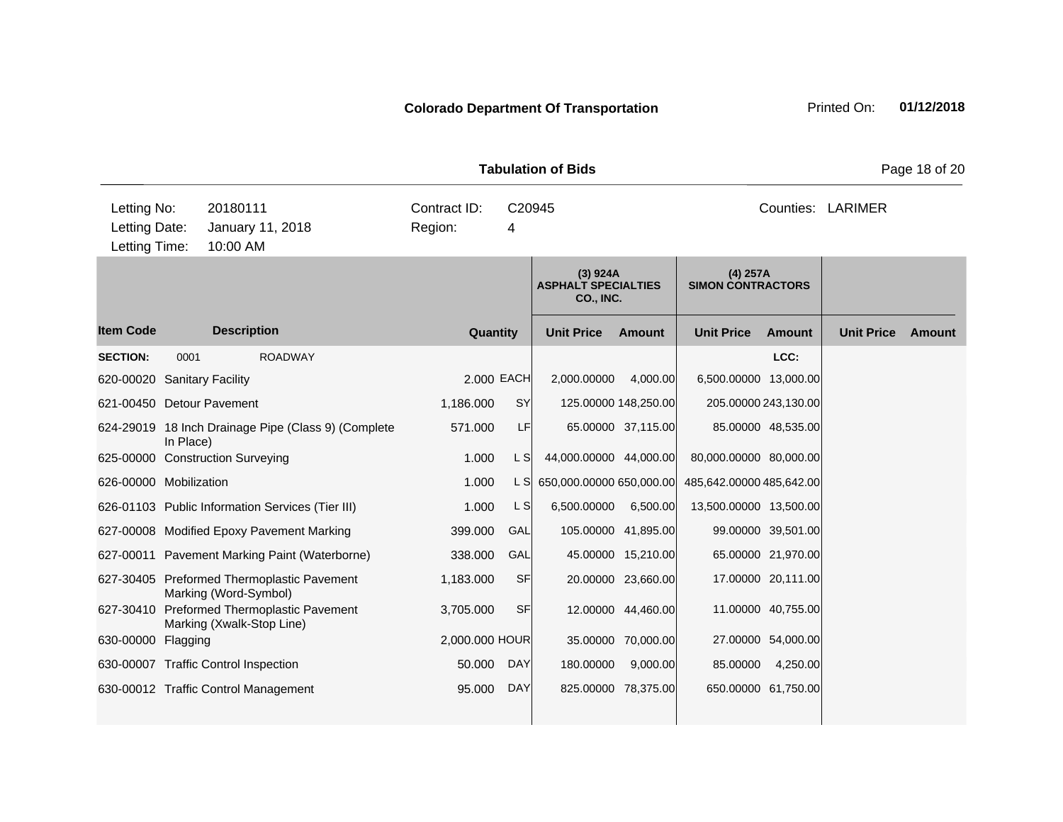| <b>Tabulation of Bids</b>                     |                  |                                                                         |                |            |                                                            |                      |                                        |                    |                   | Page 18 of 20 |
|-----------------------------------------------|------------------|-------------------------------------------------------------------------|----------------|------------|------------------------------------------------------------|----------------------|----------------------------------------|--------------------|-------------------|---------------|
| Letting No:<br>Letting Date:<br>Letting Time: | January 11, 2018 | Contract ID:<br>C20945<br>Region:<br>4                                  |                |            | Counties: LARIMER                                          |                      |                                        |                    |                   |               |
|                                               |                  |                                                                         |                |            | (3) 924A<br><b>ASPHALT SPECIALTIES</b><br><b>CO., INC.</b> |                      | $(4)$ 257A<br><b>SIMON CONTRACTORS</b> |                    |                   |               |
| <b>Item Code</b>                              |                  | <b>Description</b>                                                      | Quantity       |            | <b>Unit Price</b>                                          | <b>Amount</b>        | <b>Unit Price</b>                      | <b>Amount</b>      | <b>Unit Price</b> | <b>Amount</b> |
| <b>SECTION:</b>                               | 0001             | <b>ROADWAY</b>                                                          |                |            |                                                            |                      |                                        | LCC:               |                   |               |
| 620-00020 Sanitary Facility                   |                  |                                                                         | 2.000 EACH     |            | 2,000.00000                                                | 4,000.00             | 6,500.00000 13,000.00                  |                    |                   |               |
| 621-00450 Detour Pavement                     |                  |                                                                         | 1,186.000      | <b>SY</b>  |                                                            | 125.00000 148,250.00 | 205.00000 243,130.00                   |                    |                   |               |
|                                               | In Place)        | 624-29019 18 Inch Drainage Pipe (Class 9) (Complete                     | 571.000        | LF         |                                                            | 65.00000 37,115.00   |                                        | 85.00000 48,535.00 |                   |               |
|                                               |                  | 625-00000 Construction Surveying                                        | 1.000          | L SI       | 44,000.00000 44,000.00                                     |                      | 80,000.00000 80,000.00                 |                    |                   |               |
| 626-00000 Mobilization                        |                  |                                                                         | 1.000          | L SI       | 650,000.00000 650,000.00                                   |                      | 485,642.00000 485,642.00               |                    |                   |               |
|                                               |                  | 626-01103 Public Information Services (Tier III)                        | 1.000          | L S        | 6,500.00000                                                | 6,500.00             | 13,500.00000 13,500.00                 |                    |                   |               |
|                                               |                  | 627-00008 Modified Epoxy Pavement Marking                               | 399.000        | GAL        |                                                            | 105.00000 41,895.00  |                                        | 99.00000 39,501.00 |                   |               |
|                                               |                  | 627-00011 Pavement Marking Paint (Waterborne)                           | 338.000        | GAL        |                                                            | 45.00000 15,210.00   |                                        | 65.00000 21,970.00 |                   |               |
|                                               |                  | 627-30405 Preformed Thermoplastic Pavement<br>Marking (Word-Symbol)     | 1,183.000      | <b>SF</b>  |                                                            | 20.00000 23,660.00   |                                        | 17.00000 20,111.00 |                   |               |
|                                               |                  | 627-30410 Preformed Thermoplastic Pavement<br>Marking (Xwalk-Stop Line) | 3,705.000      | <b>SF</b>  |                                                            | 12.00000 44,460.00   |                                        | 11.00000 40,755.00 |                   |               |
| 630-00000 Flagging                            |                  |                                                                         | 2,000.000 HOUR |            | 35.00000                                                   | 70,000.00            |                                        | 27.00000 54,000.00 |                   |               |
|                                               |                  | 630-00007 Traffic Control Inspection                                    | 50.000         | <b>DAY</b> | 180.00000                                                  | 9,000.00             | 85.00000                               | 4,250.00           |                   |               |
|                                               |                  | 630-00012 Traffic Control Management                                    | 95.000         | <b>DAY</b> |                                                            | 825.00000 78,375.00  | 650.00000 61,750.00                    |                    |                   |               |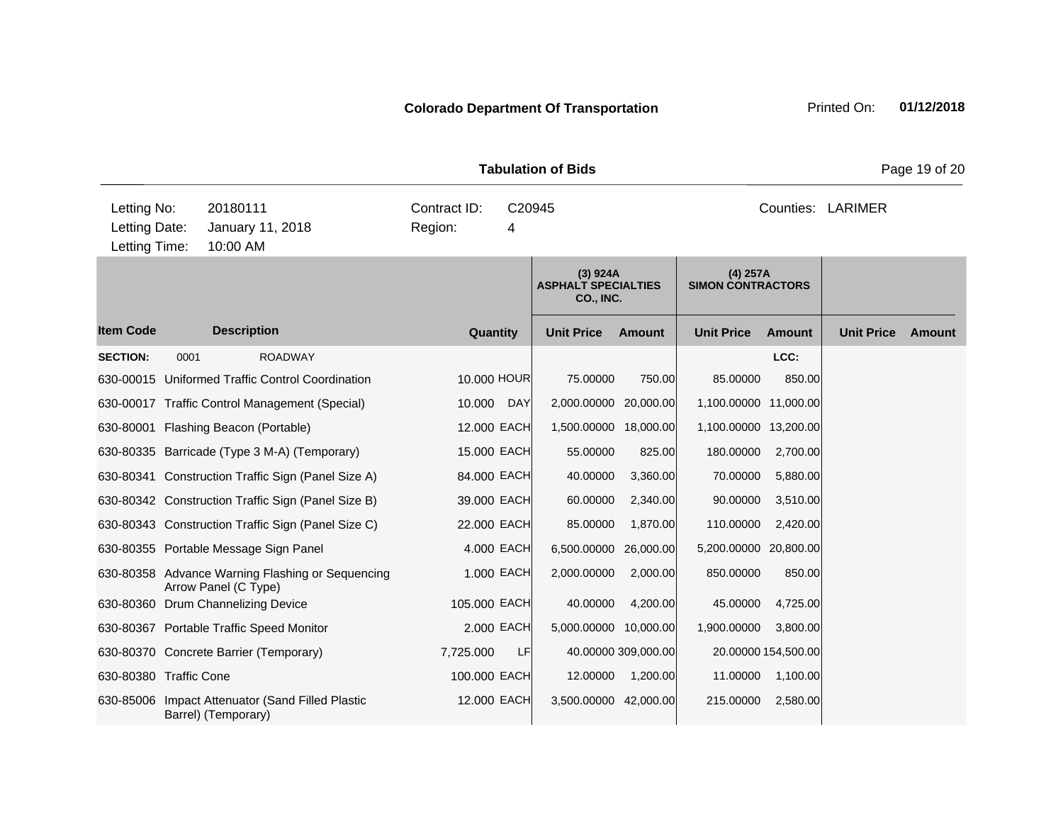**Quantity Unit Price Unit Price Item Code Amount Unit Price Amount Ext Ext Unit Price Amount Ext (3) 924A ASPHALT SPECIALTIES CO., INC. (4) 257A SIMON CONTRACTORS Description SECTION:** 0001 ROADWAY **LCC:** 630-00015 Uniformed Traffic Control Coordination 10.000 HOUR 75.00000 750.00 85.00000 850.00 630-00017 Traffic Control Management (Special) 10.000 DAY 2,000.00000 20,000.00 1,100.00000 11,000.00 630-80001 Flashing Beacon (Portable) 12.000 EACH 1,500.00000 18,000.00 1,100.00000 13,200.00 630-80335 Barricade (Type 3 M-A) (Temporary) 15.000 EACH 55.00000 825.00 180.00000 2,700.00 630-80341 Construction Traffic Sign (Panel Size A) 84.000 EACH 40.00000 3,360.00 70.00000 5,880.00 630-80342 Construction Traffic Sign (Panel Size B) 39.000 EACH 60.00000 2,340.00 90.00000 3,510.00 630-80343 Construction Traffic Sign (Panel Size C) 22.000 EACH 85.00000 1,870.00 110.00000 2,420.00 630-80355 Portable Message Sign Panel 4.000 EACH 6,500.00000 26,000.00 5,200.00000 20,800.00 630-80358 Advance Warning Flashing or Sequencing Arrow Panel (C Type) 1.000 EACH 2,000.00000 2,000.00 850.00000 850.00 630-80360 Drum Channelizing Device 105.000 EACH 40.00000 4,200.00 45.00000 4,725.00 630-80367 Portable Traffic Speed Monitor 2.000 EACH 5,000.00000 10,000.00 1,900.00000 3,800.00 630-80370 Concrete Barrier (Temporary) 7,725.000 LF 40.00000 309,000.00 20.00000 154,500.00 630-80380 Traffic Cone 100.000 EACH 12.00000 1,200.00 11.00000 1,100.00 630-85006 Impact Attenuator (Sand Filled Plastic Barrel) (Temporary) 12.000 EACH 3,500.00000 42,000.00 215.00000 2,580.00 **Tabulation of Bids Page 19 of 20** 10:00 AM Counties: LARIMER Letting Date: January 11, 2018 Region: 4 C20945 Region: Letting Time: Letting No: 20180111 Contract ID: Counties: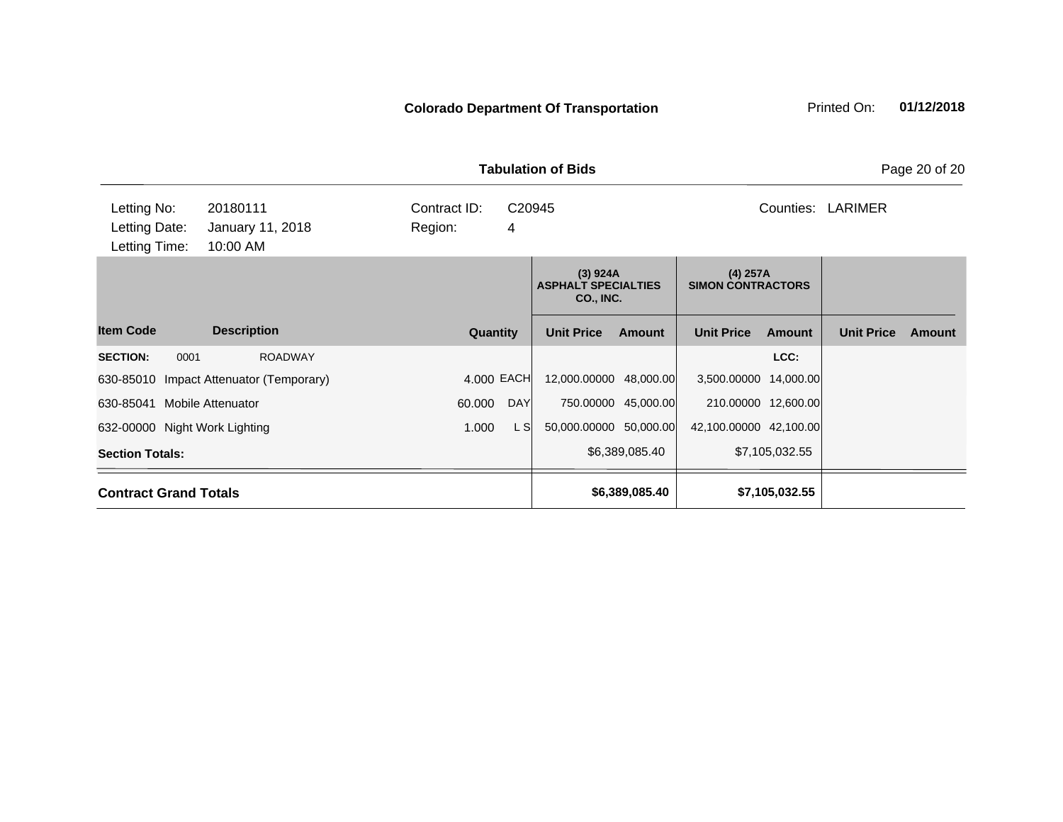| <b>Tabulation of Bids</b>                                                                                                 |                                         |            |                                                            |                        |                                        |                        |                |                   |        |
|---------------------------------------------------------------------------------------------------------------------------|-----------------------------------------|------------|------------------------------------------------------------|------------------------|----------------------------------------|------------------------|----------------|-------------------|--------|
| Letting No:<br>20180111<br>Contract ID:<br>Letting Date:<br>Region:<br>January 11, 2018<br>4<br>Letting Time:<br>10:00 AM |                                         |            |                                                            | C20945                 |                                        |                        | Counties:      | LARIMER           |        |
|                                                                                                                           |                                         |            | (3) 924A<br><b>ASPHALT SPECIALTIES</b><br><b>CO., INC.</b> |                        | $(4)$ 257A<br><b>SIMON CONTRACTORS</b> |                        |                |                   |        |
| <b>Item Code</b>                                                                                                          | <b>Description</b>                      | Quantity   |                                                            | <b>Unit Price</b>      | <b>Amount</b>                          | <b>Unit Price</b>      | <b>Amount</b>  | <b>Unit Price</b> | Amount |
| <b>SECTION:</b><br>0001                                                                                                   | <b>ROADWAY</b>                          |            |                                                            |                        |                                        |                        | LCC:           |                   |        |
|                                                                                                                           | 630-85010 Impact Attenuator (Temporary) | 4.000 EACH |                                                            | 12,000.00000 48,000.00 |                                        | 3,500.00000 14,000.00  |                |                   |        |
| 630-85041                                                                                                                 | <b>Mobile Attenuator</b>                | 60.000     | <b>DAY</b>                                                 |                        | 750.00000 45,000.00                    | 210.00000 12,600.00    |                |                   |        |
| 632-00000 Night Work Lighting                                                                                             |                                         | 1.000      | L SI                                                       | 50,000.00000 50,000.00 |                                        | 42,100.00000 42,100.00 |                |                   |        |
| <b>Section Totals:</b>                                                                                                    |                                         |            |                                                            | \$6,389,085.40         |                                        | \$7,105,032.55         |                |                   |        |
|                                                                                                                           | <b>Contract Grand Totals</b>            |            |                                                            |                        | \$6,389,085.40                         |                        | \$7,105,032.55 |                   |        |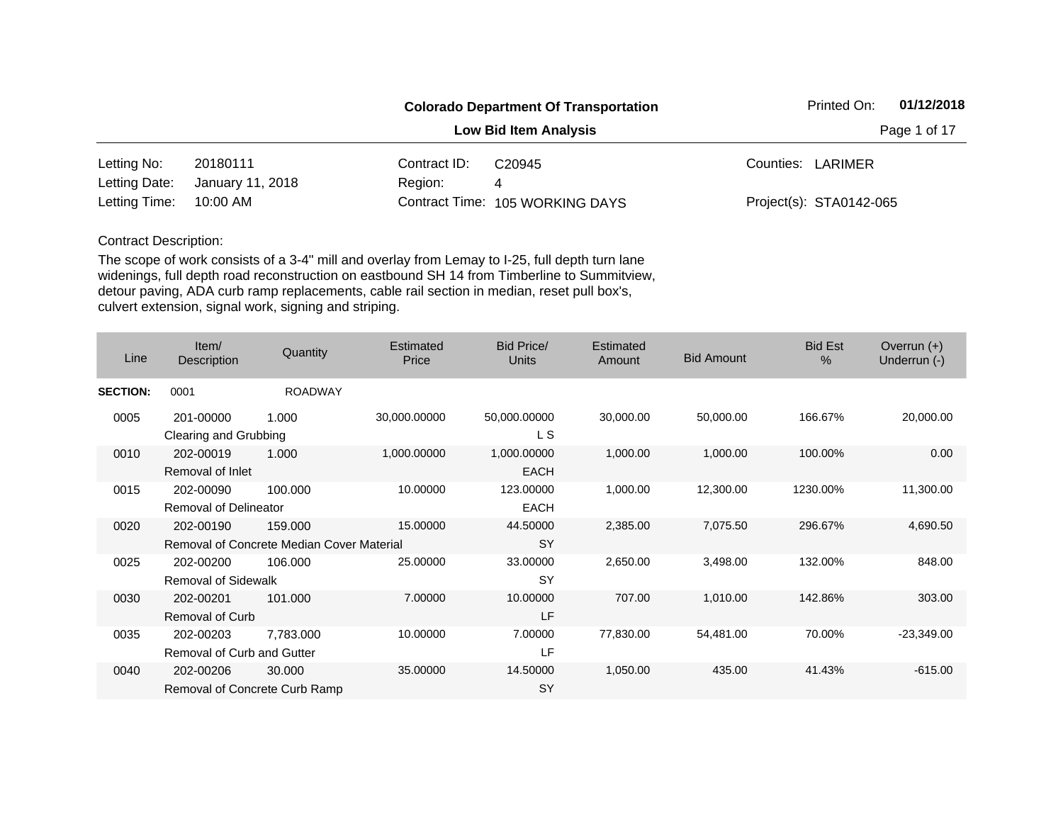|               |                  |              | <b>Colorado Department Of Transportation</b> | 01/12/2018<br>Printed On: |  |  |
|---------------|------------------|--------------|----------------------------------------------|---------------------------|--|--|
|               |                  |              | <b>Low Bid Item Analysis</b>                 | Page 1 of 17              |  |  |
| Letting No:   | 20180111         | Contract ID: | C <sub>20945</sub>                           | Counties: LARIMER         |  |  |
| Letting Date: | January 11, 2018 | Region:      | 4                                            |                           |  |  |
| Letting Time: | 10:00 AM         |              | Contract Time: 105 WORKING DAYS              | Project(s): STA0142-065   |  |  |

| Line            | Item/<br>Description          | Quantity                                  | Estimated<br>Price | <b>Bid Price/</b><br><b>Units</b> | Estimated<br>Amount | <b>Bid Amount</b> | <b>Bid Est</b><br>$\%$ | Overrun $(+)$<br>Underrun (-) |
|-----------------|-------------------------------|-------------------------------------------|--------------------|-----------------------------------|---------------------|-------------------|------------------------|-------------------------------|
| <b>SECTION:</b> | 0001                          | <b>ROADWAY</b>                            |                    |                                   |                     |                   |                        |                               |
| 0005            | 201-00000                     | 1.000                                     | 30,000.00000       | 50,000.00000<br>L S               | 30,000.00           | 50,000.00         | 166.67%                | 20,000.00                     |
|                 | Clearing and Grubbing         |                                           |                    |                                   |                     |                   |                        |                               |
| 0010            | 202-00019<br>Removal of Inlet | 1.000                                     | 1,000.00000        | 1,000.00000<br><b>EACH</b>        | 1,000.00            | 1,000.00          | 100.00%                | 0.00                          |
| 0015            | 202-00090                     | 100.000                                   | 10.00000           | 123.00000                         | 1,000.00            | 12,300.00         | 1230.00%               | 11,300.00                     |
|                 | <b>Removal of Delineator</b>  |                                           |                    | <b>EACH</b>                       |                     |                   |                        |                               |
| 0020            | 202-00190                     | 159.000                                   | 15.00000           | 44.50000                          | 2,385.00            | 7,075.50          | 296.67%                | 4,690.50                      |
|                 |                               | Removal of Concrete Median Cover Material |                    | <b>SY</b>                         |                     |                   |                        |                               |
| 0025            | 202-00200                     | 106.000                                   | 25.00000           | 33.00000                          | 2,650.00            | 3,498.00          | 132.00%                | 848.00                        |
|                 | <b>Removal of Sidewalk</b>    |                                           |                    | <b>SY</b>                         |                     |                   |                        |                               |
| 0030            | 202-00201                     | 101.000                                   | 7.00000            | 10.00000                          | 707.00              | 1,010.00          | 142.86%                | 303.00                        |
|                 | Removal of Curb               |                                           |                    | LF                                |                     |                   |                        |                               |
| 0035            | 202-00203                     | 7,783.000                                 | 10.00000           | 7.00000                           | 77,830.00           | 54,481.00         | 70.00%                 | $-23,349.00$                  |
|                 | Removal of Curb and Gutter    |                                           |                    | LF                                |                     |                   |                        |                               |
| 0040            | 202-00206                     | 30.000                                    | 35.00000           | 14.50000                          | 1,050.00            | 435.00            | 41.43%                 | $-615.00$                     |
|                 |                               | Removal of Concrete Curb Ramp             |                    | <b>SY</b>                         |                     |                   |                        |                               |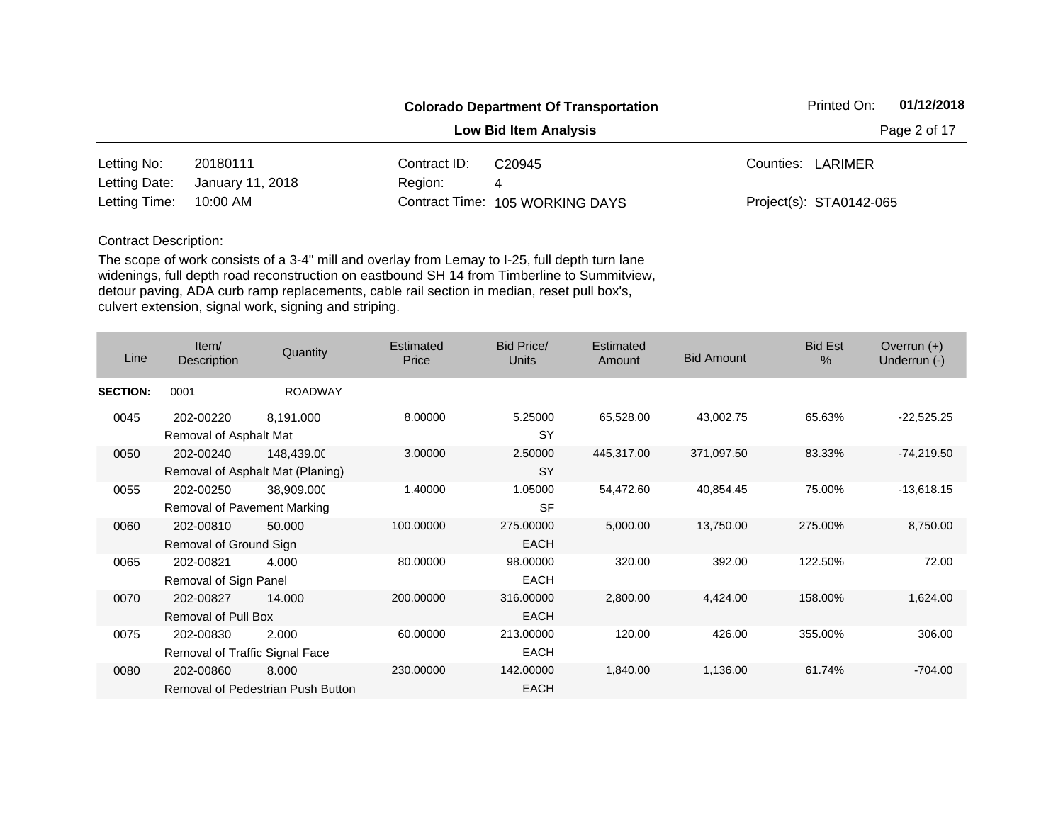|               |                  |              | <b>Colorado Department Of Transportation</b> | 01/12/2018<br>Printed On: |  |  |
|---------------|------------------|--------------|----------------------------------------------|---------------------------|--|--|
|               |                  |              | <b>Low Bid Item Analysis</b>                 | Page 2 of 17              |  |  |
| Letting No:   | 20180111         | Contract ID: | C <sub>20945</sub>                           | Counties: LARIMER         |  |  |
| Letting Date: | January 11, 2018 | Region:      | 4                                            |                           |  |  |
| Letting Time: | 10:00 AM         |              | Contract Time: 105 WORKING DAYS              | Project(s): STA0142-065   |  |  |

| Line            | Item/<br>Description                        | Quantity                                       | Estimated<br>Price | <b>Bid Price/</b><br><b>Units</b> | Estimated<br>Amount | <b>Bid Amount</b> | <b>Bid Est</b><br>$\%$ | Overrun $(+)$<br>Underrun (-) |
|-----------------|---------------------------------------------|------------------------------------------------|--------------------|-----------------------------------|---------------------|-------------------|------------------------|-------------------------------|
| <b>SECTION:</b> | 0001                                        | <b>ROADWAY</b>                                 |                    |                                   |                     |                   |                        |                               |
| 0045            | 202-00220<br>Removal of Asphalt Mat         | 8,191.000                                      | 8.00000            | 5.25000<br><b>SY</b>              | 65,528.00           | 43,002.75         | 65.63%                 | $-22,525.25$                  |
| 0050            | 202-00240                                   | 148,439.00<br>Removal of Asphalt Mat (Planing) | 3.00000            | 2.50000<br><b>SY</b>              | 445,317.00          | 371,097.50        | 83.33%                 | $-74,219.50$                  |
| 0055            | 202-00250<br>Removal of Pavement Marking    | 38,909.000                                     | 1.40000            | 1.05000<br><b>SF</b>              | 54,472.60           | 40,854.45         | 75.00%                 | $-13,618.15$                  |
| 0060            | 202-00810<br>Removal of Ground Sign         | 50.000                                         | 100.00000          | 275.00000<br><b>EACH</b>          | 5,000.00            | 13,750.00         | 275.00%                | 8,750.00                      |
| 0065            | 202-00821<br>Removal of Sign Panel          | 4.000                                          | 80.00000           | 98.00000<br><b>EACH</b>           | 320.00              | 392.00            | 122.50%                | 72.00                         |
| 0070            | 202-00827<br>Removal of Pull Box            | 14.000                                         | 200.00000          | 316.00000<br><b>EACH</b>          | 2,800.00            | 4,424.00          | 158.00%                | 1,624.00                      |
| 0075            | 202-00830<br>Removal of Traffic Signal Face | 2.000                                          | 60.00000           | 213.00000<br><b>EACH</b>          | 120.00              | 426.00            | 355.00%                | 306.00                        |
| 0080            | 202-00860                                   | 8.000<br>Removal of Pedestrian Push Button     | 230.00000          | 142.00000<br>EACH                 | 1,840.00            | 1,136.00          | 61.74%                 | $-704.00$                     |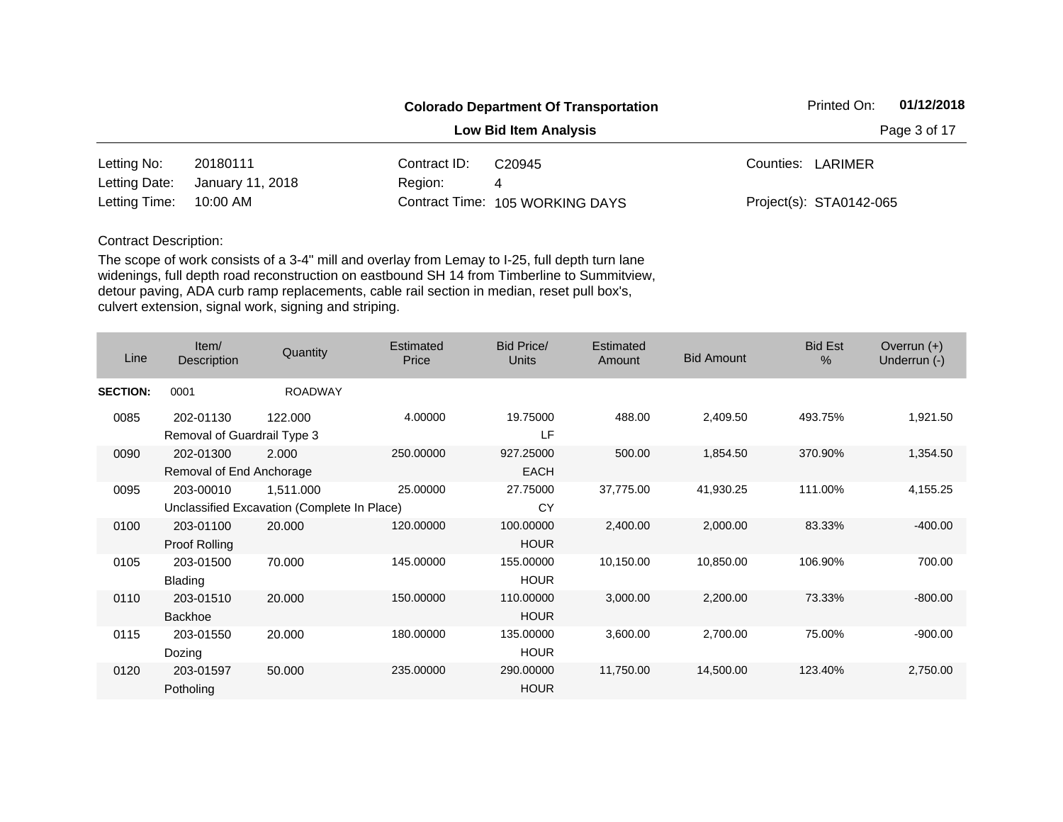|               |                  |              | <b>Colorado Department Of Transportation</b> | 01/12/2018<br>Printed On: |  |  |
|---------------|------------------|--------------|----------------------------------------------|---------------------------|--|--|
|               |                  |              | <b>Low Bid Item Analysis</b>                 | Page 3 of 17              |  |  |
| Letting No:   | 20180111         | Contract ID: | C <sub>20945</sub>                           | Counties: LARIMER         |  |  |
| Letting Date: | January 11, 2018 | Region:      | 4                                            |                           |  |  |
| Letting Time: | 10:00 AM         |              | Contract Time: 105 WORKING DAYS              | Project(s): STA0142-065   |  |  |

| Line            | Item/<br>Description                     | Quantity                                                 | Estimated<br>Price | <b>Bid Price/</b><br><b>Units</b> | Estimated<br>Amount | <b>Bid Amount</b> | <b>Bid Est</b><br>$\%$ | Overrun $(+)$<br>Underrun (-) |
|-----------------|------------------------------------------|----------------------------------------------------------|--------------------|-----------------------------------|---------------------|-------------------|------------------------|-------------------------------|
| <b>SECTION:</b> | 0001                                     | <b>ROADWAY</b>                                           |                    |                                   |                     |                   |                        |                               |
| 0085            | 202-01130<br>Removal of Guardrail Type 3 | 122.000                                                  | 4.00000            | 19.75000<br>LF                    | 488.00              | 2,409.50          | 493.75%                | 1,921.50                      |
| 0090            | 202-01300<br>Removal of End Anchorage    | 2.000                                                    | 250.00000          | 927.25000<br><b>EACH</b>          | 500.00              | 1,854.50          | 370.90%                | 1,354.50                      |
| 0095            | 203-00010                                | 1,511.000<br>Unclassified Excavation (Complete In Place) | 25.00000           | 27.75000<br>СY                    | 37,775.00           | 41,930.25         | 111.00%                | 4,155.25                      |
| 0100            | 203-01100<br><b>Proof Rolling</b>        | 20.000                                                   | 120.00000          | 100.00000<br><b>HOUR</b>          | 2,400.00            | 2,000.00          | 83.33%                 | $-400.00$                     |
| 0105            | 203-01500<br><b>Blading</b>              | 70.000                                                   | 145.00000          | 155.00000<br><b>HOUR</b>          | 10,150.00           | 10,850.00         | 106.90%                | 700.00                        |
| 0110            | 203-01510<br>Backhoe                     | 20.000                                                   | 150.00000          | 110.00000<br><b>HOUR</b>          | 3,000.00            | 2,200.00          | 73.33%                 | $-800.00$                     |
| 0115            | 203-01550<br>Dozing                      | 20.000                                                   | 180.00000          | 135.00000<br><b>HOUR</b>          | 3,600.00            | 2,700.00          | 75.00%                 | $-900.00$                     |
| 0120            | 203-01597<br>Potholing                   | 50.000                                                   | 235.00000          | 290.00000<br><b>HOUR</b>          | 11,750.00           | 14,500.00         | 123.40%                | 2,750.00                      |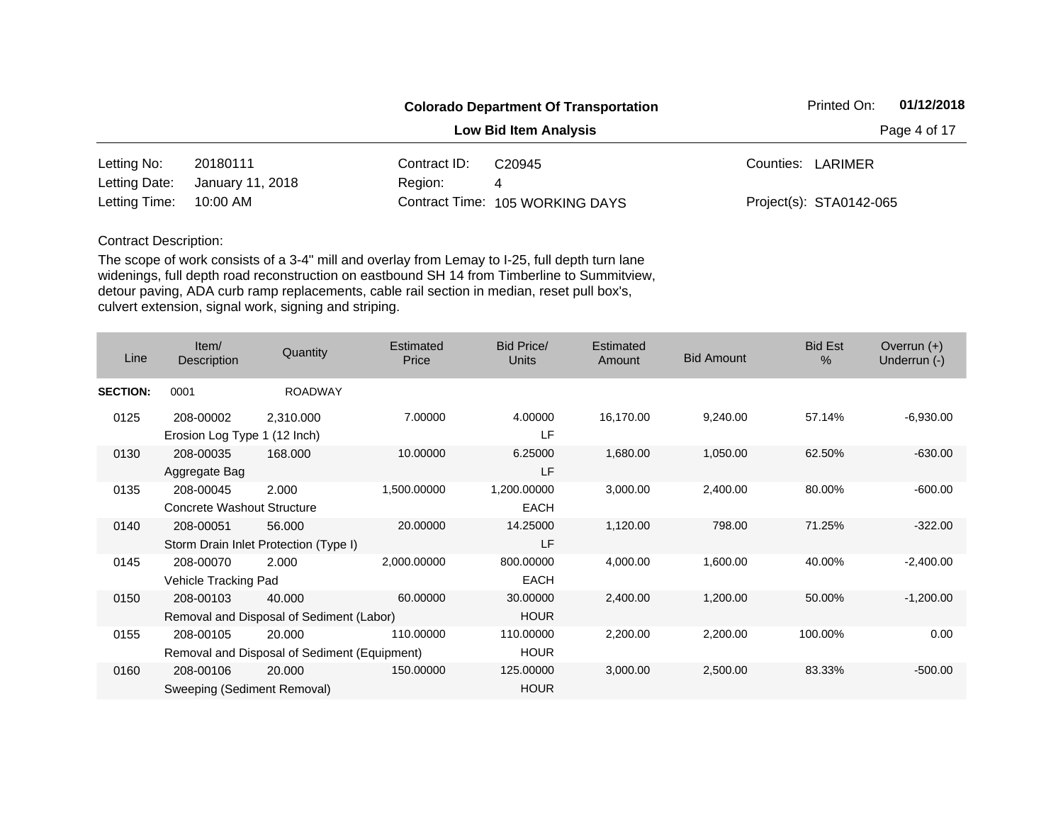|               |                  |              | <b>Colorado Department Of Transportation</b> | 01/12/2018<br>Printed On: |
|---------------|------------------|--------------|----------------------------------------------|---------------------------|
|               |                  |              | <b>Low Bid Item Analysis</b>                 | Page 4 of 17              |
| Letting No:   | 20180111         | Contract ID: | C <sub>20945</sub>                           | Counties: LARIMER         |
| Letting Date: | January 11, 2018 | Region:      | 4                                            |                           |
| Letting Time: | 10:00 AM         |              | Contract Time: 105 WORKING DAYS              | Project(s): STA0142-065   |

| Line            | Item/<br>Description         | Quantity                                     | <b>Estimated</b><br>Price | <b>Bid Price/</b><br>Units | <b>Estimated</b><br>Amount | <b>Bid Amount</b> | <b>Bid Est</b><br>$\frac{0}{0}$ | Overrun $(+)$<br>Underrun (-) |
|-----------------|------------------------------|----------------------------------------------|---------------------------|----------------------------|----------------------------|-------------------|---------------------------------|-------------------------------|
| <b>SECTION:</b> | 0001                         | <b>ROADWAY</b>                               |                           |                            |                            |                   |                                 |                               |
| 0125            | 208-00002                    | 2,310.000                                    | 7.00000                   | 4.00000                    | 16,170.00                  | 9,240.00          | 57.14%                          | $-6,930.00$                   |
|                 | Erosion Log Type 1 (12 Inch) |                                              |                           | LF                         |                            |                   |                                 |                               |
| 0130            | 208-00035                    | 168.000                                      | 10.00000                  | 6.25000                    | 1,680.00                   | 1,050.00          | 62.50%                          | $-630.00$                     |
|                 | Aggregate Bag                |                                              |                           | LF                         |                            |                   |                                 |                               |
| 0135            | 208-00045                    | 2.000                                        | 1,500.00000               | 1,200.00000                | 3,000.00                   | 2,400.00          | 80.00%                          | $-600.00$                     |
|                 | Concrete Washout Structure   |                                              |                           | <b>EACH</b>                |                            |                   |                                 |                               |
| 0140            | 208-00051                    | 56.000                                       | 20.00000                  | 14.25000                   | 1,120.00                   | 798.00            | 71.25%                          | $-322.00$                     |
|                 |                              | Storm Drain Inlet Protection (Type I)        |                           | LF                         |                            |                   |                                 |                               |
| 0145            | 208-00070                    | 2.000                                        | 2,000.00000               | 800.00000                  | 4,000.00                   | 1,600.00          | 40.00%                          | $-2,400.00$                   |
|                 | Vehicle Tracking Pad         |                                              |                           | <b>EACH</b>                |                            |                   |                                 |                               |
| 0150            | 208-00103                    | 40.000                                       | 60.00000                  | 30.00000                   | 2,400.00                   | 1,200.00          | 50.00%                          | $-1,200.00$                   |
|                 |                              | Removal and Disposal of Sediment (Labor)     |                           | <b>HOUR</b>                |                            |                   |                                 |                               |
| 0155            | 208-00105                    | 20.000                                       | 110.00000                 | 110.00000                  | 2,200.00                   | 2,200.00          | 100.00%                         | 0.00                          |
|                 |                              | Removal and Disposal of Sediment (Equipment) |                           | <b>HOUR</b>                |                            |                   |                                 |                               |
| 0160            | 208-00106                    | 20.000                                       | 150.00000                 | 125.00000                  | 3,000.00                   | 2,500.00          | 83.33%                          | $-500.00$                     |
|                 | Sweeping (Sediment Removal)  |                                              |                           | <b>HOUR</b>                |                            |                   |                                 |                               |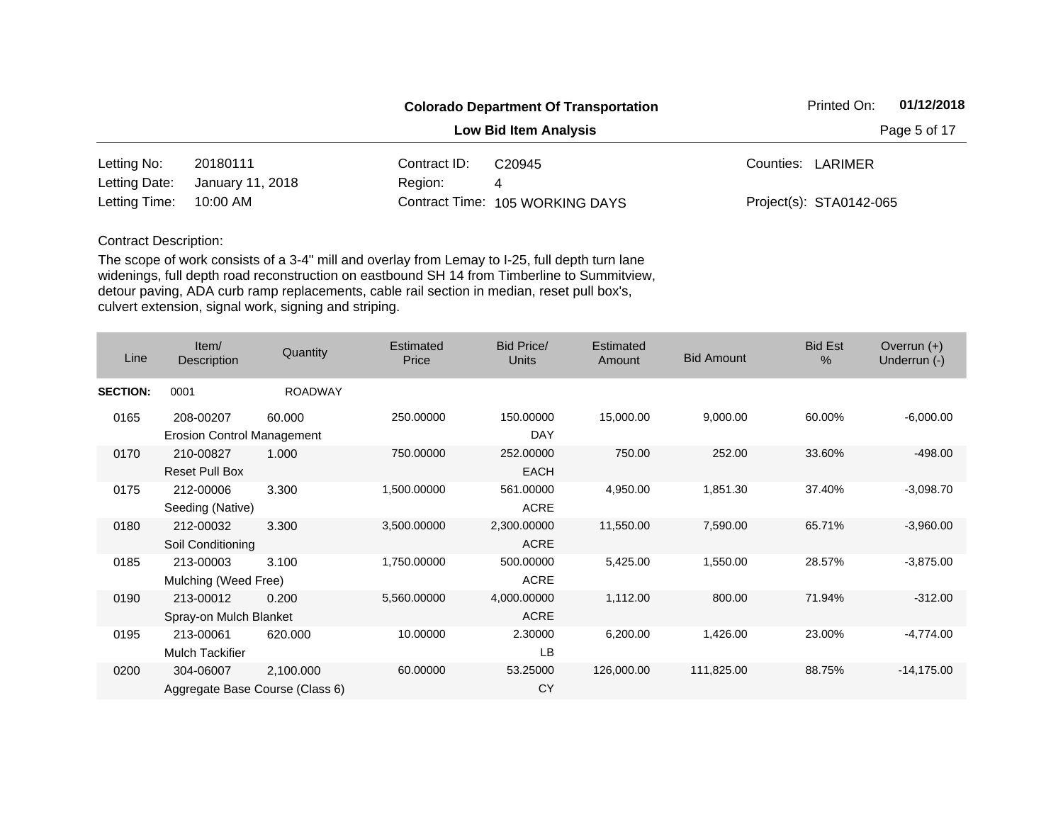|               |                  |              | <b>Colorado Department Of Transportation</b> | 01/12/2018<br>Printed On: |
|---------------|------------------|--------------|----------------------------------------------|---------------------------|
|               |                  | Page 5 of 17 |                                              |                           |
| Letting No:   | 20180111         | Contract ID: | C <sub>20945</sub>                           | Counties: LARIMER         |
| Letting Date: | January 11, 2018 | Region:      | 4                                            |                           |
| Letting Time: | 10:00 AM         |              | Contract Time: 105 WORKING DAYS              | Project(s): STA0142-065   |

| Line            | Item/<br>Description                           | Quantity       | Estimated<br>Price | <b>Bid Price/</b><br><b>Units</b> | Estimated<br>Amount | <b>Bid Amount</b> | <b>Bid Est</b><br>$\%$ | Overrun $(+)$<br>Underrun (-) |
|-----------------|------------------------------------------------|----------------|--------------------|-----------------------------------|---------------------|-------------------|------------------------|-------------------------------|
| <b>SECTION:</b> | 0001                                           | <b>ROADWAY</b> |                    |                                   |                     |                   |                        |                               |
| 0165            | 208-00207<br><b>Erosion Control Management</b> | 60.000         | 250.00000          | 150.00000<br><b>DAY</b>           | 15,000.00           | 9,000.00          | 60.00%                 | $-6,000.00$                   |
| 0170            | 210-00827<br><b>Reset Pull Box</b>             | 1.000          | 750.00000          | 252.00000<br><b>EACH</b>          | 750.00              | 252.00            | 33.60%                 | $-498.00$                     |
| 0175            | 212-00006<br>Seeding (Native)                  | 3.300          | 1,500.00000        | 561.00000<br><b>ACRE</b>          | 4,950.00            | 1,851.30          | 37.40%                 | $-3,098.70$                   |
| 0180            | 212-00032<br>Soil Conditioning                 | 3.300          | 3,500.00000        | 2,300.00000<br><b>ACRE</b>        | 11,550.00           | 7,590.00          | 65.71%                 | $-3,960.00$                   |
| 0185            | 213-00003<br>Mulching (Weed Free)              | 3.100          | 1,750.00000        | 500.00000<br><b>ACRE</b>          | 5,425.00            | 1,550.00          | 28.57%                 | $-3,875.00$                   |
| 0190            | 213-00012<br>Spray-on Mulch Blanket            | 0.200          | 5,560.00000        | 4,000.00000<br><b>ACRE</b>        | 1,112.00            | 800.00            | 71.94%                 | $-312.00$                     |
| 0195            | 213-00061<br><b>Mulch Tackifier</b>            | 620.000        | 10.00000           | 2.30000<br>LB                     | 6,200.00            | 1,426.00          | 23.00%                 | $-4,774.00$                   |
| 0200            | 304-06007<br>Aggregate Base Course (Class 6)   | 2,100.000      | 60.00000           | 53.25000<br>CY                    | 126,000.00          | 111,825.00        | 88.75%                 | $-14,175.00$                  |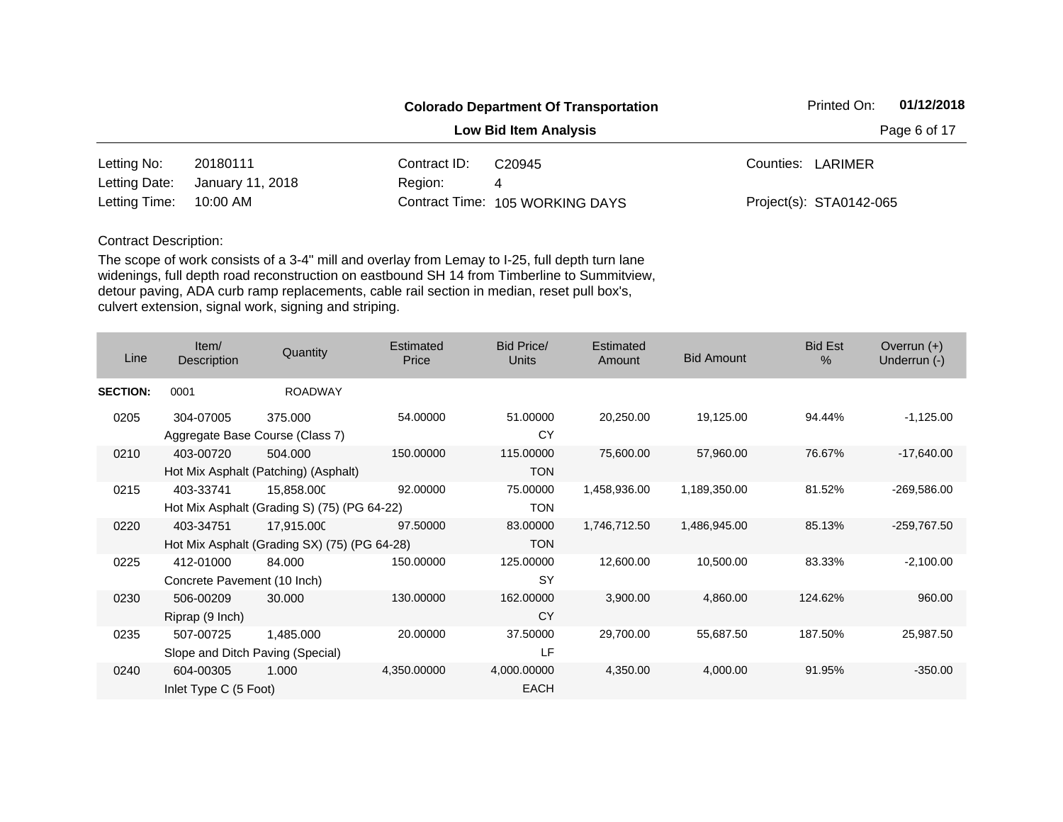|               |                  |              | <b>Colorado Department Of Transportation</b> | 01/12/2018<br>Printed On: |  |  |
|---------------|------------------|--------------|----------------------------------------------|---------------------------|--|--|
|               |                  |              | <b>Low Bid Item Analysis</b>                 | Page 6 of 17              |  |  |
| Letting No:   | 20180111         | Contract ID: | C <sub>20945</sub>                           | Counties: LARIMER         |  |  |
| Letting Date: | January 11, 2018 | Region:      | 4                                            |                           |  |  |
| Letting Time: | 10:00 AM         |              | Contract Time: 105 WORKING DAYS              | Project(s): STA0142-065   |  |  |

| Line            | Item/<br><b>Description</b>                   | Quantity                                                   | Estimated<br>Price | Bid Price/<br><b>Units</b> | Estimated<br>Amount | <b>Bid Amount</b> | <b>Bid Est</b><br>$\%$ | Overrun $(+)$<br>Underrun (-) |
|-----------------|-----------------------------------------------|------------------------------------------------------------|--------------------|----------------------------|---------------------|-------------------|------------------------|-------------------------------|
| <b>SECTION:</b> | 0001                                          | <b>ROADWAY</b>                                             |                    |                            |                     |                   |                        |                               |
| 0205            | 304-07005                                     | 375.000<br>Aggregate Base Course (Class 7)                 | 54.00000           | 51.00000<br>CY             | 20,250.00           | 19,125.00         | 94.44%                 | $-1,125.00$                   |
| 0210            | 403-00720                                     | 504.000<br>Hot Mix Asphalt (Patching) (Asphalt)            | 150.00000          | 115.00000<br><b>TON</b>    | 75,600.00           | 57,960.00         | 76.67%                 | $-17,640.00$                  |
| 0215            | 403-33741                                     | 15,858.000<br>Hot Mix Asphalt (Grading S) (75) (PG 64-22)  | 92.00000           | 75.00000<br><b>TON</b>     | 1,458,936.00        | 1,189,350.00      | 81.52%                 | $-269,586.00$                 |
| 0220            | 403-34751                                     | 17,915.000<br>Hot Mix Asphalt (Grading SX) (75) (PG 64-28) | 97.50000           | 83.00000<br><b>TON</b>     | 1,746,712.50        | 1,486,945.00      | 85.13%                 | -259,767.50                   |
| 0225            | 412-01000<br>Concrete Pavement (10 Inch)      | 84.000                                                     | 150.00000          | 125.00000<br><b>SY</b>     | 12,600.00           | 10,500.00         | 83.33%                 | $-2,100.00$                   |
| 0230            | 506-00209<br>Riprap (9 Inch)                  | 30.000                                                     | 130.00000          | 162.00000<br><b>CY</b>     | 3,900.00            | 4,860.00          | 124.62%                | 960.00                        |
| 0235            | 507-00725<br>Slope and Ditch Paving (Special) | 1,485.000                                                  | 20.00000           | 37.50000<br>LF             | 29,700.00           | 55,687.50         | 187.50%                | 25,987.50                     |
| 0240            | 604-00305<br>Inlet Type C (5 Foot)            | 1.000                                                      | 4,350.00000        | 4,000.00000<br><b>EACH</b> | 4,350.00            | 4,000.00          | 91.95%                 | $-350.00$                     |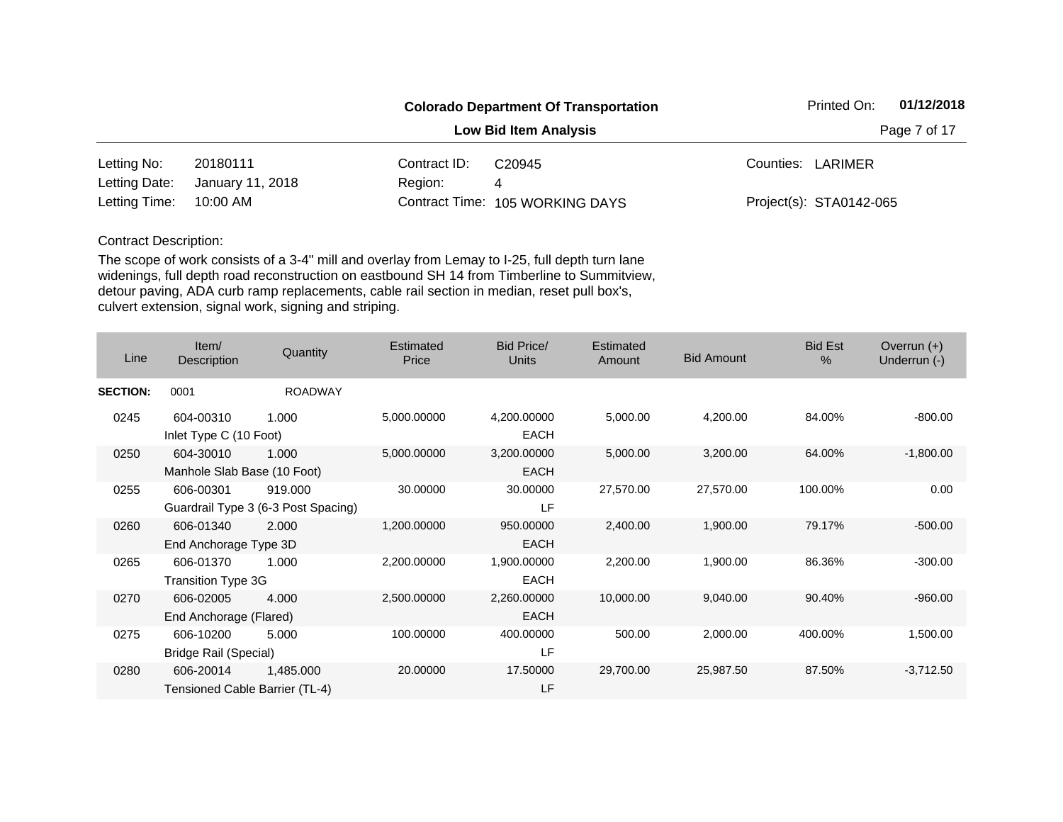|               |                  |              | <b>Colorado Department Of Transportation</b> | 01/12/2018<br>Printed On: |  |  |
|---------------|------------------|--------------|----------------------------------------------|---------------------------|--|--|
|               |                  |              | <b>Low Bid Item Analysis</b>                 | Page 7 of 17              |  |  |
| Letting No:   | 20180111         | Contract ID: | C <sub>20945</sub>                           | Counties: LARIMER         |  |  |
| Letting Date: | January 11, 2018 | Region:      | 4                                            |                           |  |  |
| Letting Time: | 10:00 AM         |              | Contract Time: 105 WORKING DAYS              | Project(s): STA0142-065   |  |  |

| Line            | Item/<br>Description                        | Quantity                                       | Estimated<br>Price | <b>Bid Price/</b><br><b>Units</b> | Estimated<br>Amount | <b>Bid Amount</b> | <b>Bid Est</b><br>% | Overrun $(+)$<br>Underrun (-) |
|-----------------|---------------------------------------------|------------------------------------------------|--------------------|-----------------------------------|---------------------|-------------------|---------------------|-------------------------------|
| <b>SECTION:</b> | 0001                                        | <b>ROADWAY</b>                                 |                    |                                   |                     |                   |                     |                               |
| 0245            | 604-00310<br>Inlet Type C (10 Foot)         | 1.000                                          | 5,000.00000        | 4,200.00000<br><b>EACH</b>        | 5,000.00            | 4,200.00          | 84.00%              | $-800.00$                     |
| 0250            | 604-30010<br>Manhole Slab Base (10 Foot)    | 1.000                                          | 5,000.00000        | 3,200.00000<br><b>EACH</b>        | 5,000.00            | 3,200.00          | 64.00%              | $-1,800.00$                   |
| 0255            | 606-00301                                   | 919,000<br>Guardrail Type 3 (6-3 Post Spacing) | 30.00000           | 30.00000<br>LF                    | 27,570.00           | 27,570.00         | 100.00%             | 0.00                          |
| 0260            | 606-01340<br>End Anchorage Type 3D          | 2.000                                          | 1,200.00000        | 950.00000<br><b>EACH</b>          | 2,400.00            | 1,900.00          | 79.17%              | $-500.00$                     |
| 0265            | 606-01370<br><b>Transition Type 3G</b>      | 1.000                                          | 2,200.00000        | 1,900.00000<br><b>EACH</b>        | 2,200.00            | 1,900.00          | 86.36%              | $-300.00$                     |
| 0270            | 606-02005<br>End Anchorage (Flared)         | 4.000                                          | 2,500.00000        | 2,260.00000<br><b>EACH</b>        | 10,000.00           | 9,040.00          | 90.40%              | $-960.00$                     |
| 0275            | 606-10200<br>Bridge Rail (Special)          | 5.000                                          | 100.00000          | 400.00000<br>LF                   | 500.00              | 2,000.00          | 400.00%             | 1,500.00                      |
| 0280            | 606-20014<br>Tensioned Cable Barrier (TL-4) | 1,485.000                                      | 20.00000           | 17.50000<br>LF                    | 29,700.00           | 25,987.50         | 87.50%              | $-3,712.50$                   |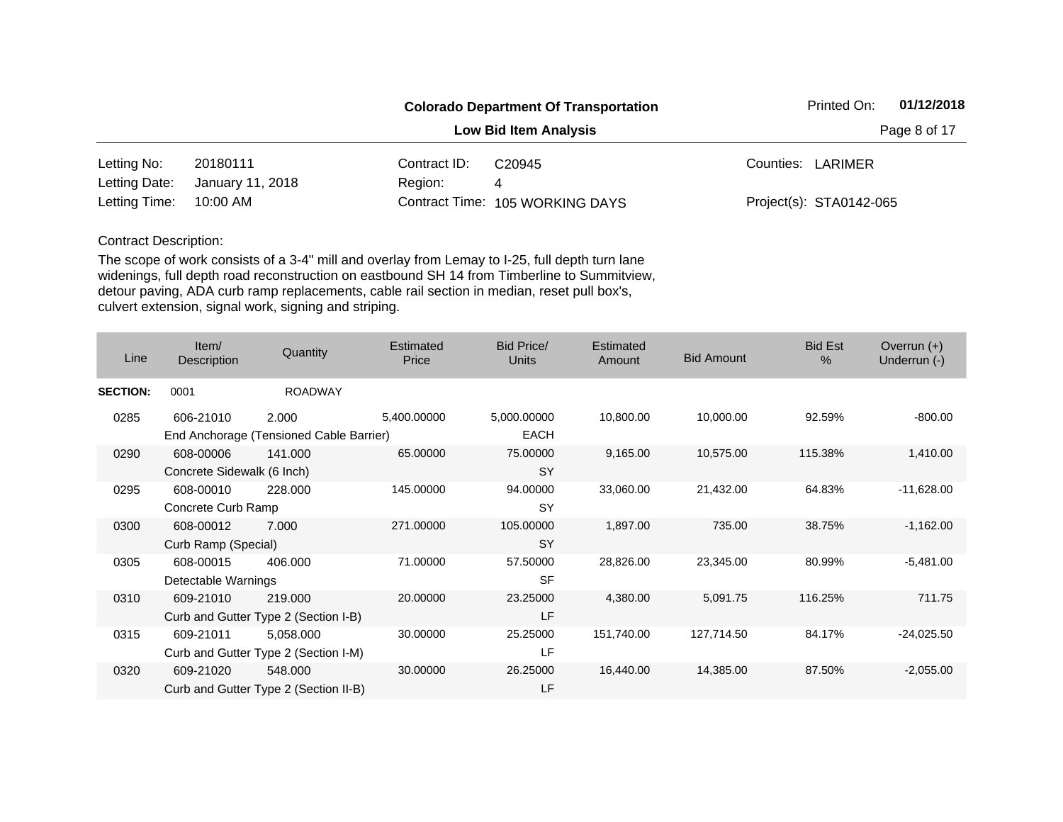|               |                  |              | <b>Colorado Department Of Transportation</b> | Printed On: | 01/12/2018              |  |
|---------------|------------------|--------------|----------------------------------------------|-------------|-------------------------|--|
|               |                  | Page 8 of 17 |                                              |             |                         |  |
| Letting No:   | 20180111         | Contract ID: | C <sub>20945</sub>                           |             | Counties: LARIMER       |  |
| Letting Date: | January 11, 2018 | Region:      | 4                                            |             |                         |  |
| Letting Time: | 10:00 AM         |              | Contract Time: 105 WORKING DAYS              |             | Project(s): STA0142-065 |  |

| Line            | Item/<br>Description       | Quantity                                | Estimated<br>Price | <b>Bid Price/</b><br><b>Units</b> | Estimated<br>Amount | <b>Bid Amount</b> | <b>Bid Est</b><br>% | Overrun $(+)$<br>Underrun (-) |
|-----------------|----------------------------|-----------------------------------------|--------------------|-----------------------------------|---------------------|-------------------|---------------------|-------------------------------|
| <b>SECTION:</b> | 0001                       | <b>ROADWAY</b>                          |                    |                                   |                     |                   |                     |                               |
| 0285            | 606-21010                  | 2.000                                   | 5,400.00000        | 5,000.00000                       | 10,800.00           | 10,000.00         | 92.59%              | $-800.00$                     |
|                 |                            | End Anchorage (Tensioned Cable Barrier) |                    | <b>EACH</b>                       |                     |                   |                     |                               |
| 0290            | 608-00006                  | 141.000                                 | 65.00000           | 75.00000                          | 9,165.00            | 10,575.00         | 115.38%             | 1,410.00                      |
|                 | Concrete Sidewalk (6 Inch) |                                         |                    | <b>SY</b>                         |                     |                   |                     |                               |
| 0295            | 608-00010                  | 228,000                                 | 145.00000          | 94.00000                          | 33,060.00           | 21,432.00         | 64.83%              | $-11,628.00$                  |
|                 | Concrete Curb Ramp         |                                         |                    | <b>SY</b>                         |                     |                   |                     |                               |
| 0300            | 608-00012                  | 7.000                                   | 271.00000          | 105.00000                         | 1,897.00            | 735.00            | 38.75%              | $-1,162.00$                   |
|                 | Curb Ramp (Special)        |                                         |                    | <b>SY</b>                         |                     |                   |                     |                               |
| 0305            | 608-00015                  | 406.000                                 | 71.00000           | 57.50000                          | 28,826.00           | 23,345.00         | 80.99%              | $-5,481.00$                   |
|                 | Detectable Warnings        |                                         |                    | <b>SF</b>                         |                     |                   |                     |                               |
| 0310            | 609-21010                  | 219.000                                 | 20.00000           | 23.25000                          | 4,380.00            | 5,091.75          | 116.25%             | 711.75                        |
|                 |                            | Curb and Gutter Type 2 (Section I-B)    |                    | LF                                |                     |                   |                     |                               |
| 0315            | 609-21011                  | 5,058.000                               | 30.00000           | 25.25000                          | 151,740.00          | 127,714.50        | 84.17%              | $-24,025.50$                  |
|                 |                            | Curb and Gutter Type 2 (Section I-M)    |                    | LF                                |                     |                   |                     |                               |
| 0320            | 609-21020                  | 548.000                                 | 30.00000           | 26.25000                          | 16,440.00           | 14,385.00         | 87.50%              | $-2,055.00$                   |
|                 |                            | Curb and Gutter Type 2 (Section II-B)   |                    | LF                                |                     |                   |                     |                               |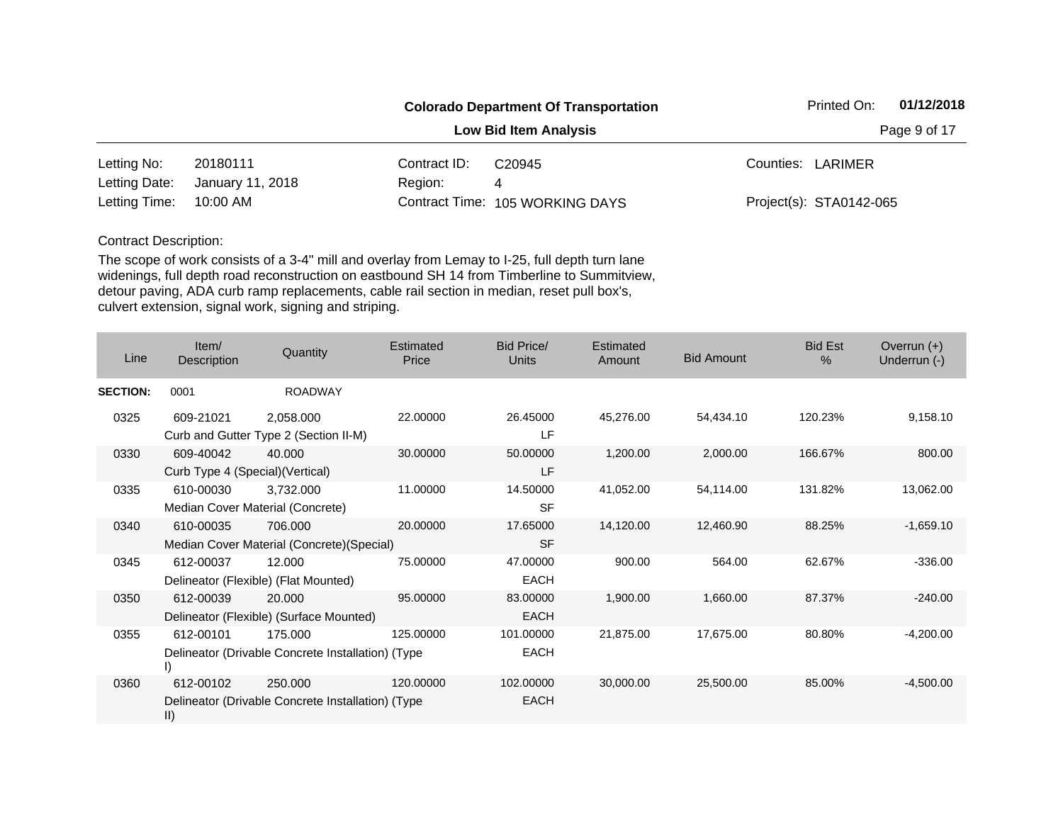|               |                  |              | <b>Colorado Department Of Transportation</b> | 01/12/2018<br>Printed On: |
|---------------|------------------|--------------|----------------------------------------------|---------------------------|
|               |                  |              | <b>Low Bid Item Analysis</b>                 | Page 9 of 17              |
| Letting No:   | 20180111         | Contract ID: | C <sub>20945</sub>                           | Counties: LARIMER         |
| Letting Date: | January 11, 2018 | Region:      | 4                                            |                           |
| Letting Time: | 10:00 AM         |              | Contract Time: 105 WORKING DAYS              | Project(s): STA0142-065   |

| Line            | Item/<br>Description                          | Quantity                                                     | Estimated<br>Price | <b>Bid Price/</b><br><b>Units</b> | <b>Estimated</b><br>Amount | <b>Bid Amount</b> | <b>Bid Est</b><br>$\%$ | Overrun $(+)$<br>Underrun (-) |
|-----------------|-----------------------------------------------|--------------------------------------------------------------|--------------------|-----------------------------------|----------------------------|-------------------|------------------------|-------------------------------|
| <b>SECTION:</b> | 0001                                          | <b>ROADWAY</b>                                               |                    |                                   |                            |                   |                        |                               |
| 0325            | 609-21021                                     | 2,058.000<br>Curb and Gutter Type 2 (Section II-M)           | 22.00000           | 26.45000<br><b>LF</b>             | 45,276.00                  | 54,434.10         | 120.23%                | 9,158.10                      |
| 0330            | 609-40042<br>Curb Type 4 (Special) (Vertical) | 40.000                                                       | 30.00000           | 50.00000<br>LF                    | 1,200.00                   | 2,000.00          | 166.67%                | 800.00                        |
| 0335            | 610-00030                                     | 3,732.000<br>Median Cover Material (Concrete)                | 11.00000           | 14.50000<br><b>SF</b>             | 41,052.00                  | 54,114.00         | 131.82%                | 13,062.00                     |
| 0340            | 610-00035                                     | 706.000<br>Median Cover Material (Concrete) (Special)        | 20.00000           | 17.65000<br><b>SF</b>             | 14,120.00                  | 12,460.90         | 88.25%                 | $-1,659.10$                   |
| 0345            | 612-00037                                     | 12.000<br>Delineator (Flexible) (Flat Mounted)               | 75,00000           | 47.00000<br>EACH                  | 900.00                     | 564.00            | 62.67%                 | $-336.00$                     |
| 0350            | 612-00039                                     | 20.000<br>Delineator (Flexible) (Surface Mounted)            | 95.00000           | 83.00000<br><b>EACH</b>           | 1,900.00                   | 1,660.00          | 87.37%                 | $-240.00$                     |
| 0355            | 612-00101<br>D.                               | 175.000<br>Delineator (Drivable Concrete Installation) (Type | 125.00000          | 101.00000<br><b>EACH</b>          | 21,875.00                  | 17,675.00         | 80.80%                 | $-4,200.00$                   |
| 0360            | 612-00102<br>$\vert \vert$                    | 250.000<br>Delineator (Drivable Concrete Installation) (Type | 120.00000          | 102.00000<br><b>EACH</b>          | 30,000.00                  | 25,500.00         | 85.00%                 | $-4,500.00$                   |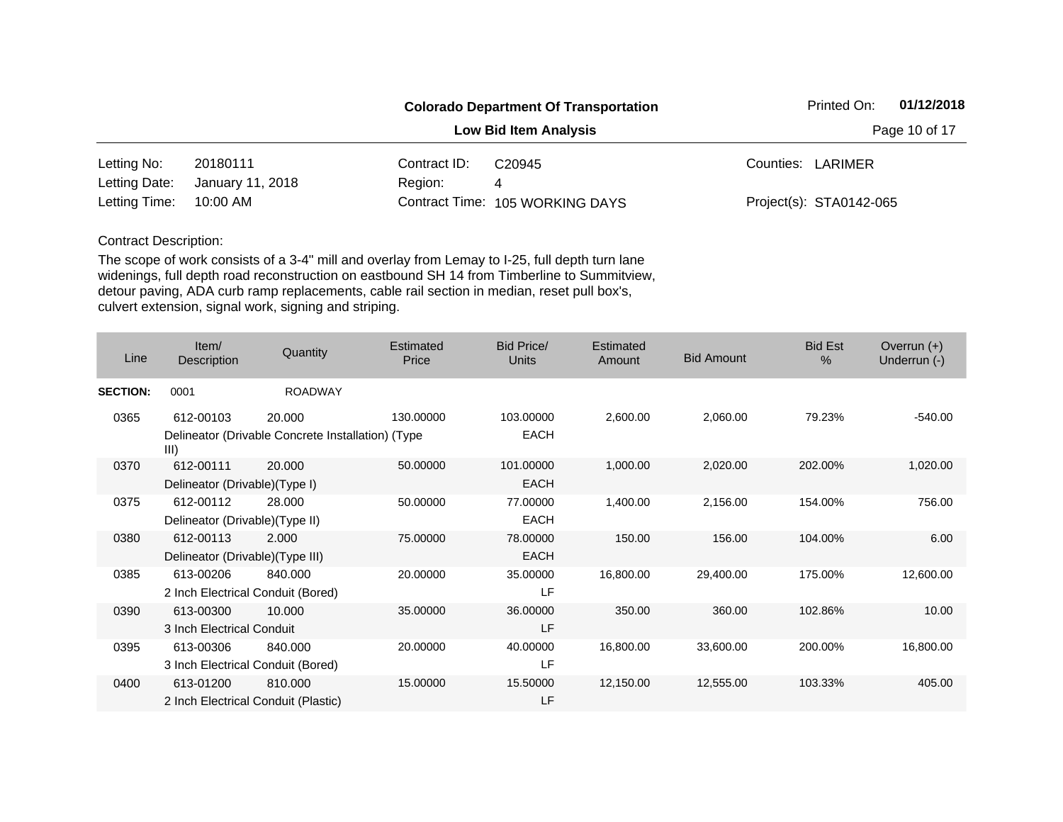|               |                  |              | <b>Colorado Department Of Transportation</b> |                   | Printed On:             | 01/12/2018 |
|---------------|------------------|--------------|----------------------------------------------|-------------------|-------------------------|------------|
|               |                  |              | <b>Low Bid Item Analysis</b>                 | Page 10 of 17     |                         |            |
| Letting No:   | 20180111         | Contract ID: | C <sub>20945</sub>                           | Counties: LARIMER |                         |            |
| Letting Date: | January 11, 2018 | Region:      | 4                                            |                   |                         |            |
| Letting Time: | 10:00 AM         |              | Contract Time: 105 WORKING DAYS              |                   | Project(s): STA0142-065 |            |

| Line            | Item/<br>Description                | Quantity                                          | Estimated<br>Price | Bid Price/<br><b>Units</b> | Estimated<br><b>Amount</b> | <b>Bid Amount</b> | <b>Bid Est</b><br>$\%$ | Overrun $(+)$<br>Underrun (-) |
|-----------------|-------------------------------------|---------------------------------------------------|--------------------|----------------------------|----------------------------|-------------------|------------------------|-------------------------------|
| <b>SECTION:</b> | 0001                                | <b>ROADWAY</b>                                    |                    |                            |                            |                   |                        |                               |
| 0365            | 612-00103                           | 20,000                                            | 130.00000          | 103.00000                  | 2,600.00                   | 2,060.00          | 79.23%                 | $-540.00$                     |
|                 | III)                                | Delineator (Drivable Concrete Installation) (Type |                    | <b>EACH</b>                |                            |                   |                        |                               |
| 0370            | 612-00111                           | 20,000                                            | 50.00000           | 101.00000                  | 1,000.00                   | 2,020.00          | 202.00%                | 1,020.00                      |
|                 | Delineator (Drivable)(Type I)       |                                                   |                    | <b>EACH</b>                |                            |                   |                        |                               |
| 0375            | 612-00112                           | 28.000                                            | 50.00000           | 77.00000                   | 1,400.00                   | 2,156.00          | 154.00%                | 756.00                        |
|                 | Delineator (Drivable) (Type II)     |                                                   |                    | <b>EACH</b>                |                            |                   |                        |                               |
| 0380            | 612-00113                           | 2.000                                             | 75.00000           | 78.00000                   | 150.00                     | 156.00            | 104.00%                | 6.00                          |
|                 | Delineator (Drivable) (Type III)    |                                                   |                    | <b>EACH</b>                |                            |                   |                        |                               |
| 0385            | 613-00206                           | 840.000                                           | 20.00000           | 35.00000                   | 16,800.00                  | 29,400.00         | 175.00%                | 12,600.00                     |
|                 | 2 Inch Electrical Conduit (Bored)   |                                                   |                    | LF                         |                            |                   |                        |                               |
| 0390            | 613-00300                           | 10.000                                            | 35.00000           | 36.00000                   | 350.00                     | 360.00            | 102.86%                | 10.00                         |
|                 | 3 Inch Electrical Conduit           |                                                   |                    | LF                         |                            |                   |                        |                               |
| 0395            | 613-00306                           | 840.000                                           | 20.00000           | 40.00000                   | 16,800.00                  | 33,600.00         | 200.00%                | 16,800.00                     |
|                 | 3 Inch Electrical Conduit (Bored)   |                                                   |                    | LF                         |                            |                   |                        |                               |
| 0400            | 613-01200                           | 810.000                                           | 15.00000           | 15.50000                   | 12,150.00                  | 12,555.00         | 103.33%                | 405.00                        |
|                 | 2 Inch Electrical Conduit (Plastic) |                                                   |                    | LF                         |                            |                   |                        |                               |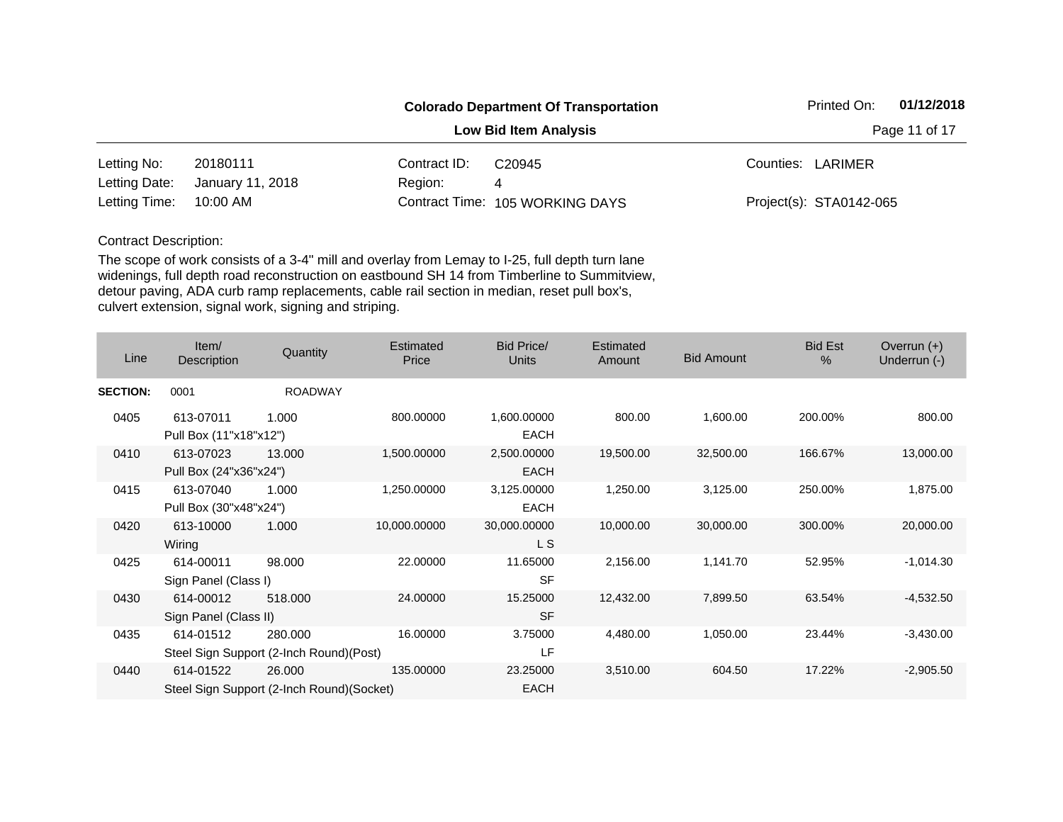|               |                  | 01/12/2018<br>Printed On: |                                 |                         |  |  |
|---------------|------------------|---------------------------|---------------------------------|-------------------------|--|--|
|               |                  |                           | <b>Low Bid Item Analysis</b>    | Page 11 of 17           |  |  |
| Letting No:   | 20180111         | Contract ID:              | C <sub>20945</sub>              | Counties: LARIMER       |  |  |
| Letting Date: | January 11, 2018 | Region:                   | 4                               |                         |  |  |
| Letting Time: | 10:00 AM         |                           | Contract Time: 105 WORKING DAYS | Project(s): STA0142-065 |  |  |

| Line            | Item/<br>Description                | Quantity                                            | <b>Estimated</b><br>Price | Bid Price/<br><b>Units</b> | Estimated<br>Amount | <b>Bid Amount</b> | <b>Bid Est</b><br>% | Overrun $(+)$<br>Underrun (-) |
|-----------------|-------------------------------------|-----------------------------------------------------|---------------------------|----------------------------|---------------------|-------------------|---------------------|-------------------------------|
| <b>SECTION:</b> | 0001                                | <b>ROADWAY</b>                                      |                           |                            |                     |                   |                     |                               |
| 0405            | 613-07011<br>Pull Box (11"x18"x12") | 1.000                                               | 800.00000                 | 1,600.00000<br><b>EACH</b> | 800.00              | 1,600.00          | 200.00%             | 800.00                        |
| 0410            | 613-07023<br>Pull Box (24"x36"x24") | 13.000                                              | 1,500.00000               | 2,500.00000<br><b>EACH</b> | 19,500.00           | 32,500.00         | 166.67%             | 13,000.00                     |
| 0415            | 613-07040<br>Pull Box (30"x48"x24") | 1.000                                               | 1,250.00000               | 3,125.00000<br><b>EACH</b> | 1,250.00            | 3,125.00          | 250.00%             | 1,875.00                      |
| 0420            | 613-10000<br>Wiring                 | 1.000                                               | 10,000.00000              | 30,000.00000<br>L S        | 10,000.00           | 30,000.00         | 300.00%             | 20,000.00                     |
| 0425            | 614-00011<br>Sign Panel (Class I)   | 98.000                                              | 22.00000                  | 11.65000<br><b>SF</b>      | 2,156.00            | 1,141.70          | 52.95%              | $-1,014.30$                   |
| 0430            | 614-00012<br>Sign Panel (Class II)  | 518,000                                             | 24.00000                  | 15.25000<br><b>SF</b>      | 12,432.00           | 7,899.50          | 63.54%              | $-4,532.50$                   |
| 0435            | 614-01512                           | 280,000<br>Steel Sign Support (2-Inch Round) (Post) | 16.00000                  | 3.75000<br><b>LF</b>       | 4,480.00            | 1,050.00          | 23.44%              | $-3,430.00$                   |
| 0440            | 614-01522                           | 26.000<br>Steel Sign Support (2-Inch Round)(Socket) | 135.00000                 | 23.25000<br>EACH           | 3,510.00            | 604.50            | 17.22%              | $-2,905.50$                   |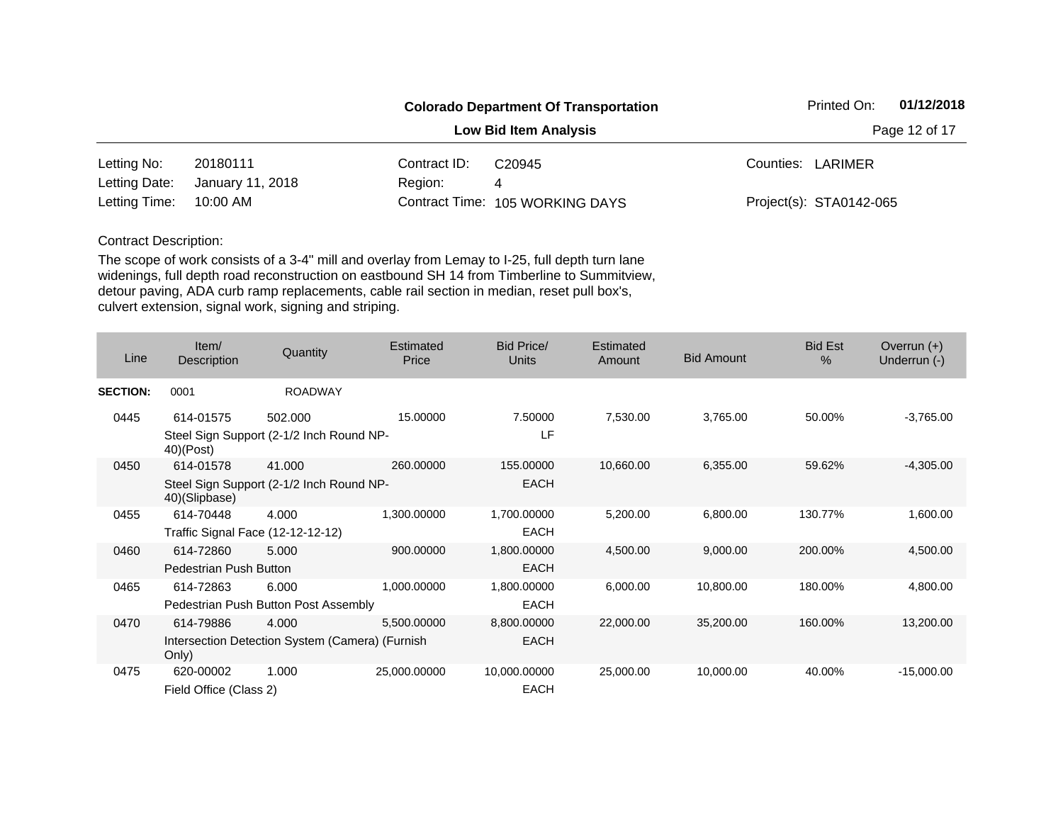|               |                  |              | <b>Colorado Department Of Transportation</b> |                         | Printed On: | 01/12/2018 |
|---------------|------------------|--------------|----------------------------------------------|-------------------------|-------------|------------|
|               |                  |              | <b>Low Bid Item Analysis</b>                 | Page 12 of 17           |             |            |
| Letting No:   | 20180111         | Contract ID: | C <sub>20945</sub>                           | Counties: LARIMER       |             |            |
| Letting Date: | January 11, 2018 | Region:      | 4                                            |                         |             |            |
| Letting Time: | 10:00 AM         |              | Contract Time: 105 WORKING DAYS              | Project(s): STA0142-065 |             |            |

| Line            | Item/<br>Description          | Quantity                                        | Estimated<br>Price | Bid Price/<br><b>Units</b> | Estimated<br>Amount | <b>Bid Amount</b> | <b>Bid Est</b><br>$\%$ | Overrun $(+)$<br>Underrun (-) |
|-----------------|-------------------------------|-------------------------------------------------|--------------------|----------------------------|---------------------|-------------------|------------------------|-------------------------------|
| <b>SECTION:</b> | 0001                          | <b>ROADWAY</b>                                  |                    |                            |                     |                   |                        |                               |
| 0445            | 614-01575                     | 502.000                                         | 15.00000           | 7.50000                    | 7,530.00            | 3,765.00          | 50.00%                 | $-3,765.00$                   |
|                 | $40)$ (Post)                  | Steel Sign Support (2-1/2 Inch Round NP-        |                    | LF                         |                     |                   |                        |                               |
| 0450            | 614-01578                     | 41.000                                          | 260.00000          | 155.00000                  | 10,660.00           | 6,355.00          | 59.62%                 | $-4,305.00$                   |
|                 | 40)(Slipbase)                 | Steel Sign Support (2-1/2 Inch Round NP-        |                    | <b>EACH</b>                |                     |                   |                        |                               |
| 0455            | 614-70448                     | 4.000                                           | 1,300.00000        | 1,700.00000                | 5,200.00            | 6,800.00          | 130.77%                | 1,600.00                      |
|                 |                               | Traffic Signal Face (12-12-12-12)               |                    | <b>EACH</b>                |                     |                   |                        |                               |
| 0460            | 614-72860                     | 5.000                                           | 900.00000          | 1,800.00000                | 4,500.00            | 9,000.00          | 200.00%                | 4,500.00                      |
|                 | <b>Pedestrian Push Button</b> |                                                 |                    | <b>EACH</b>                |                     |                   |                        |                               |
| 0465            | 614-72863                     | 6.000                                           | 1,000.00000        | 1,800.00000                | 6,000.00            | 10,800.00         | 180.00%                | 4,800.00                      |
|                 |                               | Pedestrian Push Button Post Assembly            |                    | <b>EACH</b>                |                     |                   |                        |                               |
| 0470            | 614-79886                     | 4.000                                           | 5,500.00000        | 8,800.00000                | 22,000.00           | 35,200.00         | 160.00%                | 13,200.00                     |
|                 | Only)                         | Intersection Detection System (Camera) (Furnish |                    | <b>EACH</b>                |                     |                   |                        |                               |
| 0475            | 620-00002                     | 1.000                                           | 25,000.00000       | 10,000.00000               | 25,000.00           | 10,000.00         | 40.00%                 | $-15,000.00$                  |
|                 | Field Office (Class 2)        |                                                 |                    | <b>EACH</b>                |                     |                   |                        |                               |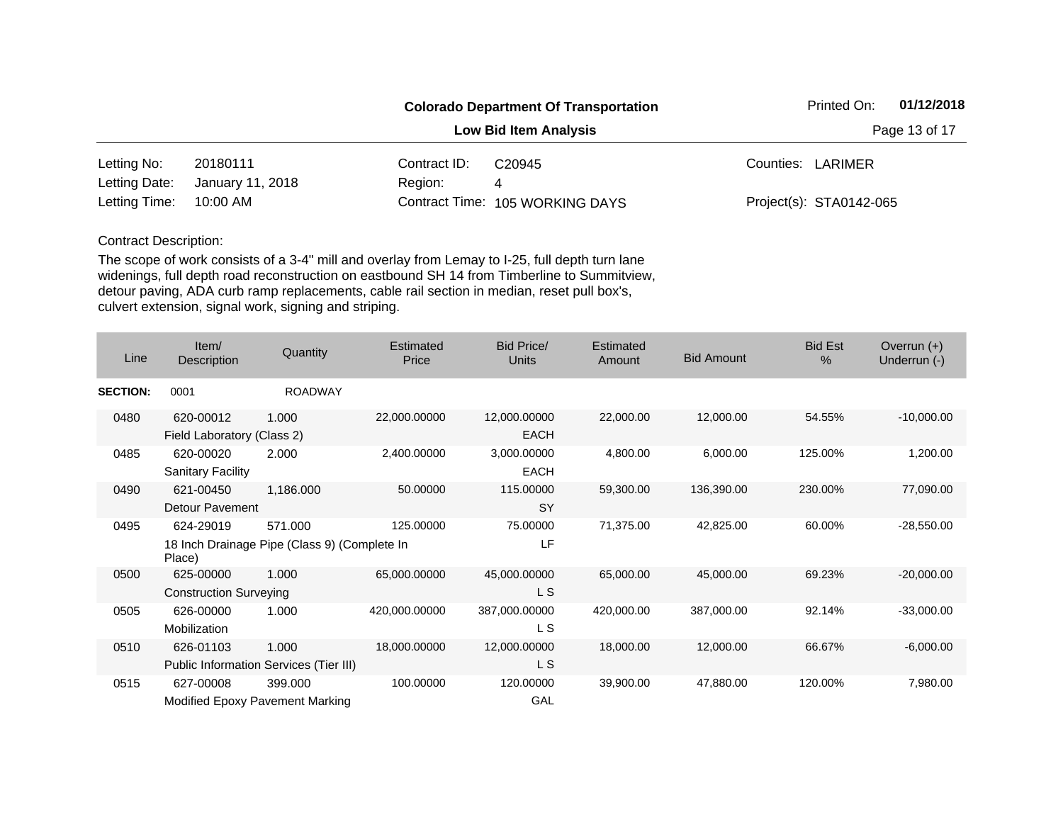|               |                  | 01/12/2018<br>Printed On: |                                 |                         |  |  |
|---------------|------------------|---------------------------|---------------------------------|-------------------------|--|--|
|               |                  |                           | <b>Low Bid Item Analysis</b>    | Page 13 of 17           |  |  |
| Letting No:   | 20180111         | Contract ID:              | C <sub>20945</sub>              | Counties: LARIMER       |  |  |
| Letting Date: | January 11, 2018 | Region:                   | 4                               |                         |  |  |
| Letting Time: | 10:00 AM         |                           | Contract Time: 105 WORKING DAYS | Project(s): STA0142-065 |  |  |

| Line            | Item/<br>Description                         | Quantity                                                | <b>Estimated</b><br>Price | Bid Price/<br><b>Units</b>  | Estimated<br>Amount | <b>Bid Amount</b> | <b>Bid Est</b><br>$\%$ | Overrun $(+)$<br>Underrun (-) |
|-----------------|----------------------------------------------|---------------------------------------------------------|---------------------------|-----------------------------|---------------------|-------------------|------------------------|-------------------------------|
| <b>SECTION:</b> | 0001                                         | <b>ROADWAY</b>                                          |                           |                             |                     |                   |                        |                               |
| 0480            | 620-00012<br>Field Laboratory (Class 2)      | 1.000                                                   | 22,000.00000              | 12,000.00000<br><b>EACH</b> | 22,000.00           | 12,000.00         | 54.55%                 | $-10,000.00$                  |
| 0485            | 620-00020<br>Sanitary Facility               | 2.000                                                   | 2,400.00000               | 3,000.00000<br><b>EACH</b>  | 4,800.00            | 6,000.00          | 125.00%                | 1,200.00                      |
| 0490            | 621-00450<br>Detour Pavement                 | 1,186.000                                               | 50.00000                  | 115.00000<br><b>SY</b>      | 59,300.00           | 136,390.00        | 230.00%                | 77,090.00                     |
| 0495            | 624-29019<br>Place)                          | 571.000<br>18 Inch Drainage Pipe (Class 9) (Complete In | 125.00000                 | 75.00000<br>LF              | 71,375.00           | 42,825.00         | 60.00%                 | $-28,550.00$                  |
| 0500            | 625-00000<br><b>Construction Surveying</b>   | 1.000                                                   | 65,000.00000              | 45,000.00000<br>L S         | 65,000.00           | 45,000.00         | 69.23%                 | $-20,000.00$                  |
| 0505            | 626-00000<br>Mobilization                    | 1.000                                                   | 420,000.00000             | 387,000.00000<br>L S        | 420,000.00          | 387,000.00        | 92.14%                 | $-33,000.00$                  |
| 0510            | 626-01103                                    | 1.000<br>Public Information Services (Tier III)         | 18,000.00000              | 12,000.00000<br>L S         | 18,000.00           | 12,000.00         | 66.67%                 | $-6,000.00$                   |
| 0515            | 627-00008<br>Modified Epoxy Pavement Marking | 399.000                                                 | 100.00000                 | 120.00000<br>GAL            | 39,900.00           | 47,880.00         | 120.00%                | 7,980.00                      |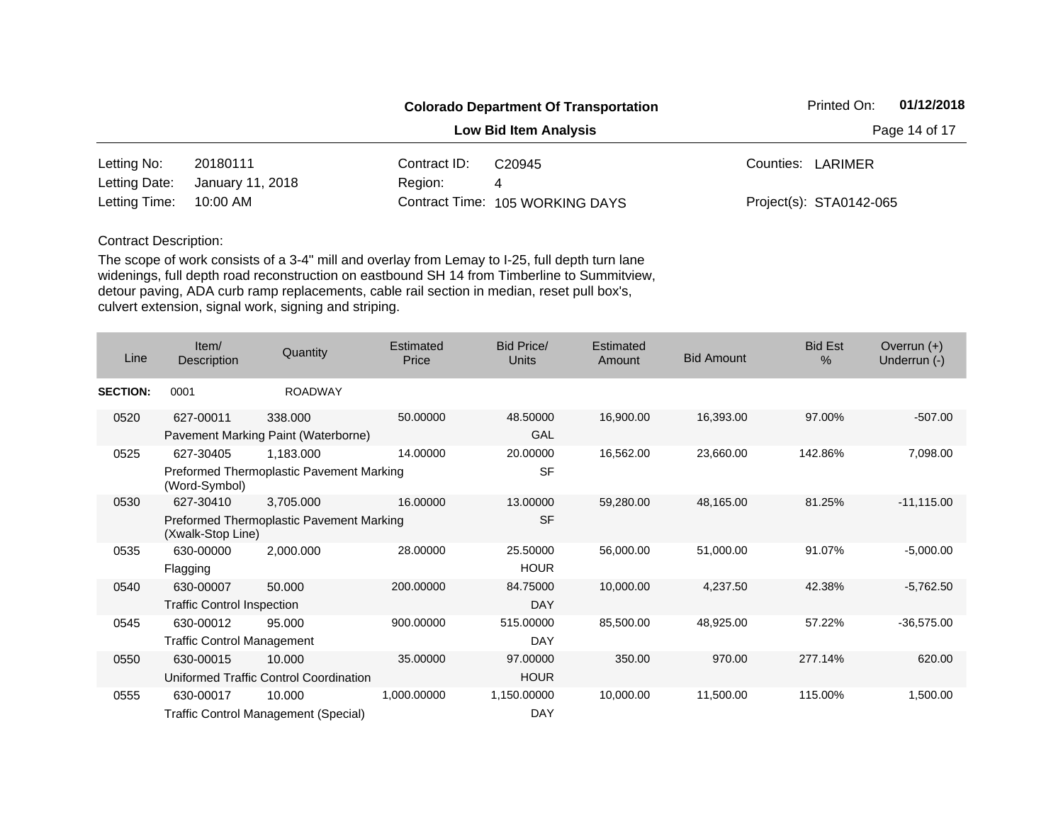|               |                  |              | <b>Colorado Department Of Transportation</b> | Printed On:             | 01/12/2018 |  |
|---------------|------------------|--------------|----------------------------------------------|-------------------------|------------|--|
|               |                  |              | <b>Low Bid Item Analysis</b>                 | Page 14 of 17           |            |  |
| Letting No:   | 20180111         | Contract ID: | C <sub>20945</sub>                           | Counties: LARIMER       |            |  |
| Letting Date: | January 11, 2018 | Region:      | 4                                            |                         |            |  |
| Letting Time: | 10:00 AM         |              | Contract Time: 105 WORKING DAYS              | Project(s): STA0142-065 |            |  |

| Line            | Item/<br>Description                                          | Quantity                                       | Estimated<br>Price | Bid Price/<br>Units     | Estimated<br>Amount | <b>Bid Amount</b> | <b>Bid Est</b><br>$\%$ | Overrun $(+)$<br>Underrun (-) |
|-----------------|---------------------------------------------------------------|------------------------------------------------|--------------------|-------------------------|---------------------|-------------------|------------------------|-------------------------------|
| <b>SECTION:</b> | 0001                                                          | <b>ROADWAY</b>                                 |                    |                         |                     |                   |                        |                               |
| 0520            | 627-00011                                                     | 338.000<br>Pavement Marking Paint (Waterborne) | 50.00000           | 48.50000<br>GAL         | 16,900.00           | 16,393.00         | 97.00%                 | $-507.00$                     |
| 0525            | 627-30405                                                     | 1,183.000                                      | 14.00000           | 20.00000                | 16,562.00           | 23,660.00         | 142.86%                | 7,098.00                      |
|                 | (Word-Symbol)                                                 | Preformed Thermoplastic Pavement Marking       |                    | <b>SF</b>               |                     |                   |                        |                               |
| 0530            | 627-30410                                                     | 3,705.000                                      | 16.00000           | 13.00000                | 59,280.00           | 48,165.00         | 81.25%                 | $-11,115.00$                  |
|                 | Preformed Thermoplastic Pavement Marking<br>(Xwalk-Stop Line) |                                                |                    | <b>SF</b>               |                     |                   |                        |                               |
| 0535            | 630-00000<br>Flagging                                         | 2,000.000                                      | 28.00000           | 25.50000<br><b>HOUR</b> | 56,000.00           | 51,000.00         | 91.07%                 | $-5,000.00$                   |
| 0540            | 630-00007                                                     | 50.000                                         | 200.00000          | 84.75000                | 10,000.00           | 4,237.50          | 42.38%                 | $-5,762.50$                   |
|                 | <b>Traffic Control Inspection</b>                             |                                                |                    | <b>DAY</b>              |                     |                   |                        |                               |
| 0545            | 630-00012                                                     | 95.000                                         | 900.00000          | 515.00000               | 85,500.00           | 48,925.00         | 57.22%                 | $-36,575.00$                  |
|                 | <b>Traffic Control Management</b>                             |                                                |                    | <b>DAY</b>              |                     |                   |                        |                               |
| 0550            | 630-00015                                                     | 10.000                                         | 35.00000           | 97.00000                | 350.00              | 970.00            | 277.14%                | 620.00                        |
|                 |                                                               | Uniformed Traffic Control Coordination         |                    | <b>HOUR</b>             |                     |                   |                        |                               |
| 0555            | 630-00017                                                     | 10.000                                         | 1,000.00000        | 1,150.00000             | 10,000.00           | 11,500.00         | 115.00%                | 1,500.00                      |
|                 |                                                               | Traffic Control Management (Special)           |                    | <b>DAY</b>              |                     |                   |                        |                               |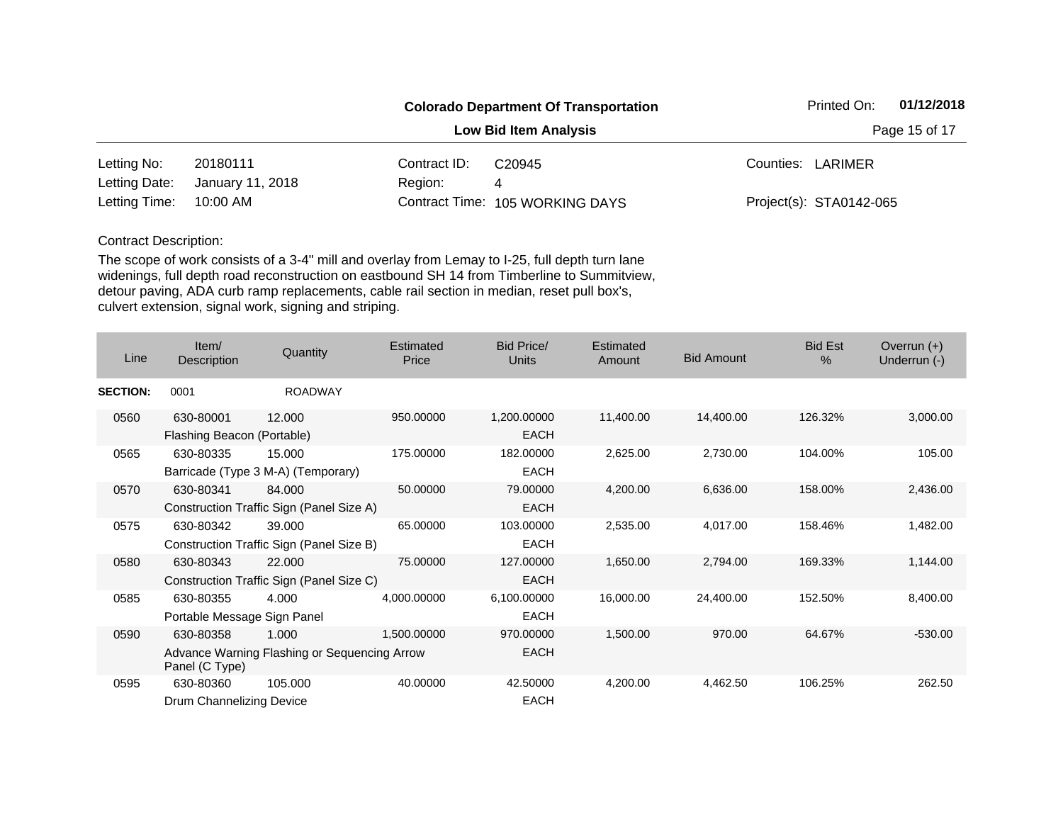|               |                  |               | <b>Colorado Department Of Transportation</b> | 01/12/2018<br>Printed On: |
|---------------|------------------|---------------|----------------------------------------------|---------------------------|
|               |                  | Page 15 of 17 |                                              |                           |
| Letting No:   | 20180111         | Contract ID:  | C <sub>20945</sub>                           | Counties: LARIMER         |
| Letting Date: | January 11, 2018 | Region:       | 4                                            |                           |
| Letting Time: | 10:00 AM         |               | Contract Time: 105 WORKING DAYS              | Project(s): STA0142-065   |

| Line            | Item/<br>Description                     | Quantity                                              | Estimated<br>Price | <b>Bid Price/</b><br>Units | Estimated<br>Amount | <b>Bid Amount</b> | <b>Bid Est</b><br>$\%$ | Overrun $(+)$<br>Underrun (-) |
|-----------------|------------------------------------------|-------------------------------------------------------|--------------------|----------------------------|---------------------|-------------------|------------------------|-------------------------------|
| <b>SECTION:</b> | 0001                                     | <b>ROADWAY</b>                                        |                    |                            |                     |                   |                        |                               |
| 0560            | 630-80001<br>Flashing Beacon (Portable)  | 12.000                                                | 950.00000          | 1,200.00000<br><b>EACH</b> | 11,400.00           | 14,400.00         | 126.32%                | 3,000.00                      |
| 0565            | 630-80335                                | 15.000<br>Barricade (Type 3 M-A) (Temporary)          | 175.00000          | 182.00000<br><b>EACH</b>   | 2,625.00            | 2,730.00          | 104.00%                | 105.00                        |
| 0570            | 630-80341                                | 84.000<br>Construction Traffic Sign (Panel Size A)    | 50.00000           | 79.00000<br><b>EACH</b>    | 4,200.00            | 6,636.00          | 158.00%                | 2,436.00                      |
| 0575            | 630-80342                                | 39,000<br>Construction Traffic Sign (Panel Size B)    | 65.00000           | 103.00000<br><b>EACH</b>   | 2,535.00            | 4,017.00          | 158.46%                | 1,482.00                      |
| 0580            | 630-80343                                | 22.000<br>Construction Traffic Sign (Panel Size C)    | 75.00000           | 127.00000<br><b>EACH</b>   | 1,650.00            | 2,794.00          | 169.33%                | 1,144.00                      |
| 0585            | 630-80355<br>Portable Message Sign Panel | 4.000                                                 | 4,000.00000        | 6,100.00000<br><b>EACH</b> | 16,000.00           | 24,400.00         | 152.50%                | 8,400.00                      |
| 0590            | 630-80358<br>Panel (C Type)              | 1.000<br>Advance Warning Flashing or Sequencing Arrow | 1,500.00000        | 970.00000<br><b>EACH</b>   | 1,500.00            | 970.00            | 64.67%                 | $-530.00$                     |
| 0595            | 630-80360<br>Drum Channelizing Device    | 105.000                                               | 40.00000           | 42.50000<br><b>EACH</b>    | 4,200.00            | 4,462.50          | 106.25%                | 262.50                        |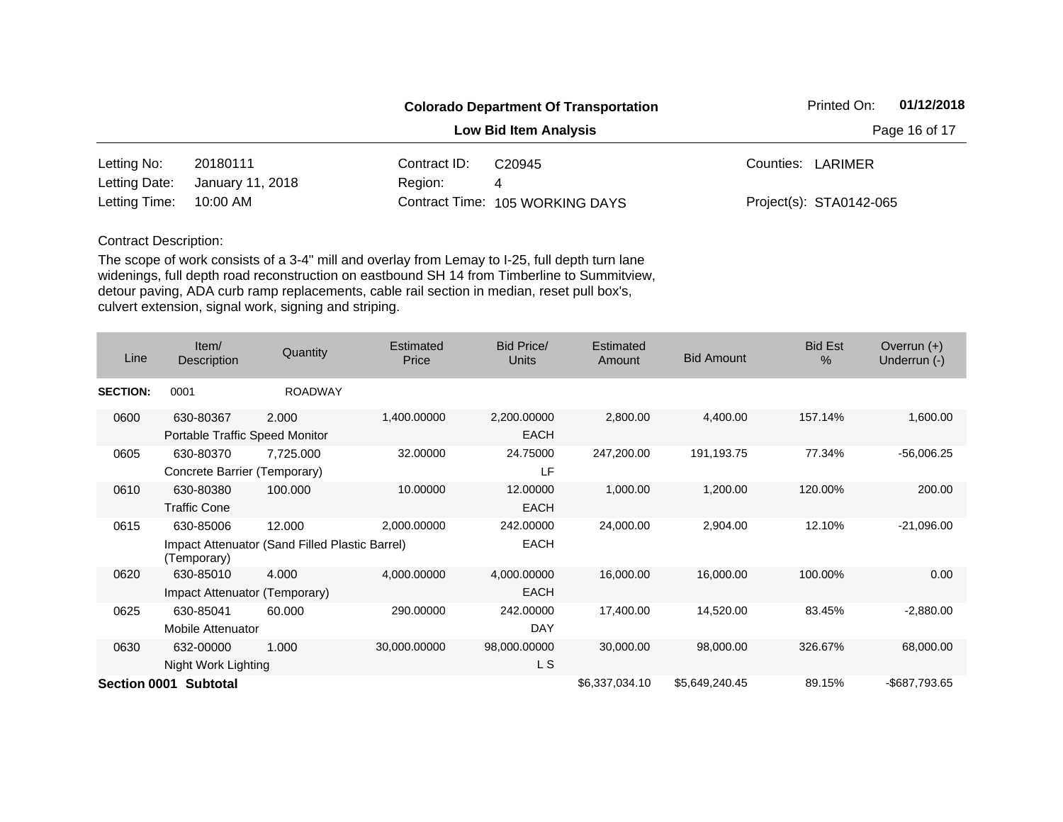|               |                  |               | <b>Colorado Department Of Transportation</b> | 01/12/2018<br>Printed On: |
|---------------|------------------|---------------|----------------------------------------------|---------------------------|
|               |                  | Page 16 of 17 |                                              |                           |
| Letting No:   | 20180111         | Contract ID:  | C <sub>20945</sub>                           | Counties: LARIMER         |
| Letting Date: | January 11, 2018 | Region:       | 4                                            |                           |
| Letting Time: | 10:00 AM         |               | Contract Time: 105 WORKING DAYS              | Project(s): STA0142-065   |

| Line            | Item/<br>Description                        | Quantity                                                 | Estimated<br>Price | Bid Price/<br><b>Units</b> | Estimated<br>Amount | <b>Bid Amount</b> | <b>Bid Est</b><br>$\%$ | Overrun $(+)$<br>Underrun (-) |
|-----------------|---------------------------------------------|----------------------------------------------------------|--------------------|----------------------------|---------------------|-------------------|------------------------|-------------------------------|
| <b>SECTION:</b> | 0001                                        | <b>ROADWAY</b>                                           |                    |                            |                     |                   |                        |                               |
| 0600            | 630-80367<br>Portable Traffic Speed Monitor | 2.000                                                    | 1,400.00000        | 2,200.00000<br><b>EACH</b> | 2,800.00            | 4,400.00          | 157.14%                | 1,600.00                      |
| 0605            | 630-80370<br>Concrete Barrier (Temporary)   | 7,725.000                                                | 32.00000           | 24.75000<br>LF             | 247,200.00          | 191,193.75        | 77.34%                 | $-56,006.25$                  |
| 0610            | 630-80380<br><b>Traffic Cone</b>            | 100.000                                                  | 10.00000           | 12.00000<br><b>EACH</b>    | 1,000.00            | 1,200.00          | 120.00%                | 200.00                        |
| 0615            | 630-85006<br>(Temporary)                    | 12.000<br>Impact Attenuator (Sand Filled Plastic Barrel) | 2,000.00000        | 242.00000<br><b>EACH</b>   | 24,000.00           | 2,904.00          | 12.10%                 | $-21,096.00$                  |
| 0620            | 630-85010<br>Impact Attenuator (Temporary)  | 4.000                                                    | 4,000.00000        | 4,000.00000<br><b>EACH</b> | 16,000.00           | 16,000.00         | 100.00%                | 0.00                          |
| 0625            | 630-85041<br>Mobile Attenuator              | 60.000                                                   | 290.00000          | 242,00000<br>DAY           | 17,400.00           | 14,520.00         | 83.45%                 | $-2,880.00$                   |
| 0630            | 632-00000<br>Night Work Lighting            | 1.000                                                    | 30,000.00000       | 98,000.00000<br>L S        | 30,000.00           | 98,000.00         | 326.67%                | 68,000.00                     |
|                 | Section 0001 Subtotal                       |                                                          |                    |                            | \$6,337,034.10      | \$5,649,240.45    | 89.15%                 | -\$687,793.65                 |